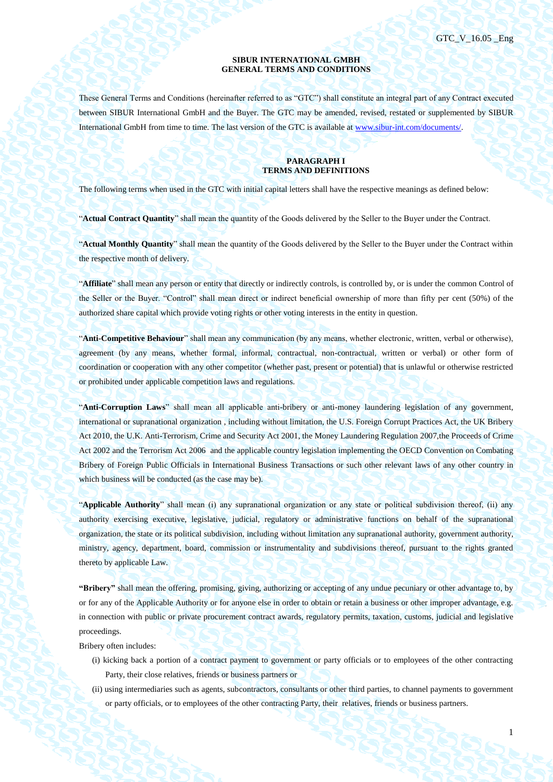1

#### **SIBUR INTERNATIONAL GMBH GENERAL TERMS AND CONDITIONS**

These General Terms and Conditions (hereinafter referred to as "GTC") shall constitute an integral part of any Contract executed between SIBUR International GmbH and the Buyer. The GTC may be amended, revised, restated or supplemented by SIBUR International GmbH from time to time. The last version of the GTC is available a[t www.sibur-int.com/documents/.](http://www.sibur-int.com/documents/)

#### **PARAGRAPH I TERMS AND DEFINITIONS**

The following terms when used in the GTC with initial capital letters shall have the respective meanings as defined below:

"**Actual Contract Quantity**" shall mean the quantity of the Goods delivered by the Seller to the Buyer under the Contract.

"**Actual Monthly Quantity**" shall mean the quantity of the Goods delivered by the Seller to the Buyer under the Contract within the respective month of delivery.

"**Affiliate**" shall mean any person or entity that directly or indirectly controls, is controlled by, or is under the common Control of the Seller or the Buyer. "Control" shall mean direct or indirect beneficial ownership of more than fifty per cent (50%) of the authorized share capital which provide voting rights or other voting interests in the entity in question.

"**Anti-Competitive Behaviour**" shall mean any communication (by any means, whether electronic, written, verbal or otherwise), agreement (by any means, whether formal, informal, contractual, non-contractual, written or verbal) or other form of coordination or cooperation with any other competitor (whether past, present or potential) that is unlawful or otherwise restricted or prohibited under applicable competition laws and regulations.

"**Anti-Corruption Laws**" shall mean all applicable anti-bribery or anti-money laundering legislation of any government, international or supranational organization , including without limitation, the U.S. Foreign Corrupt Practices Act, the UK Bribery Act 2010, the U.K. Anti-Terrorism, Crime and Security Act 2001, the Money Laundering Regulation 2007,the Proceeds of Crime Act 2002 and the Terrorism Act 2006 and the applicable country legislation implementing the OECD Convention on Combating Bribery of Foreign Public Officials in International Business Transactions or such other relevant laws of any other country in which business will be conducted (as the case may be).

"**Applicable Authority**" shall mean (i) any supranational organization or any state or political subdivision thereof, (ii) any authority exercising executive, legislative, judicial, regulatory or administrative functions on behalf of the supranational organization, the state or its political subdivision, including without limitation any supranational authority, government authority, ministry, agency, department, board, commission or instrumentality and subdivisions thereof, pursuant to the rights granted thereto by applicable Law.

**"Bribery"** shall mean the offering, promising, giving, authorizing or accepting of any undue pecuniary or other advantage to, by or for any of the Applicable Authority or for anyone else in order to obtain or retain a business or other improper advantage, e.g. in connection with public or private procurement contract awards, regulatory permits, taxation, customs, judicial and legislative proceedings.

Bribery often includes:

- (i) kicking back a portion of a contract payment to government or party officials or to employees of the other contracting Party, their close relatives, friends or business partners or
- (ii) using intermediaries such as agents, subcontractors, consultants or other third parties, to channel payments to government or party officials, or to employees of the other contracting Party, their relatives, friends or business partners.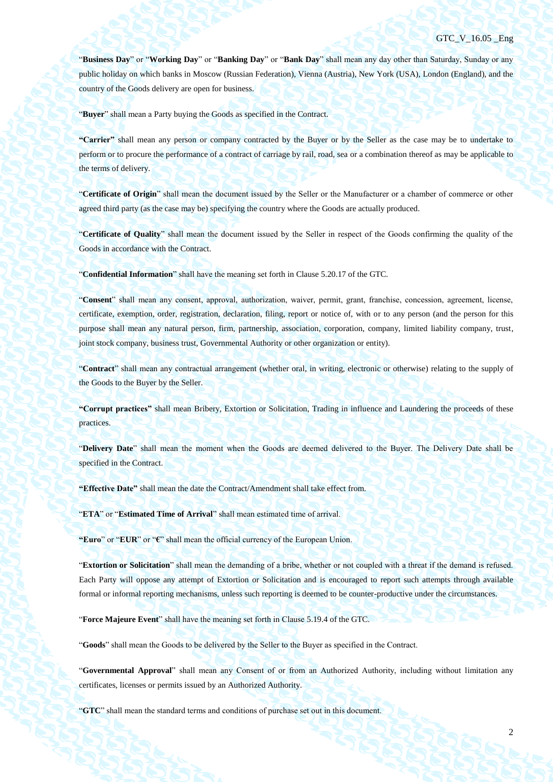"**Business Day**" or "**Working Day**" or "**Banking Day**" or "**Bank Day**" shall mean any day other than Saturday, Sunday or any public holiday on which banks in Moscow (Russian Federation), Vienna (Austria), New York (USA), London (England), and the country of the Goods delivery are open for business.

"**Buyer**" shall mean a Party buying the Goods as specified in the Contract.

**"Carrier"** shall mean any person or company contracted by the Buyer or by the Seller as the case may be to undertake to perform or to procure the performance of a contract of carriage by rail, road, sea or a combination thereof as may be applicable to the terms of delivery.

"**Certificate of Origin**" shall mean the document issued by the Seller or the Manufacturer or a chamber of commerce or other agreed third party (as the case may be) specifying the country where the Goods are actually produced.

"**Certificate of Quality**" shall mean the document issued by the Seller in respect of the Goods confirming the quality of the Goods in accordance with the Contract.

"**Confidential Information**" shall have the meaning set forth in Clause 5.20.17 of the GTC.

"**Consent**" shall mean any consent, approval, authorization, waiver, permit, grant, franchise, concession, agreement, license, certificate, exemption, order, registration, declaration, filing, report or notice of, with or to any person (and the person for this purpose shall mean any natural person, firm, partnership, association, corporation, company, limited liability company, trust, joint stock company, business trust, Governmental Authority or other organization or entity).

"**Contract**" shall mean any contractual arrangement (whether oral, in writing, electronic or otherwise) relating to the supply of the Goods to the Buyer by the Seller.

**"Corrupt practices"** shall mean Bribery, Extortion or Solicitation, Trading in influence and Laundering the proceeds of these practices.

"**Delivery Date**" shall mean the moment when the Goods are deemed delivered to the Buyer. The Delivery Date shall be specified in the Contract.

**"Effective Date"** shall mean the date the Contract/Amendment shall take effect from.

"**ETA**" or "**Estimated Time of Arrival**" shall mean estimated time of arrival.

**"Euro**" or "**EUR**" or "**€**" shall mean the official currency of the European Union.

"**Extortion or Solicitation**" shall mean the demanding of a bribe, whether or not coupled with a threat if the demand is refused. Each Party will oppose any attempt of Extortion or Solicitation and is encouraged to report such attempts through available formal or informal reporting mechanisms, unless such reporting is deemed to be counter-productive under the circumstances.

"**Force Majeure Event**" shall have the meaning set forth in Clause [5.19.4](#page-46-0) of the GTC.

"**Goods**" shall mean the Goods to be delivered by the Seller to the Buyer as specified in the Contract.

"**Governmental Approval**" shall mean any Consent of or from an Authorized Authority, including without limitation any certificates, licenses or permits issued by an Authorized Authority.

"**GTC**" shall mean the standard terms and conditions of purchase set out in this document.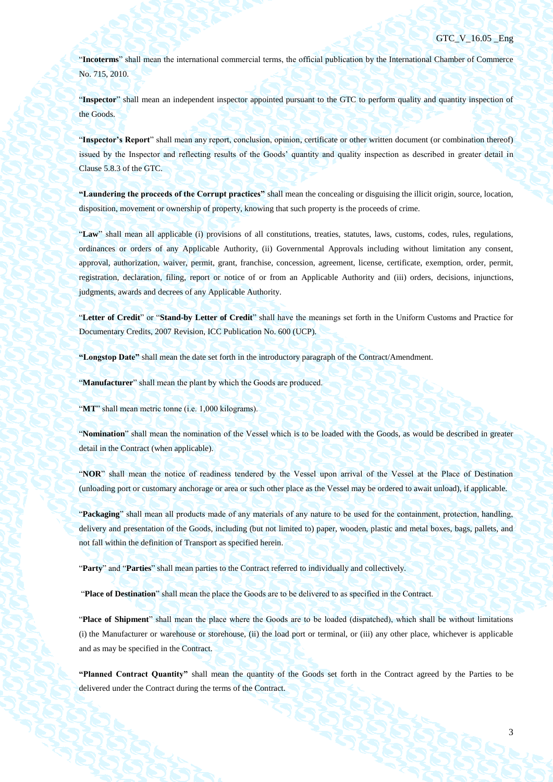"**Incoterms**" shall mean the international commercial terms, the official publication by the International Chamber of Commerce No. 715, 2010.

"**Inspector**" shall mean an independent inspector appointed pursuant to the GTC to perform quality and quantity inspection of the Goods.

"**Inspector's Report**" shall mean any report, conclusion, opinion, certificate or other written document (or combination thereof) issued by the Inspector and reflecting results of the Goods' quantity and quality inspection as described in greater detail in Clause [5.8.3](#page-36-0) of the GTC.

**"Laundering the proceeds of the Corrupt practices"** shall mean the concealing or disguising the illicit origin, source, location, disposition, movement or ownership of property, knowing that such property is the proceeds of crime.

"**Law**" shall mean all applicable (i) provisions of all constitutions, treaties, statutes, laws, customs, codes, rules, regulations, ordinances or orders of any Applicable Authority, (ii) Governmental Approvals including without limitation any consent, approval, authorization, waiver, permit, grant, franchise, concession, agreement, license, certificate, exemption, order, permit, registration, declaration, filing, report or notice of or from an Applicable Authority and (iii) orders, decisions, injunctions, judgments, awards and decrees of any Applicable Authority.

"**Letter of Credit**" or "**Stand-by Letter of Credit**" shall have the meanings set forth in the Uniform Customs and Practice for Documentary Credits, 2007 Revision, ICC Publication No. 600 (UCP).

**"Longstop Date"** shall mean the date set forth in the introductory paragraph of the Contract/Amendment.

"**Manufacturer**" shall mean the plant by which the Goods are produced.

"MT" shall mean metric tonne (i.e. 1,000 kilograms).

"**Nomination**" shall mean the nomination of the Vessel which is to be loaded with the Goods, as would be described in greater detail in the Contract (when applicable).

"**NOR**" shall mean the notice of readiness tendered by the Vessel upon arrival of the Vessel at the Place of Destination (unloading port or customary anchorage or area or such other place as the Vessel may be ordered to await unload), if applicable.

"**Packaging**" shall mean all products made of any materials of any nature to be used for the containment, protection, handling, delivery and presentation of the Goods, including (but not limited to) paper, wooden, plastic and metal boxes, bags, pallets, and not fall within the definition of Transport as specified herein.

"**Party**" and "**Parties**" shall mean parties to the Contract referred to individually and collectively.

"**Place of Destination**" shall mean the place the Goods are to be delivered to as specified in the Contract.

"**Place of Shipment**" shall mean the place where the Goods are to be loaded (dispatched), which shall be without limitations (i) the Manufacturer or warehouse or storehouse, (ii) the load port or terminal, or (iii) any other place, whichever is applicable and as may be specified in the Contract.

**"Planned Contract Quantity"** shall mean the quantity of the Goods set forth in the Contract agreed by the Parties to be delivered under the Contract during the terms of the Contract.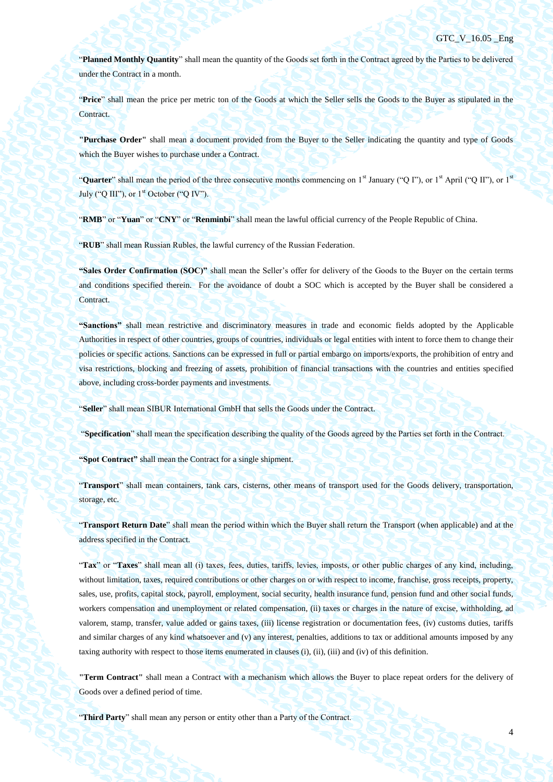"**Planned Monthly Quantity**" shall mean the quantity of the Goods set forth in the Contract agreed by the Parties to be delivered under the Contract in a month.

"**Price**" shall mean the price per metric ton of the Goods at which the Seller sells the Goods to the Buyer as stipulated in the Contract.

**"Purchase Order"** shall mean a document provided from the Buyer to the Seller indicating the quantity and type of Goods which the Buyer wishes to purchase under a Contract.

"**Quarter**" shall mean the period of the three consecutive months commencing on 1<sup>st</sup> January ("Q I"), or 1<sup>st</sup> April ("Q II"), or 1<sup>st</sup> July ("Q III"), or  $1<sup>st</sup>$  October ("Q IV").

"**RMB**" or "**Yuan**" or "**CNY**" or "**Renminbi**" shall mean the lawful official currency of the People Republic of China.

"**RUB**" shall mean Russian Rubles, the lawful currency of the Russian Federation.

**"Sales Order Confirmation (SOC)"** shall mean the Seller's offer for delivery of the Goods to the Buyer on the certain terms and conditions specified therein. For the avoidance of doubt a SOC which is accepted by the Buyer shall be considered a Contract.

**"Sanctions"** shall mean restrictive and discriminatory measures in trade and economic fields adopted by the Applicable Authorities in respect of other countries, groups of countries, individuals or legal entities with intent to force them to change their policies or specific actions. Sanctions can be expressed in full or partial embargo on imports/exports, the prohibition of entry and visa restrictions, blocking and freezing of assets, prohibition of financial transactions with the countries and entities specified above, including cross-border payments and investments.

"**Seller**" shall mean SIBUR International GmbH that sells the Goods under the Contract.

"**Specification**" shall mean the specification describing the quality of the Goods agreed by the Parties set forth in the Contract.

**"Spot Contract"** shall mean the Contract for a single shipment.

"**Transport**" shall mean containers, tank cars, cisterns, other means of transport used for the Goods delivery, transportation, storage, etc.

"**Transport Return Date**" shall mean the period within which the Buyer shall return the Transport (when applicable) and at the address specified in the Contract.

"**Tax**" or "**Taxes**" shall mean all (i) taxes, fees, duties, tariffs, levies, imposts, or other public charges of any kind, including, without limitation, taxes, required contributions or other charges on or with respect to income, franchise, gross receipts, property, sales, use, profits, capital stock, payroll, employment, social security, health insurance fund, pension fund and other social funds, workers compensation and unemployment or related compensation, (ii) taxes or charges in the nature of excise, withholding, ad valorem, stamp, transfer, value added or gains taxes, (iii) license registration or documentation fees, (iv) customs duties, tariffs and similar charges of any kind whatsoever and (v) any interest, penalties, additions to tax or additional amounts imposed by any taxing authority with respect to those items enumerated in clauses (i), (ii), (iii) and (iv) of this definition.

**"Term Contract"** shall mean a Contract with a mechanism which allows the Buyer to place repeat orders for the delivery of Goods over a defined period of time.

"**Third Party**" shall mean any person or entity other than a Party of the Contract.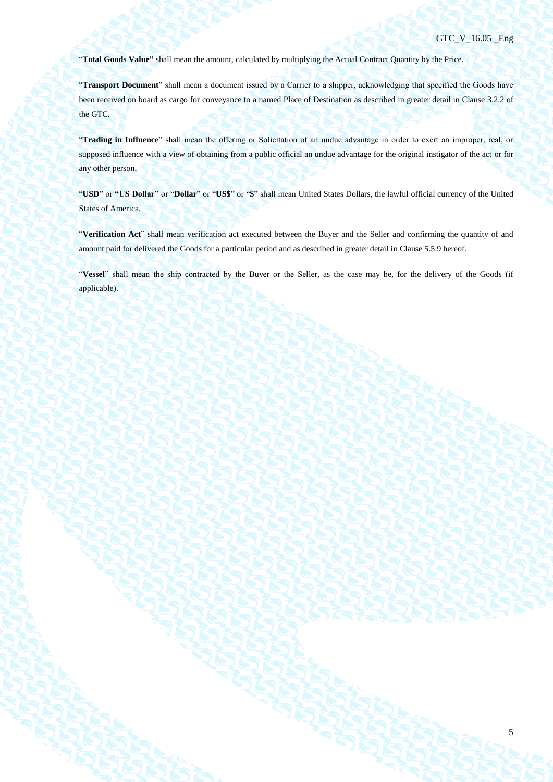5

"**Total Goods Value"** shall mean the amount, calculated by multiplying the Actual Contract Quantity by the Price.

"**Transport Document**" shall mean a document issued by a Carrier to a shipper, acknowledging that specified the Goods have been received on board as cargo for conveyance to a named Place of Destination as described in greater detail in Clause 3.2.2 of the GTC.

"**Trading in Influence**" shall mean the offering or Solicitation of an undue advantage in order to exert an improper, real, or supposed influence with a view of obtaining from a public official an undue advantage for the original instigator of the act or for any other person.

"USD" or "US Dollar" or "Dollar" or "US\$" or "\$" shall mean United States Dollars, the lawful official currency of the United States of America.

"**Verification Act**" shall mean verification act executed between the Buyer and the Seller and confirming the quantity of and amount paid for delivered the Goods for a particular period and as described in greater detail in Clause [5.5.9](#page-30-0) hereof.

"**Vessel**" shall mean the ship contracted by the Buyer or the Seller, as the case may be, for the delivery of the Goods (if applicable).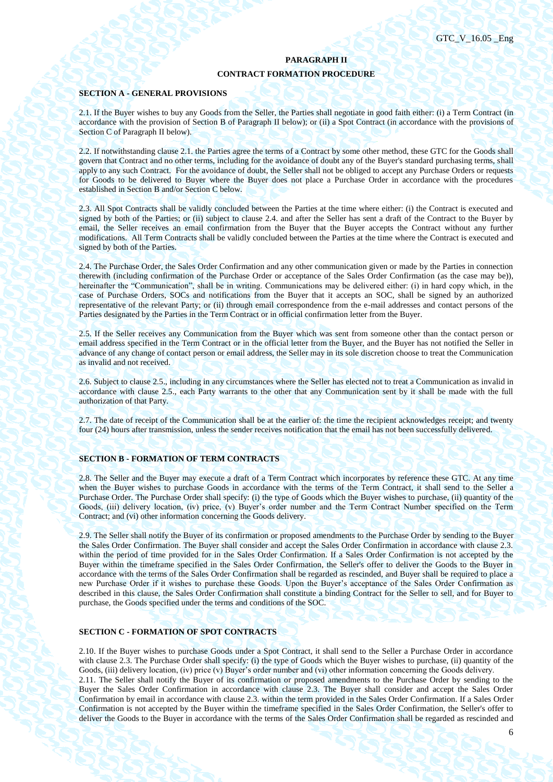#### **PARAGRAPH II**

# **CONTRACT FORMATION PROCEDURE**

#### **SECTION A - GENERAL PROVISIONS**

2.1. If the Buyer wishes to buy any Goods from the Seller, the Parties shall negotiate in good faith either: (i) a Term Contract (in accordance with the provision of Section B of Paragraph II below); or (ii) a Spot Contract (in accordance with the provisions of Section C of Paragraph II below).

2.2. If notwithstanding clause 2.1. the Parties agree the terms of a Contract by some other method, these GTC for the Goods shall govern that Contract and no other terms, including for the avoidance of doubt any of the Buyer's standard purchasing terms, shall apply to any such Contract. For the avoidance of doubt, the Seller shall not be obliged to accept any Purchase Orders or requests for Goods to be delivered to Buyer where the Buyer does not place a Purchase Order in accordance with the procedures established in Section B and/or Section C below.

2.3. All Spot Contracts shall be validly concluded between the Parties at the time where either: (i) the Contract is executed and signed by both of the Parties; or (ii) subject to clause 2.4. and after the Seller has sent a draft of the Contract to the Buyer by email, the Seller receives an email confirmation from the Buyer that the Buyer accepts the Contract without any further modifications. All Term Contracts shall be validly concluded between the Parties at the time where the Contract is executed and signed by both of the Parties.

2.4. The Purchase Order, the Sales Order Confirmation and any other communication given or made by the Parties in connection therewith (including confirmation of the Purchase Order or acceptance of the Sales Order Confirmation (as the case may be)), hereinafter the "Communication", shall be in writing. Communications may be delivered either: (i) in hard copy which, in the case of Purchase Orders, SOCs and notifications from the Buyer that it accepts an SOC, shall be signed by an authorized representative of the relevant Party; or (ii) through email correspondence from the e-mail addresses and contact persons of the Parties designated by the Parties in the Term Contract or in official confirmation letter from the Buyer.

2.5. If the Seller receives any Communication from the Buyer which was sent from someone other than the contact person or email address specified in the Term Contract or in the official letter from the Buyer, and the Buyer has not notified the Seller in advance of any change of contact person or email address, the Seller may in its sole discretion choose to treat the Communication as invalid and not received.

2.6. Subject to clause 2.5., including in any circumstances where the Seller has elected not to treat a Communication as invalid in accordance with clause 2.5., each Party warrants to the other that any Communication sent by it shall be made with the full authorization of that Party.

2.7. The date of receipt of the Communication shall be at the earlier of: the time the recipient acknowledges receipt; and twenty four (24) hours after transmission, unless the sender receives notification that the email has not been successfully delivered.

#### **SECTION B - FORMATION OF TERM CONTRACTS**

2.8. The Seller and the Buyer may execute a draft of a Term Contract which incorporates by reference these GTC. At any time when the Buyer wishes to purchase Goods in accordance with the terms of the Term Contract, it shall send to the Seller a Purchase Order. The Purchase Order shall specify: (i) the type of Goods which the Buyer wishes to purchase, (ii) quantity of the Goods, (iii) delivery location, (iv) price, (v) Buyer's order number and the Term Contract Number specified on the Term Contract; and (vi) other information concerning the Goods delivery.

2.9. The Seller shall notify the Buyer of its confirmation or proposed amendments to the Purchase Order by sending to the Buyer the Sales Order Confirmation. The Buyer shall consider and accept the Sales Order Confirmation in accordance with clause 2.3. within the period of time provided for in the Sales Order Confirmation. If a Sales Order Confirmation is not accepted by the Buyer within the timeframe specified in the Sales Order Confirmation, the Seller's offer to deliver the Goods to the Buyer in accordance with the terms of the Sales Order Confirmation shall be regarded as rescinded, and Buyer shall be required to place a new Purchase Order if it wishes to purchase these Goods. Upon the Buyer's acceptance of the Sales Order Confirmation as described in this clause, the Sales Order Confirmation shall constitute a binding Contract for the Seller to sell, and for Buyer to purchase, the Goods specified under the terms and conditions of the SOC.

#### **SECTION C - FORMATION OF SPOT CONTRACTS**

2.10. If the Buyer wishes to purchase Goods under a Spot Contract, it shall send to the Seller a Purchase Order in accordance with clause 2.3. The Purchase Order shall specify: (i) the type of Goods which the Buyer wishes to purchase, (ii) quantity of the Goods, (iii) delivery location, (iv) price (v) Buyer's order number and (vi) other information concerning the Goods delivery.

2.11. The Seller shall notify the Buyer of its confirmation or proposed amendments to the Purchase Order by sending to the Buyer the Sales Order Confirmation in accordance with clause 2.3. The Buyer shall consider and accept the Sales Order Confirmation by email in accordance with clause 2.3. within the term provided in the Sales Order Confirmation. If a Sales Order Confirmation is not accepted by the Buyer within the timeframe specified in the Sales Order Confirmation, the Seller's offer to deliver the Goods to the Buyer in accordance with the terms of the Sales Order Confirmation shall be regarded as rescinded and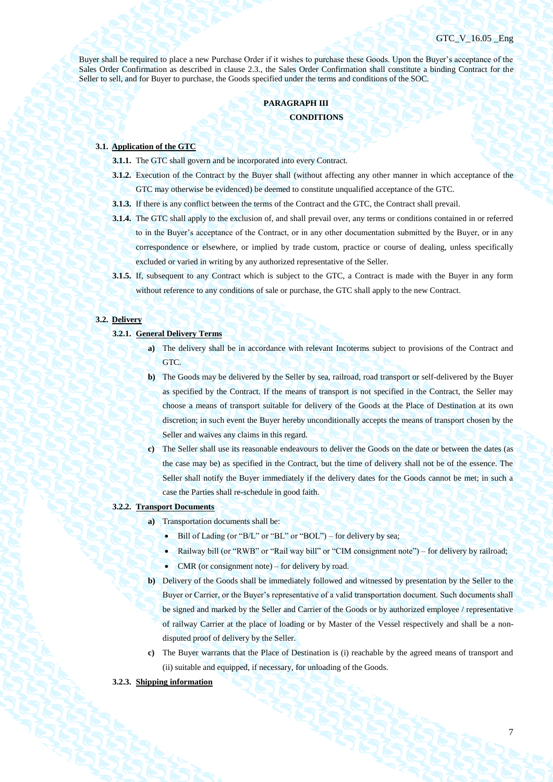Buyer shall be required to place a new Purchase Order if it wishes to purchase these Goods. Upon the Buyer's acceptance of the Sales Order Confirmation as described in clause 2.3., the Sales Order Confirmation shall constitute a binding Contract for the Seller to sell, and for Buyer to purchase, the Goods specified under the terms and conditions of the SOC.

# **PARAGRAPH III CONDITIONS**

#### **3.1. Application of the GTC**

- **3.1.1.** The GTC shall govern and be incorporated into every Contract.
- **3.1.2.** Execution of the Contract by the Buyer shall (without affecting any other manner in which acceptance of the
	- GTC may otherwise be evidenced) be deemed to constitute unqualified acceptance of the GTC.
- **3.1.3.** If there is any conflict between the terms of the Contract and the GTC, the Contract shall prevail.
- **3.1.4.** The GTC shall apply to the exclusion of, and shall prevail over, any terms or conditions contained in or referred to in the Buyer's acceptance of the Contract, or in any other documentation submitted by the Buyer, or in any correspondence or elsewhere, or implied by trade custom, practice or course of dealing, unless specifically excluded or varied in writing by any authorized representative of the Seller.
- **3.1.5.** If, subsequent to any Contract which is subject to the GTC, a Contract is made with the Buyer in any form without reference to any conditions of sale or purchase, the GTC shall apply to the new Contract.

## **3.2. Delivery**

#### **3.2.1. General Delivery Terms**

- **a)** The delivery shall be in accordance with relevant Incoterms subject to provisions of the Contract and GTC.
- **b)** The Goods may be delivered by the Seller by sea, railroad, road transport or self-delivered by the Buyer as specified by the Contract. If the means of transport is not specified in the Contract, the Seller may choose a means of transport suitable for delivery of the Goods at the Place of Destination at its own discretion; in such event the Buyer hereby unconditionally accepts the means of transport chosen by the Seller and waives any claims in this regard.
- **c)** The Seller shall use its reasonable endeavours to deliver the Goods on the date or between the dates (as the case may be) as specified in the Contract, but the time of delivery shall not be of the essence. The Seller shall notify the Buyer immediately if the delivery dates for the Goods cannot be met; in such a case the Parties shall re-schedule in good faith.
- **3.2.2. Transport Documents**
	- **a)** Transportation documents shall be:
		- $\bullet$  Bill of Lading (or "B/L" or "BL" or "BOL") for delivery by sea;
		- Railway bill (or "RWB" or "Rail way bill" or "CIM consignment note") for delivery by railroad;
		- CMR (or consignment note) for delivery by road.
	- **b)** Delivery of the Goods shall be immediately followed and witnessed by presentation by the Seller to the Buyer or Carrier, or the Buyer's representative of a valid transportation document. Such documents shall be signed and marked by the Seller and Carrier of the Goods or by authorized employee / representative of railway Carrier at the place of loading or by Master of the Vessel respectively and shall be a nondisputed proof of delivery by the Seller.
	- **c)** The Buyer warrants that the Place of Destination is (i) reachable by the agreed means of transport and (ii) suitable and equipped, if necessary, for unloading of the Goods.

#### **3.2.3. Shipping information**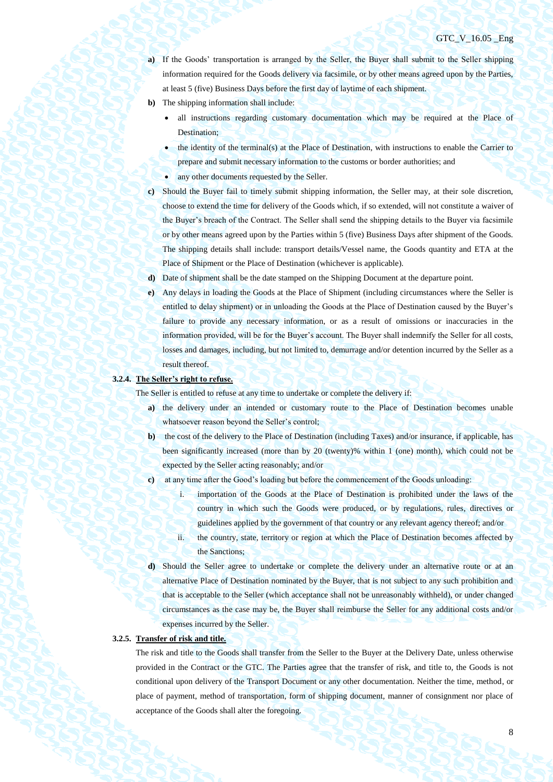- **a)** If the Goods' transportation is arranged by the Seller, the Buyer shall submit to the Seller shipping information required for the Goods delivery via facsimile, or by other means agreed upon by the Parties, at least 5 (five) Business Days before the first day of laytime of each shipment.
- **b)** The shipping information shall include:
	- all instructions regarding customary documentation which may be required at the Place of Destination;
	- the identity of the terminal(s) at the Place of Destination, with instructions to enable the Carrier to prepare and submit necessary information to the customs or border authorities; and
	- any other documents requested by the Seller.
- **c)** Should the Buyer fail to timely submit shipping information, the Seller may, at their sole discretion, choose to extend the time for delivery of the Goods which, if so extended, will not constitute a waiver of the Buyer's breach of the Contract. The Seller shall send the shipping details to the Buyer via facsimile or by other means agreed upon by the Parties within 5 (five) Business Days after shipment of the Goods. The shipping details shall include: transport details/Vessel name, the Goods quantity and ETA at the Place of Shipment or the Place of Destination (whichever is applicable).
- **d)** Date of shipment shall be the date stamped on the Shipping Document at the departure point.
- **e)** Any delays in loading the Goods at the Place of Shipment (including circumstances where the Seller is entitled to delay shipment) or in unloading the Goods at the Place of Destination caused by the Buyer's failure to provide any necessary information, or as a result of omissions or inaccuracies in the information provided, will be for the Buyer's account. The Buyer shall indemnify the Seller for all costs, losses and damages, including, but not limited to, demurrage and/or detention incurred by the Seller as a result thereof.

## **3.2.4. The Seller's right to refuse.**

The Seller is entitled to refuse at any time to undertake or complete the delivery if:

- **a)** the delivery under an intended or customary route to the Place of Destination becomes unable whatsoever reason beyond the Seller's control;
- **b)** the cost of the delivery to the Place of Destination (including Taxes) and/or insurance, if applicable, has been significantly increased (more than by 20 (twenty)% within 1 (one) month), which could not be expected by the Seller acting reasonably; and/or
- **c)** at any time after the Good's loading but before the commencement of the Goods unloading:
	- i. importation of the Goods at the Place of Destination is prohibited under the laws of the country in which such the Goods were produced, or by regulations, rules, directives or guidelines applied by the government of that country or any relevant agency thereof; and/or
	- ii. the country, state, territory or region at which the Place of Destination becomes affected by the Sanctions;
- **d)** Should the Seller agree to undertake or complete the delivery under an alternative route or at an alternative Place of Destination nominated by the Buyer, that is not subject to any such prohibition and that is acceptable to the Seller (which acceptance shall not be unreasonably withheld), or under changed circumstances as the case may be, the Buyer shall reimburse the Seller for any additional costs and/or expenses incurred by the Seller.

## **3.2.5. Transfer of risk and title.**

The risk and title to the Goods shall transfer from the Seller to the Buyer at the Delivery Date, unless otherwise provided in the Contract or the GTC. The Parties agree that the transfer of risk, and title to, the Goods is not conditional upon delivery of the Transport Document or any other documentation. Neither the time, method, or place of payment, method of transportation, form of shipping document, manner of consignment nor place of acceptance of the Goods shall alter the foregoing.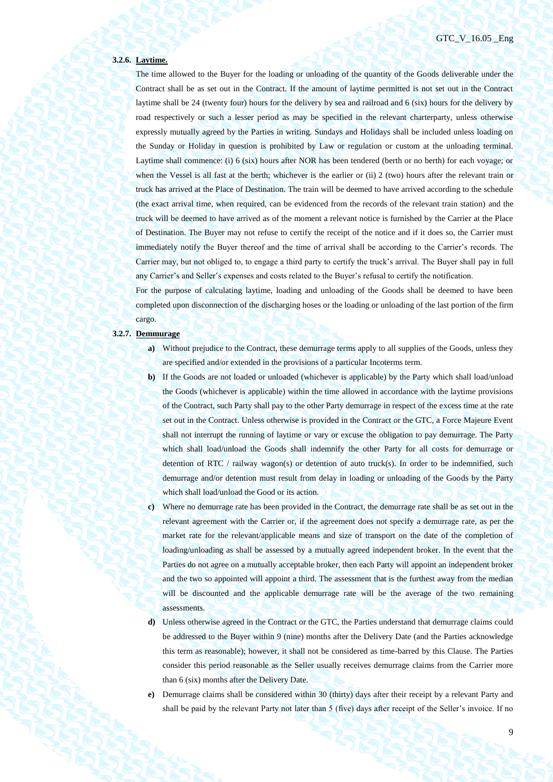#### **3.2.6. Laytime.**

The time allowed to the Buyer for the loading or unloading of the quantity of the Goods deliverable under the Contract shall be as set out in the Contract. If the amount of laytime permitted is not set out in the Contract laytime shall be 24 (twenty four) hours for the delivery by sea and railroad and 6 (six) hours for the delivery by road respectively or such a lesser period as may be specified in the relevant charterparty, unless otherwise expressly mutually agreed by the Parties in writing. Sundays and Holidays shall be included unless loading on the Sunday or Holiday in question is prohibited by Law or regulation or custom at the unloading terminal. Laytime shall commence: (i) 6 (six) hours after NOR has been tendered (berth or no berth) for each voyage; or when the Vessel is all fast at the berth; whichever is the earlier or (ii) 2 (two) hours after the relevant train or truck has arrived at the Place of Destination. The train will be deemed to have arrived according to the schedule (the exact arrival time, when required, can be evidenced from the records of the relevant train station) and the truck will be deemed to have arrived as of the moment a relevant notice is furnished by the Carrier at the Place of Destination. The Buyer may not refuse to certify the receipt of the notice and if it does so, the Carrier must immediately notify the Buyer thereof and the time of arrival shall be according to the Carrier's records. The Carrier may, but not obliged to, to engage a third party to certify the truck's arrival. The Buyer shall pay in full any Carrier's and Seller's expenses and costs related to the Buyer's refusal to certify the notification.

For the purpose of calculating laytime, loading and unloading of the Goods shall be deemed to have been completed upon disconnection of the discharging hoses or the loading or unloading of the last portion of the firm cargo.

## **3.2.7. Demmurage**

- **a)** Without prejudice to the Contract, these demurrage terms apply to all supplies of the Goods, unless they are specified and/or extended in the provisions of a particular Incoterms term.
- **b)** If the Goods are not loaded or unloaded (whichever is applicable) by the Party which shall load/unload the Goods (whichever is applicable) within the time allowed in accordance with the laytime provisions of the Contract, such Party shall pay to the other Party demurrage in respect of the excess time at the rate set out in the Contract. Unless otherwise is provided in the Contract or the GTC, a Force Majeure Event shall not interrupt the running of laytime or vary or excuse the obligation to pay demurrage. The Party which shall load/unload the Goods shall indemnify the other Party for all costs for demurrage or detention of RTC / railway wagon(s) or detention of auto truck(s). In order to be indemnified, such demurrage and/or detention must result from delay in loading or unloading of the Goods by the Party which shall load/unload the Good or its action.
- **c)** Where no demurrage rate has been provided in the Contract, the demurrage rate shall be as set out in the relevant agreement with the Carrier or, if the agreement does not specify a demurrage rate, as per the market rate for the relevant/applicable means and size of transport on the date of the completion of loading/unloading as shall be assessed by a mutually agreed independent broker. In the event that the Parties do not agree on a mutually acceptable broker, then each Party will appoint an independent broker and the two so appointed will appoint a third. The assessment that is the furthest away from the median will be discounted and the applicable demurrage rate will be the average of the two remaining assessments.
- **d)** Unless otherwise agreed in the Contract or the GTC, the Parties understand that demurrage claims could be addressed to the Buyer within 9 (nine) months after the Delivery Date (and the Parties acknowledge this term as reasonable); however, it shall not be considered as time-barred by this Clause. The Parties consider this period reasonable as the Seller usually receives demurrage claims from the Carrier more than 6 (six) months after the Delivery Date.
- **e)** Demurrage claims shall be considered within 30 (thirty) days after their receipt by a relevant Party and shall be paid by the relevant Party not later than 5 (five) days after receipt of the Seller's invoice. If no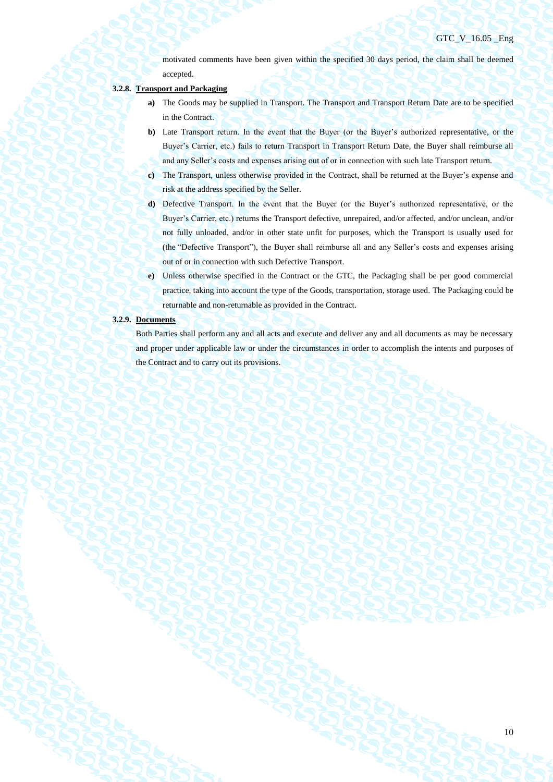motivated comments have been given within the specified 30 days period, the claim shall be deemed accepted.

## **3.2.8. Transport and Packaging**

- **a)** The Goods may be supplied in Transport. The Transport and Transport Return Date are to be specified in the Contract.
- **b)** Late Transport return. In the event that the Buyer (or the Buyer's authorized representative, or the Buyer's Carrier, etc.) fails to return Transport in Transport Return Date, the Buyer shall reimburse all and any Seller's costs and expenses arising out of or in connection with such late Transport return.
- **c)** The Transport, unless otherwise provided in the Contract, shall be returned at the Buyer's expense and risk at the address specified by the Seller.
- **d)** Defective Transport. In the event that the Buyer (or the Buyer's authorized representative, or the Buyer's Carrier, etc.) returns the Transport defective, unrepaired, and/or affected, and/or unclean, and/or not fully unloaded, and/or in other state unfit for purposes, which the Transport is usually used for (the "Defective Transport"), the Buyer shall reimburse all and any Seller's costs and expenses arising out of or in connection with such Defective Transport.
- **e)** Unless otherwise specified in the Contract or the GTC, the Packaging shall be per good commercial practice, taking into account the type of the Goods, transportation, storage used. The Packaging could be returnable and non-returnable as provided in the Contract.

## **3.2.9. Documents**

Both Parties shall perform any and all acts and execute and deliver any and all documents as may be necessary and proper under applicable law or under the circumstances in order to accomplish the intents and purposes of the Contract and to carry out its provisions.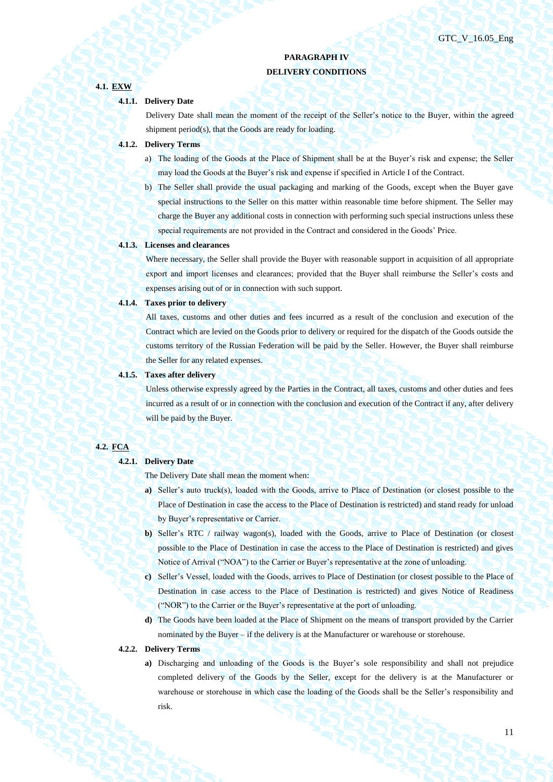# **PARAGRAPH IV DELIVERY CONDITIONS**

## **4.1.1. Delivery Date**

**4.1. EXW**

Delivery Date shall mean the moment of the receipt of the Seller's notice to the Buyer, within the agreed shipment period(s), that the Goods are ready for loading.

## **4.1.2. Delivery Terms**

- a) The loading of the Goods at the Place of Shipment shall be at the Buyer's risk and expense; the Seller may load the Goods at the Buyer's risk and expense if specified in Article I of the Contract.
- b) The Seller shall provide the usual packaging and marking of the Goods, except when the Buyer gave special instructions to the Seller on this matter within reasonable time before shipment. The Seller may charge the Buyer any additional costs in connection with performing such special instructions unless these special requirements are not provided in the Contract and considered in the Goods' Price.

#### **4.1.3. Licenses and clearances**

Where necessary, the Seller shall provide the Buyer with reasonable support in acquisition of all appropriate export and import licenses and clearances; provided that the Buyer shall reimburse the Seller's costs and expenses arising out of or in connection with such support.

#### **4.1.4. Taxes prior to delivery**

All taxes, customs and other duties and fees incurred as a result of the conclusion and execution of the Contract which are levied on the Goods prior to delivery or required for the dispatch of the Goods outside the customs territory of the Russian Federation will be paid by the Seller. However, the Buyer shall reimburse the Seller for any related expenses.

#### **4.1.5. Taxes after delivery**

Unless otherwise expressly agreed by the Parties in the Contract, all taxes, customs and other duties and fees incurred as a result of or in connection with the conclusion and execution of the Contract if any, after delivery will be paid by the Buyer.

## **4.2. FCA**

## **4.2.1. Delivery Date**

The Delivery Date shall mean the moment when:

- **a)** Seller's auto truck(s), loaded with the Goods, arrive to Place of Destination (or closest possible to the Place of Destination in case the access to the Place of Destination is restricted) and stand ready for unload by Buyer's representative or Carrier.
- **b)** Seller's RTC / railway wagon(s), loaded with the Goods, arrive to Place of Destination (or closest possible to the Place of Destination in case the access to the Place of Destination is restricted) and gives Notice of Arrival ("NOA") to the Carrier or Buyer's representative at the zone of unloading.
- **c)** Seller's Vessel, loaded with the Goods, arrives to Place of Destination (or closest possible to the Place of Destination in case access to the Place of Destination is restricted) and gives Notice of Readiness ("NOR") to the Carrier or the Buyer's representative at the port of unloading.
- **d)** The Goods have been loaded at the Place of Shipment on the means of transport provided by the Carrier nominated by the Buyer – if the delivery is at the Manufacturer or warehouse or storehouse.

#### **4.2.2. Delivery Terms**

**a)** Discharging and unloading of the Goods is the Buyer's sole responsibility and shall not prejudice completed delivery of the Goods by the Seller, except for the delivery is at the Manufacturer or warehouse or storehouse in which case the loading of the Goods shall be the Seller's responsibility and risk.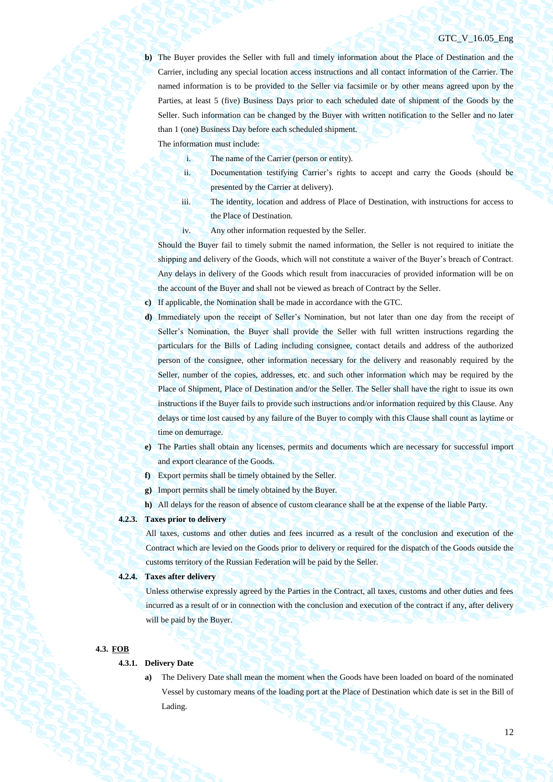**b)** The Buyer provides the Seller with full and timely information about the Place of Destination and the Carrier, including any special location access instructions and all contact information of the Carrier. The named information is to be provided to the Seller via facsimile or by other means agreed upon by the Parties, at least 5 (five) Business Days prior to each scheduled date of shipment of the Goods by the Seller. Such information can be changed by the Buyer with written notification to the Seller and no later than 1 (one) Business Day before each scheduled shipment.

The information must include:

- i. The name of the Carrier (person or entity).
- ii. Documentation testifying Carrier's rights to accept and carry the Goods (should be presented by the Carrier at delivery).
- iii. The identity, location and address of Place of Destination, with instructions for access to the Place of Destination.
- iv. Any other information requested by the Seller.

Should the Buyer fail to timely submit the named information, the Seller is not required to initiate the shipping and delivery of the Goods, which will not constitute a waiver of the Buyer's breach of Contract. Any delays in delivery of the Goods which result from inaccuracies of provided information will be on the account of the Buyer and shall not be viewed as breach of Contract by the Seller.

**c)** If applicable, the Nomination shall be made in accordance with the GTC.

- **d)** Immediately upon the receipt of Seller's Nomination, but not later than one day from the receipt of Seller's Nomination, the Buyer shall provide the Seller with full written instructions regarding the particulars for the Bills of Lading including consignee, contact details and address of the authorized person of the consignee, other information necessary for the delivery and reasonably required by the Seller, number of the copies, addresses, etc. and such other information which may be required by the Place of Shipment, Place of Destination and/or the Seller. The Seller shall have the right to issue its own instructions if the Buyer fails to provide such instructions and/or information required by this Clause. Any delays or time lost caused by any failure of the Buyer to comply with this Clause shall count as laytime or time on demurrage.
- **e)** The Parties shall obtain any licenses, permits and documents which are necessary for successful import and export clearance of the Goods.
- **f)** Export permits shall be timely obtained by the Seller.
- **g)** Import permits shall be timely obtained by the Buyer.
- **h)** All delays for the reason of absence of custom clearance shall be at the expense of the liable Party.

# **4.2.3. Taxes prior to delivery**

All taxes, customs and other duties and fees incurred as a result of the conclusion and execution of the Contract which are levied on the Goods prior to delivery or required for the dispatch of the Goods outside the customs territory of the Russian Federation will be paid by the Seller.

## **4.2.4. Taxes after delivery**

Unless otherwise expressly agreed by the Parties in the Contract, all taxes, customs and other duties and fees incurred as a result of or in connection with the conclusion and execution of the contract if any, after delivery will be paid by the Buyer.

#### **4.3. FOB**

### **4.3.1. Delivery Date**

**a)** The Delivery Date shall mean the moment when the Goods have been loaded on board of the nominated Vessel by customary means of the loading port at the Place of Destination which date is set in the Bill of Lading.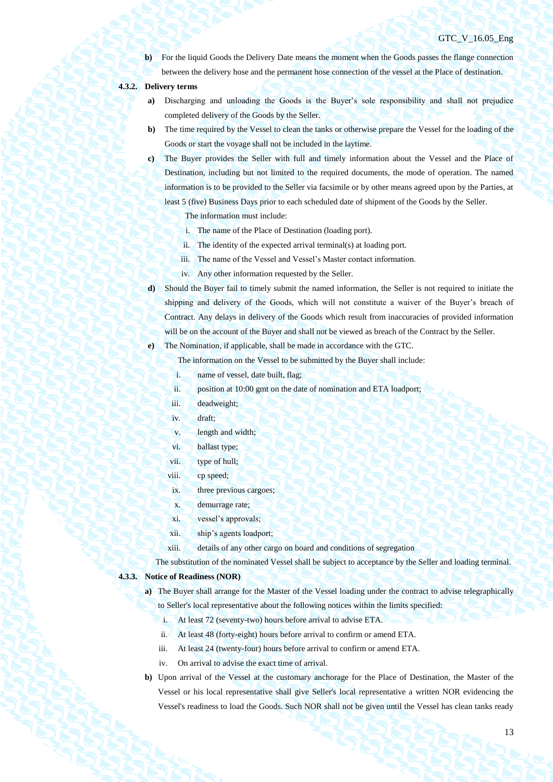**b**) For the liquid Goods the Delivery Date means the moment when the Goods passes the flange connection between the delivery hose and the permanent hose connection of the vessel at the Place of destination.

## **4.3.2. Delivery terms**

- **a)** Discharging and unloading the Goods is the Buyer's sole responsibility and shall not prejudice completed delivery of the Goods by the Seller.
- **b)** The time required by the Vessel to clean the tanks or otherwise prepare the Vessel for the loading of the Goods or start the voyage shall not be included in the laytime.
- **c)** The Buyer provides the Seller with full and timely information about the Vessel and the Place of Destination, including but not limited to the required documents, the mode of operation. The named information is to be provided to the Seller via facsimile or by other means agreed upon by the Parties, at least 5 (five) Business Days prior to each scheduled date of shipment of the Goods by the Seller.

The information must include:

- i. The name of the Place of Destination (loading port).
- ii. The identity of the expected arrival terminal(s) at loading port.
- iii. The name of the Vessel and Vessel's Master contact information.
- iv. Any other information requested by the Seller.
- **d)** Should the Buyer fail to timely submit the named information, the Seller is not required to initiate the shipping and delivery of the Goods, which will not constitute a waiver of the Buyer's breach of Contract. Any delays in delivery of the Goods which result from inaccuracies of provided information will be on the account of the Buyer and shall not be viewed as breach of the Contract by the Seller.

**e)** The Nomination, if applicable, shall be made in accordance with the GTC.

The information on the Vessel to be submitted by the Buyer shall include:

- i. name of vessel, date built, flag;
- ii. position at 10:00 gmt on the date of nomination and ETA loadport;
- iii. deadweight;
- iv. draft;
- v. length and width;
- vi. ballast type;
- vii. type of hull;
- viii. cp speed;
- ix. three previous cargoes;
- x. demurrage rate;
- xi. vessel's approvals;
- xii. ship's agents loadport;
- xiii. details of any other cargo on board and conditions of segregation

The substitution of the nominated Vessel shall be subject to acceptance by the Seller and loading terminal.

### **4.3.3. Notice of Readiness (NOR)**

- **a)** The Buyer shall arrange for the Master of the Vessel loading under the contract to advise telegraphically to Seller's local representative about the following notices within the limits specified:
	- i. At least 72 (seventy-two) hours before arrival to advise ETA.
	- ii. At least 48 (forty-eight) hours before arrival to confirm or amend ETA.
	- iii. At least 24 (twenty-four) hours before arrival to confirm or amend ETA.
	- iv. On arrival to advise the exact time of arrival.
- **b)** Upon arrival of the Vessel at the customary anchorage for the Place of Destination, the Master of the Vessel or his local representative shall give Seller's local representative a written NOR evidencing the Vessel's readiness to load the Goods. Such NOR shall not be given until the Vessel has clean tanks ready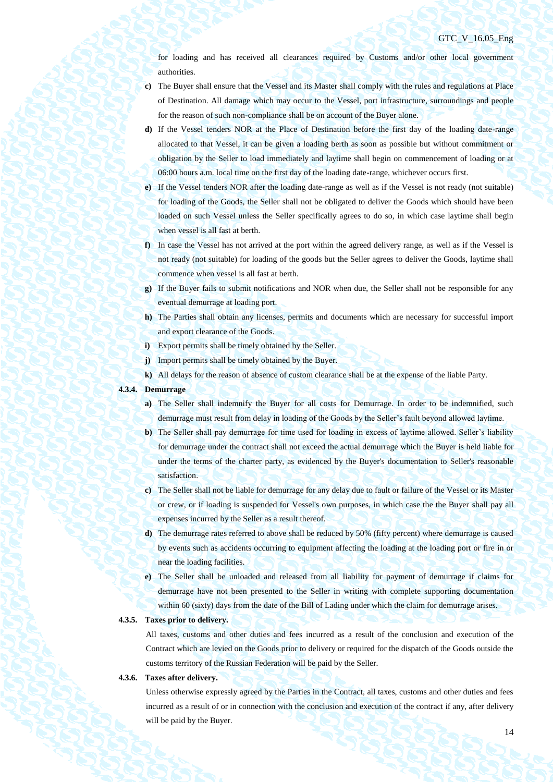for loading and has received all clearances required by Customs and/or other local government authorities.

- **c)** The Buyer shall ensure that the Vessel and its Master shall comply with the rules and regulations at Place of Destination. All damage which may occur to the Vessel, port infrastructure, surroundings and people for the reason of such non-compliance shall be on account of the Buyer alone.
- **d)** If the Vessel tenders NOR at the Place of Destination before the first day of the loading date-range allocated to that Vessel, it can be given a loading berth as soon as possible but without commitment or obligation by the Seller to load immediately and laytime shall begin on commencement of loading or at 06:00 hours a.m. local time on the first day of the loading date-range, whichever occurs first.
- **e)** If the Vessel tenders NOR after the loading date-range as well as if the Vessel is not ready (not suitable) for loading of the Goods, the Seller shall not be obligated to deliver the Goods which should have been loaded on such Vessel unless the Seller specifically agrees to do so, in which case laytime shall begin when vessel is all fast at berth.
- **f)** In case the Vessel has not arrived at the port within the agreed delivery range, as well as if the Vessel is not ready (not suitable) for loading of the goods but the Seller agrees to deliver the Goods, laytime shall commence when vessel is all fast at berth.
- **g)** If the Buyer fails to submit notifications and NOR when due, the Seller shall not be responsible for any eventual demurrage at loading port.
- **h)** The Parties shall obtain any licenses, permits and documents which are necessary for successful import and export clearance of the Goods.
- **i)** Export permits shall be timely obtained by the Seller.
- **j)** Import permits shall be timely obtained by the Buyer.
- **k)** All delays for the reason of absence of custom clearance shall be at the expense of the liable Party.

## **4.3.4. Demurrage**

- **a)** The Seller shall indemnify the Buyer for all costs for Demurrage. In order to be indemnified, such demurrage must result from delay in loading of the Goods by the Seller's fault beyond allowed laytime.
- **b)** The Seller shall pay demurrage for time used for loading in excess of laytime allowed. Seller's liability for demurrage under the contract shall not exceed the actual demurrage which the Buyer is held liable for under the terms of the charter party, as evidenced by the Buyer's documentation to Seller's reasonable satisfaction.
- **c)** The Seller shall not be liable for demurrage for any delay due to fault or failure of the Vessel or its Master or crew, or if loading is suspended for Vessel's own purposes, in which case the the Buyer shall pay all expenses incurred by the Seller as a result thereof.
- **d)** The demurrage rates referred to above shall be reduced by 50% (fifty percent) where demurrage is caused by events such as accidents occurring to equipment affecting the loading at the loading port or fire in or near the loading facilities.
- **e)** The Seller shall be unloaded and released from all liability for payment of demurrage if claims for demurrage have not been presented to the Seller in writing with complete supporting documentation within 60 (sixty) days from the date of the Bill of Lading under which the claim for demurrage arises.

## **4.3.5. Taxes prior to delivery.**

All taxes, customs and other duties and fees incurred as a result of the conclusion and execution of the Contract which are levied on the Goods prior to delivery or required for the dispatch of the Goods outside the customs territory of the Russian Federation will be paid by the Seller.

#### **4.3.6. Taxes after delivery.**

Unless otherwise expressly agreed by the Parties in the Contract, all taxes, customs and other duties and fees incurred as a result of or in connection with the conclusion and execution of the contract if any, after delivery will be paid by the Buyer.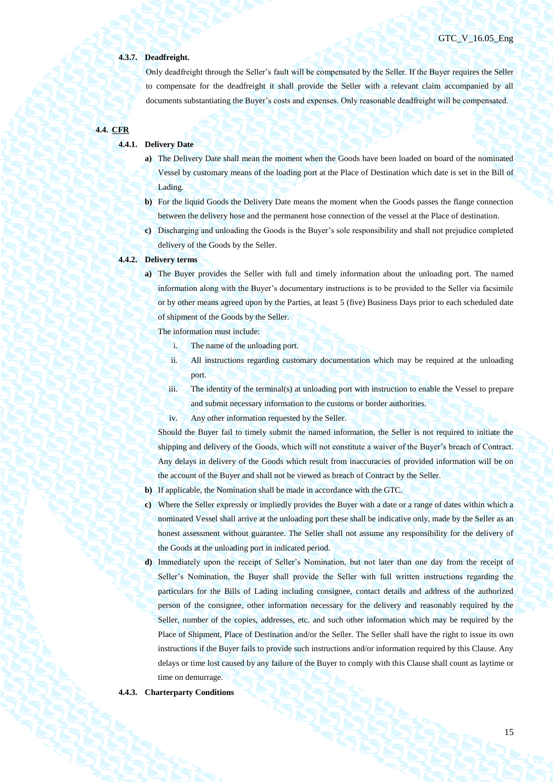## **4.3.7. Deadfreight.**

Only deadfreight through the Seller's fault will be compensated by the Seller. If the Buyer requires the Seller to compensate for the deadfreight it shall provide the Seller with a relevant claim accompanied by all documents substantiating the Buyer's costs and expenses. Only reasonable deadfreight will be compensated.

# **4.4. CFR**

## **4.4.1. Delivery Date**

- **a)** The Delivery Date shall mean the moment when the Goods have been loaded on board of the nominated Vessel by customary means of the loading port at the Place of Destination which date is set in the Bill of Lading.
- **b)** For the liquid Goods the Delivery Date means the moment when the Goods passes the flange connection between the delivery hose and the permanent hose connection of the vessel at the Place of destination.
- **c)** Discharging and unloading the Goods is the Buyer's sole responsibility and shall not prejudice completed delivery of the Goods by the Seller.

#### **4.4.2. Delivery terms**

**a)** The Buyer provides the Seller with full and timely information about the unloading port. The named information along with the Buyer's documentary instructions is to be provided to the Seller via facsimile or by other means agreed upon by the Parties, at least 5 (five) Business Days prior to each scheduled date of shipment of the Goods by the Seller.

The information must include:

- i. The name of the unloading port.
- ii. All instructions regarding customary documentation which may be required at the unloading port.
- iii. The identity of the terminal(s) at unloading port with instruction to enable the Vessel to prepare and submit necessary information to the customs or border authorities.
- iv. Any other information requested by the Seller.

Should the Buyer fail to timely submit the named information, the Seller is not required to initiate the shipping and delivery of the Goods, which will not constitute a waiver of the Buyer's breach of Contract. Any delays in delivery of the Goods which result from inaccuracies of provided information will be on the account of the Buyer and shall not be viewed as breach of Contract by the Seller.

- **b)** If applicable, the Nomination shall be made in accordance with the GTC.
- **c)** Where the Seller expressly or impliedly provides the Buyer with a date or a range of dates within which a nominated Vessel shall arrive at the unloading port these shall be indicative only, made by the Seller as an honest assessment without guarantee. The Seller shall not assume any responsibility for the delivery of the Goods at the unloading port in indicated period.
- **d)** Immediately upon the receipt of Seller's Nomination, but not later than one day from the receipt of Seller's Nomination, the Buyer shall provide the Seller with full written instructions regarding the particulars for the Bills of Lading including consignee, contact details and address of the authorized person of the consignee, other information necessary for the delivery and reasonably required by the Seller, number of the copies, addresses, etc. and such other information which may be required by the Place of Shipment, Place of Destination and/or the Seller. The Seller shall have the right to issue its own instructions if the Buyer fails to provide such instructions and/or information required by this Clause. Any delays or time lost caused by any failure of the Buyer to comply with this Clause shall count as laytime or time on demurrage.

#### **4.4.3. Charterparty Conditions**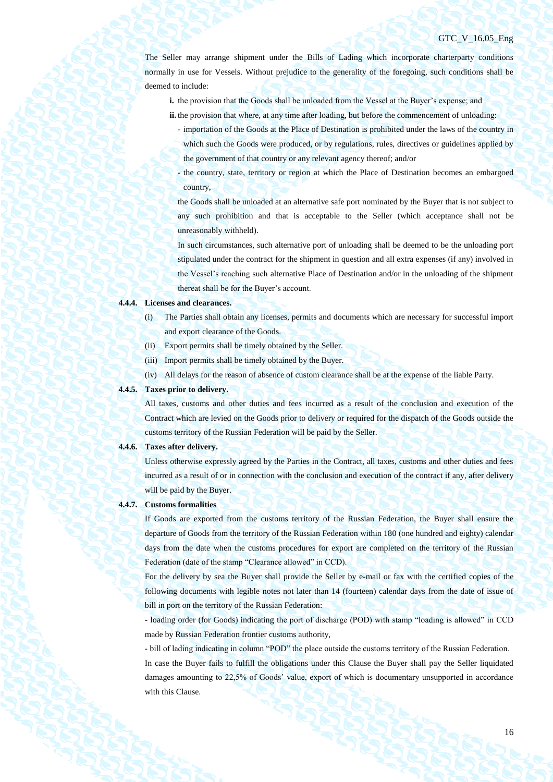The Seller may arrange shipment under the Bills of Lading which incorporate charterparty conditions normally in use for Vessels. Without prejudice to the generality of the foregoing, such conditions shall be deemed to include:

- **i.** the provision that the Goods shall be unloaded from the Vessel at the Buyer's expense; and
- **ii.** the provision that where, at any time after loading, but before the commencement of unloading:
	- importation of the Goods at the Place of Destination is prohibited under the laws of the country in which such the Goods were produced, or by regulations, rules, directives or guidelines applied by the government of that country or any relevant agency thereof; and/or
	- the country, state, territory or region at which the Place of Destination becomes an embargoed country,

the Goods shall be unloaded at an alternative safe port nominated by the Buyer that is not subject to any such prohibition and that is acceptable to the Seller (which acceptance shall not be unreasonably withheld).

In such circumstances, such alternative port of unloading shall be deemed to be the unloading port stipulated under the contract for the shipment in question and all extra expenses (if any) involved in the Vessel's reaching such alternative Place of Destination and/or in the unloading of the shipment thereat shall be for the Buyer's account.

#### **4.4.4. Licenses and clearances.**

- (i) The Parties shall obtain any licenses, permits and documents which are necessary for successful import and export clearance of the Goods.
- (ii) Export permits shall be timely obtained by the Seller.
- (iii) Import permits shall be timely obtained by the Buyer.
- (iv) All delays for the reason of absence of custom clearance shall be at the expense of the liable Party.

## **4.4.5. Taxes prior to delivery.**

All taxes, customs and other duties and fees incurred as a result of the conclusion and execution of the Contract which are levied on the Goods prior to delivery or required for the dispatch of the Goods outside the customs territory of the Russian Federation will be paid by the Seller.

#### **4.4.6. Taxes after delivery.**

Unless otherwise expressly agreed by the Parties in the Contract, all taxes, customs and other duties and fees incurred as a result of or in connection with the conclusion and execution of the contract if any, after delivery will be paid by the Buyer.

#### **4.4.7. Customs formalities**

If Goods are exported from the customs territory of the Russian Federation, the Buyer shall ensure the departure of Goods from the territory of the Russian Federation within 180 (one hundred and eighty) calendar days from the date when the customs procedures for export are completed on the territory of the Russian Federation (date of the stamp "Clearance allowed" in CCD).

For the delivery by sea the Buyer shall provide the Seller by e-mail or fax with the certified copies of the following documents with legible notes not later than 14 (fourteen) calendar days from the date of issue of bill in port on the territory of the Russian Federation:

- loading order (for Goods) indicating the port of discharge (POD) with stamp "loading is allowed" in CCD made by Russian Federation frontier customs authority,

- bill of lading indicating in column "POD" the place outside the customs territory of the Russian Federation. In case the Buyer fails to fulfill the obligations under this Clause the Buyer shall pay the Seller liquidated damages amounting to 22,5% of Goods' value, export of which is documentary unsupported in accordance with this Clause.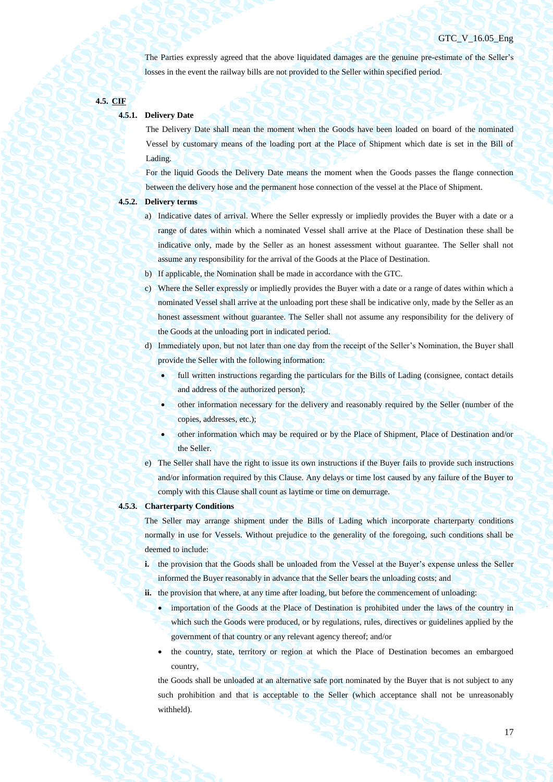The Parties expressly agreed that the above liquidated damages are the genuine pre-estimate of the Seller's losses in the event the railway bills are not provided to the Seller within specified period.

## **4.5. CIF**

## **4.5.1. Delivery Date**

The Delivery Date shall mean the moment when the Goods have been loaded on board of the nominated Vessel by customary means of the loading port at the Place of Shipment which date is set in the Bill of Lading.

For the liquid Goods the Delivery Date means the moment when the Goods passes the flange connection between the delivery hose and the permanent hose connection of the vessel at the Place of Shipment.

## **4.5.2. Delivery terms**

- a) Indicative dates of arrival. Where the Seller expressly or impliedly provides the Buyer with a date or a range of dates within which a nominated Vessel shall arrive at the Place of Destination these shall be indicative only, made by the Seller as an honest assessment without guarantee. The Seller shall not assume any responsibility for the arrival of the Goods at the Place of Destination.
- b) If applicable, the Nomination shall be made in accordance with the GTC.
- c) Where the Seller expressly or impliedly provides the Buyer with a date or a range of dates within which a nominated Vessel shall arrive at the unloading port these shall be indicative only, made by the Seller as an honest assessment without guarantee. The Seller shall not assume any responsibility for the delivery of the Goods at the unloading port in indicated period.
- d) Immediately upon, but not later than one day from the receipt of the Seller's Nomination, the Buyer shall provide the Seller with the following information:
	- full written instructions regarding the particulars for the Bills of Lading (consignee, contact details and address of the authorized person);
		- other information necessary for the delivery and reasonably required by the Seller (number of the copies, addresses, etc.);
	- other information which may be required or by the Place of Shipment, Place of Destination and/or the Seller.
- e) The Seller shall have the right to issue its own instructions if the Buyer fails to provide such instructions and/or information required by this Clause. Any delays or time lost caused by any failure of the Buyer to comply with this Clause shall count as laytime or time on demurrage.

## **4.5.3. Charterparty Conditions**

The Seller may arrange shipment under the Bills of Lading which incorporate charterparty conditions normally in use for Vessels. Without prejudice to the generality of the foregoing, such conditions shall be deemed to include:

**i.** the provision that the Goods shall be unloaded from the Vessel at the Buyer's expense unless the Seller informed the Buyer reasonably in advance that the Seller bears the unloading costs; and

ii. the provision that where, at any time after loading, but before the commencement of unloading:

- importation of the Goods at the Place of Destination is prohibited under the laws of the country in which such the Goods were produced, or by regulations, rules, directives or guidelines applied by the government of that country or any relevant agency thereof; and/or
- the country, state, territory or region at which the Place of Destination becomes an embargoed country,

the Goods shall be unloaded at an alternative safe port nominated by the Buyer that is not subject to any such prohibition and that is acceptable to the Seller (which acceptance shall not be unreasonably withheld).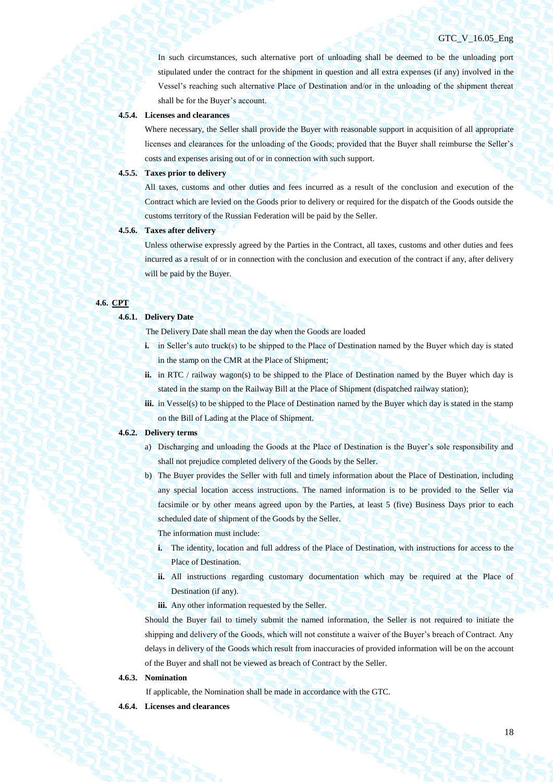In such circumstances, such alternative port of unloading shall be deemed to be the unloading port stipulated under the contract for the shipment in question and all extra expenses (if any) involved in the Vessel's reaching such alternative Place of Destination and/or in the unloading of the shipment thereat shall be for the Buyer's account.

#### **4.5.4. Licenses and clearances**

Where necessary, the Seller shall provide the Buyer with reasonable support in acquisition of all appropriate licenses and clearances for the unloading of the Goods; provided that the Buyer shall reimburse the Seller's costs and expenses arising out of or in connection with such support.

#### **4.5.5. Taxes prior to delivery**

All taxes, customs and other duties and fees incurred as a result of the conclusion and execution of the Contract which are levied on the Goods prior to delivery or required for the dispatch of the Goods outside the customs territory of the Russian Federation will be paid by the Seller.

## **4.5.6. Taxes after delivery**

Unless otherwise expressly agreed by the Parties in the Contract, all taxes, customs and other duties and fees incurred as a result of or in connection with the conclusion and execution of the contract if any, after delivery will be paid by the Buyer.

## **4.6. CPT**

#### **4.6.1. Delivery Date**

The Delivery Date shall mean the day when the Goods are loaded

- **i.** in Seller's auto truck(s) to be shipped to the Place of Destination named by the Buyer which day is stated in the stamp on the CMR at the Place of Shipment;
- **ii.** in RTC / railway wagon(s) to be shipped to the Place of Destination named by the Buyer which day is stated in the stamp on the Railway Bill at the Place of Shipment (dispatched railway station);
- **iii.** in Vessel(s) to be shipped to the Place of Destination named by the Buyer which day is stated in the stamp on the Bill of Lading at the Place of Shipment.

#### **4.6.2. Delivery terms**

- a) Discharging and unloading the Goods at the Place of Destination is the Buyer's sole responsibility and shall not prejudice completed delivery of the Goods by the Seller.
- b) The Buyer provides the Seller with full and timely information about the Place of Destination, including any special location access instructions. The named information is to be provided to the Seller via facsimile or by other means agreed upon by the Parties, at least 5 (five) Business Days prior to each scheduled date of shipment of the Goods by the Seller.

The information must include:

- **i.** The identity, location and full address of the Place of Destination, with instructions for access to the Place of Destination.
- **ii.** All instructions regarding customary documentation which may be required at the Place of Destination (if any).
- iii. Any other information requested by the Seller.

Should the Buyer fail to timely submit the named information, the Seller is not required to initiate the shipping and delivery of the Goods, which will not constitute a waiver of the Buyer's breach of Contract. Any delays in delivery of the Goods which result from inaccuracies of provided information will be on the account of the Buyer and shall not be viewed as breach of Contract by the Seller.

#### **4.6.3. Nomination**

If applicable, the Nomination shall be made in accordance with the GTC.

**4.6.4. Licenses and clearances**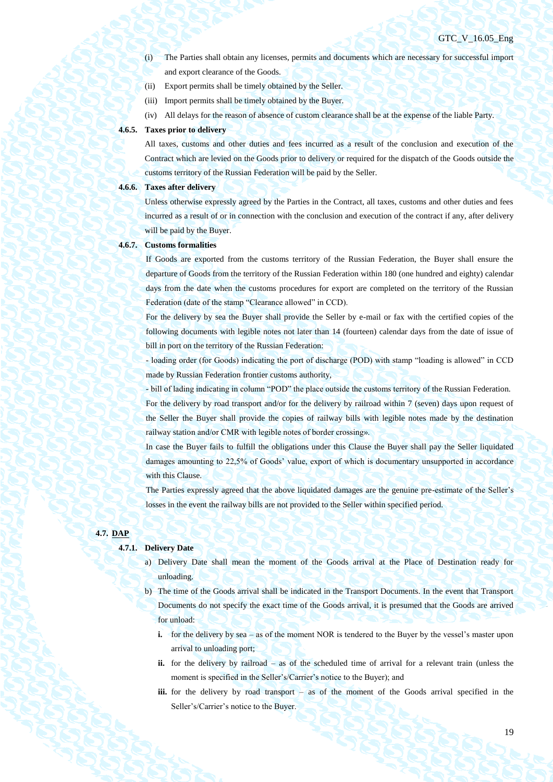- (i) The Parties shall obtain any licenses, permits and documents which are necessary for successful import and export clearance of the Goods.
- (ii) Export permits shall be timely obtained by the Seller.
- (iii) Import permits shall be timely obtained by the Buyer.
- (iv) All delays for the reason of absence of custom clearance shall be at the expense of the liable Party.

#### **4.6.5. Taxes prior to delivery**

All taxes, customs and other duties and fees incurred as a result of the conclusion and execution of the Contract which are levied on the Goods prior to delivery or required for the dispatch of the Goods outside the customs territory of the Russian Federation will be paid by the Seller.

## **4.6.6. Taxes after delivery**

Unless otherwise expressly agreed by the Parties in the Contract, all taxes, customs and other duties and fees incurred as a result of or in connection with the conclusion and execution of the contract if any, after delivery will be paid by the Buyer.

### **4.6.7. Customs formalities**

If Goods are exported from the customs territory of the Russian Federation, the Buyer shall ensure the departure of Goods from the territory of the Russian Federation within 180 (one hundred and eighty) calendar days from the date when the customs procedures for export are completed on the territory of the Russian Federation (date of the stamp "Clearance allowed" in CCD).

For the delivery by sea the Buyer shall provide the Seller by e-mail or fax with the certified copies of the following documents with legible notes not later than 14 (fourteen) calendar days from the date of issue of bill in port on the territory of the Russian Federation:

- loading order (for Goods) indicating the port of discharge (POD) with stamp "loading is allowed" in CCD made by Russian Federation frontier customs authority,

- bill of lading indicating in column "POD" the place outside the customs territory of the Russian Federation. For the delivery by road transport and/or for the delivery by railroad within 7 (seven) days upon request of the Seller the Buyer shall provide the copies of railway bills with legible notes made by the destination railway station and/or CMR with legible notes of border crossing».

In case the Buyer fails to fulfill the obligations under this Clause the Buyer shall pay the Seller liquidated damages amounting to 22,5% of Goods' value, export of which is documentary unsupported in accordance with this Clause.

The Parties expressly agreed that the above liquidated damages are the genuine pre-estimate of the Seller's losses in the event the railway bills are not provided to the Seller within specified period.

### **4.7. DAP**

# **4.7.1. Delivery Date**

- a) Delivery Date shall mean the moment of the Goods arrival at the Place of Destination ready for unloading.
- b) The time of the Goods arrival shall be indicated in the Transport Documents. In the event that Transport Documents do not specify the exact time of the Goods arrival, it is presumed that the Goods are arrived for unload:
	- **i.** for the delivery by sea as of the moment NOR is tendered to the Buyer by the vessel's master upon arrival to unloading port;
	- **ii.** for the delivery by railroad as of the scheduled time of arrival for a relevant train (unless the moment is specified in the Seller's/Carrier's notice to the Buyer); and
	- **iii.** for the delivery by road transport as of the moment of the Goods arrival specified in the Seller's/Carrier's notice to the Buyer.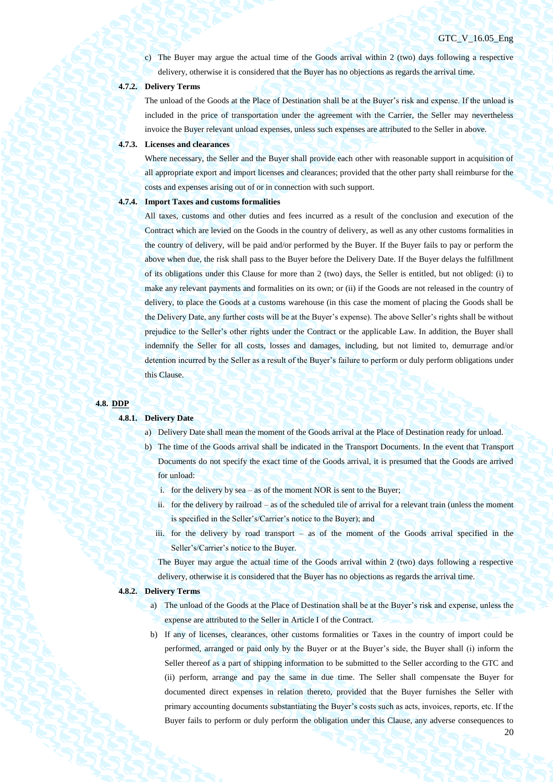20

c) The Buyer may argue the actual time of the Goods arrival within 2 (two) days following a respective delivery, otherwise it is considered that the Buyer has no objections as regards the arrival time.

## **4.7.2. Delivery Terms**

The unload of the Goods at the Place of Destination shall be at the Buyer's risk and expense. If the unload is included in the price of transportation under the agreement with the Carrier, the Seller may nevertheless invoice the Buyer relevant unload expenses, unless such expenses are attributed to the Seller in above.

#### **4.7.3. Licenses and clearances**

Where necessary, the Seller and the Buyer shall provide each other with reasonable support in acquisition of all appropriate export and import licenses and clearances; provided that the other party shall reimburse for the costs and expenses arising out of or in connection with such support.

#### **4.7.4. Import Taxes and customs formalities**

All taxes, customs and other duties and fees incurred as a result of the conclusion and execution of the Contract which are levied on the Goods in the country of delivery, as well as any other customs formalities in the country of delivery, will be paid and/or performed by the Buyer. If the Buyer fails to pay or perform the above when due, the risk shall pass to the Buyer before the Delivery Date. If the Buyer delays the fulfillment of its obligations under this Clause for more than 2 (two) days, the Seller is entitled, but not obliged: (i) to make any relevant payments and formalities on its own; or (ii) if the Goods are not released in the country of delivery, to place the Goods at a customs warehouse (in this case the moment of placing the Goods shall be the Delivery Date, any further costs will be at the Buyer's expense). The above Seller's rights shall be without prejudice to the Seller's other rights under the Contract or the applicable Law. In addition, the Buyer shall indemnify the Seller for all costs, losses and damages, including, but not limited to, demurrage and/or detention incurred by the Seller as a result of the Buyer's failure to perform or duly perform obligations under this Clause.

#### **4.8. DDP**

#### **4.8.1. Delivery Date**

- a) Delivery Date shall mean the moment of the Goods arrival at the Place of Destination ready for unload.
- b) The time of the Goods arrival shall be indicated in the Transport Documents. In the event that Transport Documents do not specify the exact time of the Goods arrival, it is presumed that the Goods are arrived for unload:
	- i. for the delivery by sea as of the moment NOR is sent to the Buyer;
	- ii. for the delivery by railroad as of the scheduled tile of arrival for a relevant train (unless the moment is specified in the Seller's/Carrier's notice to the Buyer); and
	- iii. for the delivery by road transport as of the moment of the Goods arrival specified in the Seller's/Carrier's notice to the Buyer.

The Buyer may argue the actual time of the Goods arrival within 2 (two) days following a respective delivery, otherwise it is considered that the Buyer has no objections as regards the arrival time.

#### **4.8.2. Delivery Terms**

- a) The unload of the Goods at the Place of Destination shall be at the Buyer's risk and expense, unless the expense are attributed to the Seller in Article I of the Contract.
- b) If any of licenses, clearances, other customs formalities or Taxes in the country of import could be performed, arranged or paid only by the Buyer or at the Buyer's side, the Buyer shall (i) inform the Seller thereof as a part of shipping information to be submitted to the Seller according to the GTC and (ii) perform, arrange and pay the same in due time. The Seller shall compensate the Buyer for documented direct expenses in relation thereto, provided that the Buyer furnishes the Seller with primary accounting documents substantiating the Buyer's costs such as acts, invoices, reports, etc. If the Buyer fails to perform or duly perform the obligation under this Clause, any adverse consequences to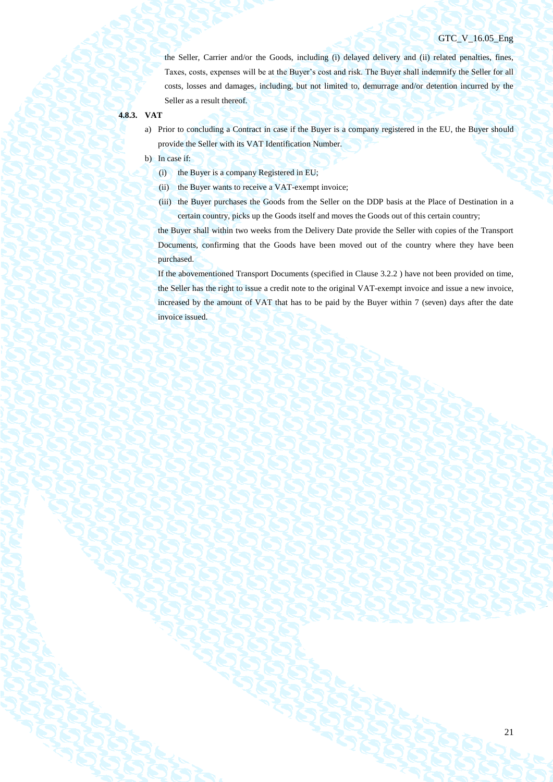the Seller, Carrier and/or the Goods, including (i) delayed delivery and (ii) related penalties, fines, Taxes, costs, expenses will be at the Buyer's cost and risk. The Buyer shall indemnify the Seller for all costs, losses and damages, including, but not limited to, demurrage and/or detention incurred by the Seller as a result thereof.

#### **4.8.3. VAT**

- a) Prior to concluding a Contract in case if the Buyer is a company registered in the EU, the Buyer should provide the Seller with its VAT Identification Number.
- b) In case if:
	- (i) the Buyer is a company Registered in EU;
	- (ii) the Buyer wants to receive a VAT-exempt invoice;
	- (iii) the Buyer purchases the Goods from the Seller on the DDP basis at the Place of Destination in a certain country, picks up the Goods itself and moves the Goods out of this certain country;

the Buyer shall within two weeks from the Delivery Date provide the Seller with copies of the Transport Documents, confirming that the Goods have been moved out of the country where they have been purchased.

If the abovementioned Transport Documents (specified in Clause 3.2.2 ) have not been provided on time, the Seller has the right to issue a credit note to the original VAT-exempt invoice and issue a new invoice, increased by the amount of VAT that has to be paid by the Buyer within 7 (seven) days after the date invoice issued.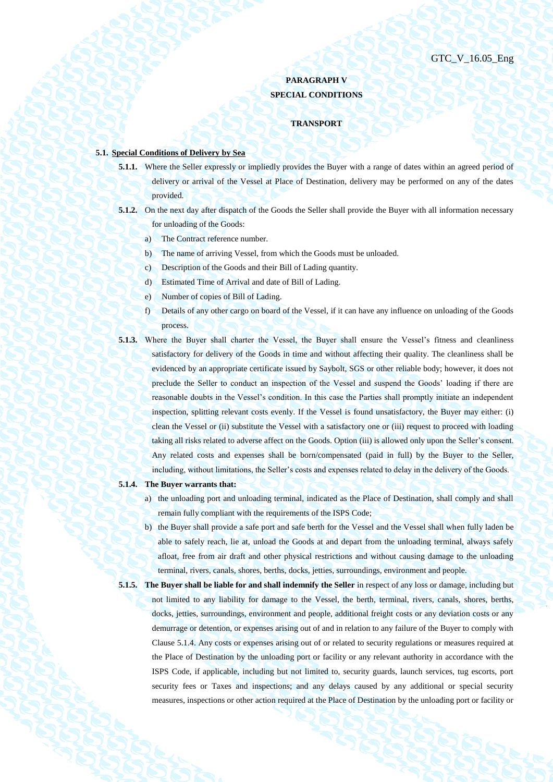# **PARAGRAPH V SPECIAL CONDITIONS**

#### **TRANSPORT**

## **5.1. Special Conditions of Delivery by Sea**

- **5.1.1.** Where the Seller expressly or impliedly provides the Buyer with a range of dates within an agreed period of delivery or arrival of the Vessel at Place of Destination, delivery may be performed on any of the dates provided.
- **5.1.2.** On the next day after dispatch of the Goods the Seller shall provide the Buyer with all information necessary for unloading of the Goods:
	- a) The Contract reference number.
	- b) The name of arriving Vessel, from which the Goods must be unloaded.
	- c) Description of the Goods and their Bill of Lading quantity.
	- d) Estimated Time of Arrival and date of Bill of Lading.
	- e) Number of copies of Bill of Lading.
	- f) Details of any other cargo on board of the Vessel, if it can have any influence on unloading of the Goods process.
- **5.1.3.** Where the Buyer shall charter the Vessel, the Buyer shall ensure the Vessel's fitness and cleanliness satisfactory for delivery of the Goods in time and without affecting their quality. The cleanliness shall be evidenced by an appropriate certificate issued by Saybolt, SGS or other reliable body; however, it does not preclude the Seller to conduct an inspection of the Vessel and suspend the Goods' loading if there are reasonable doubts in the Vessel's condition. In this case the Parties shall promptly initiate an independent inspection, splitting relevant costs evenly. If the Vessel is found unsatisfactory, the Buyer may either: (i) clean the Vessel or (ii) substitute the Vessel with a satisfactory one or (iii) request to proceed with loading taking all risks related to adverse affect on the Goods. Option (iii) is allowed only upon the Seller's consent. Any related costs and expenses shall be born/compensated (paid in full) by the Buyer to the Seller, including, without limitations, the Seller's costs and expenses related to delay in the delivery of the Goods.

#### <span id="page-21-0"></span>**5.1.4. The Buyer warrants that:**

- a) the unloading port and unloading terminal, indicated as the Place of Destination, shall comply and shall remain fully compliant with the requirements of the ISPS Code;
- b) the Buyer shall provide a safe port and safe berth for the Vessel and the Vessel shall when fully laden be able to safely reach, lie at, unload the Goods at and depart from the unloading terminal, always safely afloat, free from air draft and other physical restrictions and without causing damage to the unloading terminal, rivers, canals, shores, berths, docks, jetties, surroundings, environment and people.
- **5.1.5. The Buyer shall be liable for and shall indemnify the Seller** in respect of any loss or damage, including but not limited to any liability for damage to the Vessel, the berth, terminal, rivers, canals, shores, berths, docks, jetties, surroundings, environment and people, additional freight costs or any deviation costs or any demurrage or detention, or expenses arising out of and in relation to any failure of the Buyer to comply with Claus[e 5.1.4.](#page-21-0) Any costs or expenses arising out of or related to security regulations or measures required at the Place of Destination by the unloading port or facility or any relevant authority in accordance with the ISPS Code, if applicable, including but not limited to, security guards, launch services, tug escorts, port security fees or Taxes and inspections; and any delays caused by any additional or special security measures, inspections or other action required at the Place of Destination by the unloading port or facility or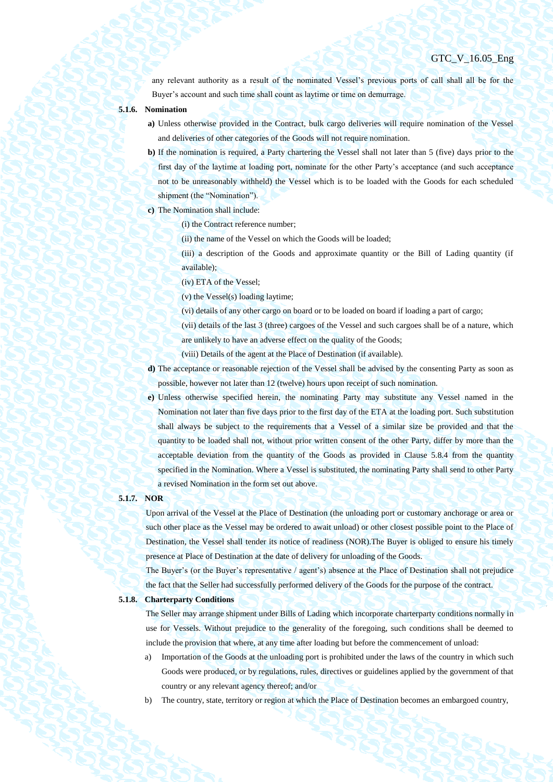any relevant authority as a result of the nominated Vessel's previous ports of call shall all be for the Buyer's account and such time shall count as laytime or time on demurrage.

- **5.1.6. Nomination**
	- **a)** Unless otherwise provided in the Contract, bulk cargo deliveries will require nomination of the Vessel and deliveries of other categories of the Goods will not require nomination.
	- **b)** If the nomination is required, a Party chartering the Vessel shall not later than 5 (five) days prior to the first day of the laytime at loading port, nominate for the other Party's acceptance (and such acceptance not to be unreasonably withheld) the Vessel which is to be loaded with the Goods for each scheduled shipment (the "Nomination").
	- **c)** The Nomination shall include:
		- (i) the Contract reference number;
			- (ii) the name of the Vessel on which the Goods will be loaded;
		- (iii) a description of the Goods and approximate quantity or the Bill of Lading quantity (if available);
			- (iv) ETA of the Vessel;
			- (v) the Vessel(s) loading laytime;
			- (vi) details of any other cargo on board or to be loaded on board if loading a part of cargo;
			- (vii) details of the last 3 (three) cargoes of the Vessel and such cargoes shall be of a nature, which
			- are unlikely to have an adverse effect on the quality of the Goods;
		- (viii) Details of the agent at the Place of Destination (if available).
	- **d)** The acceptance or reasonable rejection of the Vessel shall be advised by the consenting Party as soon as possible, however not later than 12 (twelve) hours upon receipt of such nomination.
	- **e)** Unless otherwise specified herein, the nominating Party may substitute any Vessel named in the Nomination not later than five days prior to the first day of the ETA at the loading port. Such substitution shall always be subject to the requirements that a Vessel of a similar size be provided and that the quantity to be loaded shall not, without prior written consent of the other Party, differ by more than the acceptable deviation from the quantity of the Goods as provided in Clause [5.8.4](#page-37-0) from the quantity specified in the Nomination. Where a Vessel is substituted, the nominating Party shall send to other Party a revised Nomination in the form set out above.

## **5.1.7. NOR**

Upon arrival of the Vessel at the Place of Destination (the unloading port or customary anchorage or area or such other place as the Vessel may be ordered to await unload) or other closest possible point to the Place of Destination, the Vessel shall tender its notice of readiness (NOR).The Buyer is obliged to ensure his timely presence at Place of Destination at the date of delivery for unloading of the Goods.

The Buyer's (or the Buyer's representative / agent's) absence at the Place of Destination shall not prejudice the fact that the Seller had successfully performed delivery of the Goods for the purpose of the contract.

#### **5.1.8. Charterparty Conditions**

The Seller may arrange shipment under Bills of Lading which incorporate charterparty conditions normally in use for Vessels. Without prejudice to the generality of the foregoing, such conditions shall be deemed to include the provision that where, at any time after loading but before the commencement of unload:

- a) Importation of the Goods at the unloading port is prohibited under the laws of the country in which such Goods were produced, or by regulations, rules, directives or guidelines applied by the government of that country or any relevant agency thereof; and/or
- b) The country, state, territory or region at which the Place of Destination becomes an embargoed country,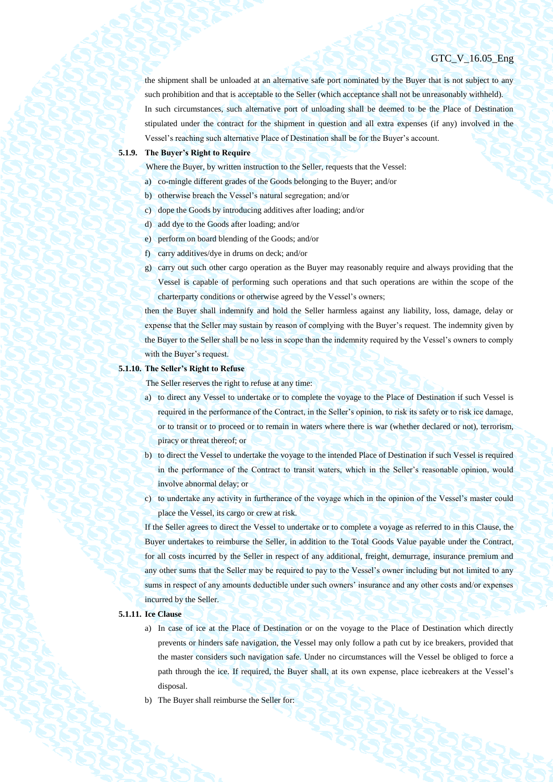the shipment shall be unloaded at an alternative safe port nominated by the Buyer that is not subject to any such prohibition and that is acceptable to the Seller (which acceptance shall not be unreasonably withheld). In such circumstances, such alternative port of unloading shall be deemed to be the Place of Destination stipulated under the contract for the shipment in question and all extra expenses (if any) involved in the Vessel's reaching such alternative Place of Destination shall be for the Buyer's account.

#### **5.1.9. The Buyer's Right to Require**

Where the Buyer, by written instruction to the Seller, requests that the Vessel:

- a) co-mingle different grades of the Goods belonging to the Buyer; and/or
- b) otherwise breach the Vessel's natural segregation; and/or
- c) dope the Goods by introducing additives after loading; and/or
- d) add dye to the Goods after loading; and/or
- e) perform on board blending of the Goods; and/or
- f) carry additives/dye in drums on deck; and/or
- g) carry out such other cargo operation as the Buyer may reasonably require and always providing that the Vessel is capable of performing such operations and that such operations are within the scope of the charterparty conditions or otherwise agreed by the Vessel's owners;

then the Buyer shall indemnify and hold the Seller harmless against any liability, loss, damage, delay or expense that the Seller may sustain by reason of complying with the Buyer's request. The indemnity given by the Buyer to the Seller shall be no less in scope than the indemnity required by the Vessel's owners to comply with the Buyer's request.

#### **5.1.10. The Seller's Right to Refuse**

The Seller reserves the right to refuse at any time:

- a) to direct any Vessel to undertake or to complete the voyage to the Place of Destination if such Vessel is required in the performance of the Contract, in the Seller's opinion, to risk its safety or to risk ice damage, or to transit or to proceed or to remain in waters where there is war (whether declared or not), terrorism, piracy or threat thereof; or
- b) to direct the Vessel to undertake the voyage to the intended Place of Destination if such Vessel is required in the performance of the Contract to transit waters, which in the Seller's reasonable opinion, would involve abnormal delay; or
- c) to undertake any activity in furtherance of the voyage which in the opinion of the Vessel's master could place the Vessel, its cargo or crew at risk.

If the Seller agrees to direct the Vessel to undertake or to complete a voyage as referred to in this Clause, the Buyer undertakes to reimburse the Seller, in addition to the Total Goods Value payable under the Contract, for all costs incurred by the Seller in respect of any additional, freight, demurrage, insurance premium and any other sums that the Seller may be required to pay to the Vessel's owner including but not limited to any sums in respect of any amounts deductible under such owners' insurance and any other costs and/or expenses incurred by the Seller.

## **5.1.11. Ice Clause**

- a) In case of ice at the Place of Destination or on the voyage to the Place of Destination which directly prevents or hinders safe navigation, the Vessel may only follow a path cut by ice breakers, provided that the master considers such navigation safe. Under no circumstances will the Vessel be obliged to force a path through the ice. If required, the Buyer shall, at its own expense, place icebreakers at the Vessel's disposal.
- b) The Buyer shall reimburse the Seller for: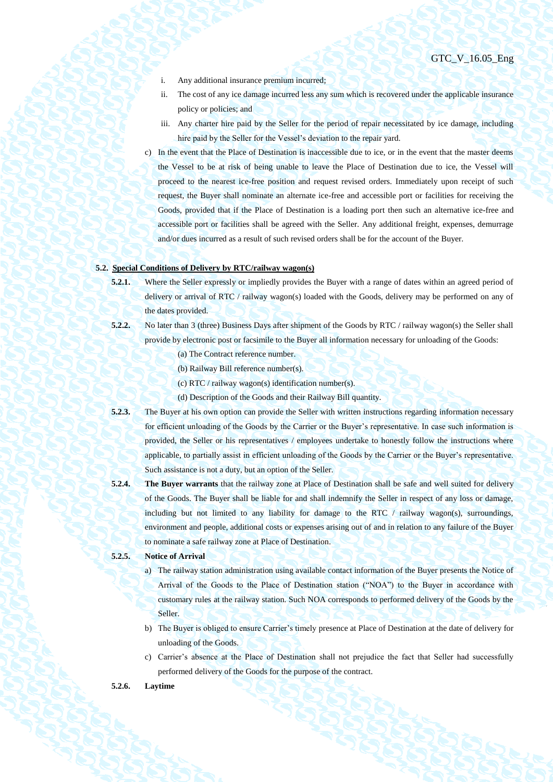- i. Any additional insurance premium incurred;
- ii. The cost of any ice damage incurred less any sum which is recovered under the applicable insurance policy or policies; and
- iii. Any charter hire paid by the Seller for the period of repair necessitated by ice damage, including hire paid by the Seller for the Vessel's deviation to the repair yard.
- c) In the event that the Place of Destination is inaccessible due to ice, or in the event that the master deems the Vessel to be at risk of being unable to leave the Place of Destination due to ice, the Vessel will proceed to the nearest ice-free position and request revised orders. Immediately upon receipt of such request, the Buyer shall nominate an alternate ice-free and accessible port or facilities for receiving the Goods, provided that if the Place of Destination is a loading port then such an alternative ice-free and accessible port or facilities shall be agreed with the Seller. Any additional freight, expenses, demurrage and/or dues incurred as a result of such revised orders shall be for the account of the Buyer.

## **5.2. Special Conditions of Delivery by RTC/railway wagon(s)**

- **5.2.1.** Where the Seller expressly or impliedly provides the Buyer with a range of dates within an agreed period of delivery or arrival of RTC / railway wagon(s) loaded with the Goods, delivery may be performed on any of the dates provided.
- **5.2.2.** No later than 3 (three) Business Days after shipment of the Goods by RTC / railway wagon(s) the Seller shall provide by electronic post or facsimile to the Buyer all information necessary for unloading of the Goods:
	- (a) The Contract reference number.
	- (b) Railway Bill reference number(s).
	- (c) RTC / railway wagon(s) identification number(s).
	- (d) Description of the Goods and their Railway Bill quantity.
- **5.2.3.** The Buyer at his own option can provide the Seller with written instructions regarding information necessary for efficient unloading of the Goods by the Carrier or the Buyer's representative. In case such information is provided, the Seller or his representatives / employees undertake to honestly follow the instructions where applicable, to partially assist in efficient unloading of the Goods by the Carrier or the Buyer's representative. Such assistance is not a duty, but an option of the Seller.
- **5.2.4. The Buyer warrants** that the railway zone at Place of Destination shall be safe and well suited for delivery of the Goods. The Buyer shall be liable for and shall indemnify the Seller in respect of any loss or damage, including but not limited to any liability for damage to the RTC  $/$  railway wagon(s), surroundings, environment and people, additional costs or expenses arising out of and in relation to any failure of the Buyer to nominate a safe railway zone at Place of Destination.

## **5.2.5. Notice of Arrival**

- a) The railway station administration using available contact information of the Buyer presents the Notice of Arrival of the Goods to the Place of Destination station ("NOA") to the Buyer in accordance with customary rules at the railway station. Such NOA corresponds to performed delivery of the Goods by the Seller.
- b) The Buyer is obliged to ensure Carrier's timely presence at Place of Destination at the date of delivery for unloading of the Goods.
- c) Carrier's absence at the Place of Destination shall not prejudice the fact that Seller had successfully performed delivery of the Goods for the purpose of the contract.

## **5.2.6. Laytime**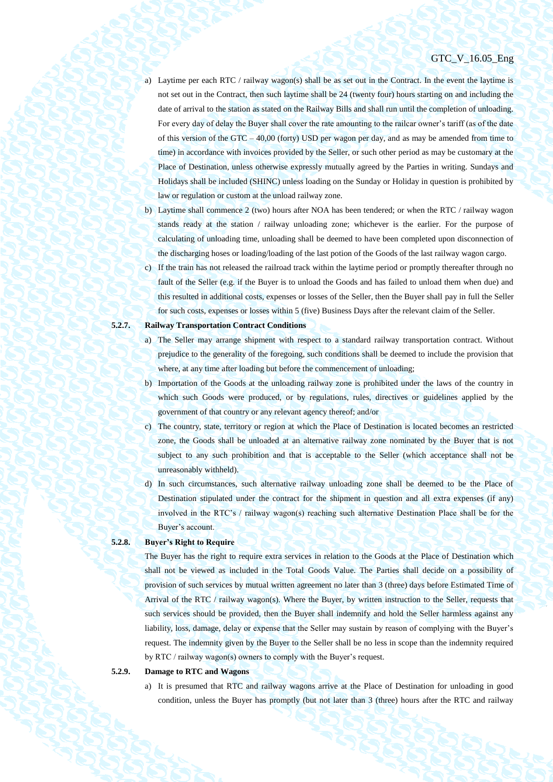- a) Laytime per each RTC / railway wagon(s) shall be as set out in the Contract. In the event the laytime is not set out in the Contract, then such laytime shall be 24 (twenty four) hours starting on and including the date of arrival to the station as stated on the Railway Bills and shall run until the completion of unloading. For every day of delay the Buyer shall cover the rate amounting to the railcar owner's tariff (as of the date of this version of the GTC – 40,00 (forty) USD per wagon per day, and as may be amended from time to time) in accordance with invoices provided by the Seller, or such other period as may be customary at the Place of Destination, unless otherwise expressly mutually agreed by the Parties in writing. Sundays and Holidays shall be included (SHINC) unless loading on the Sunday or Holiday in question is prohibited by law or regulation or custom at the unload railway zone.
- b) Laytime shall commence 2 (two) hours after NOA has been tendered; or when the RTC / railway wagon stands ready at the station / railway unloading zone; whichever is the earlier. For the purpose of calculating of unloading time, unloading shall be deemed to have been completed upon disconnection of the discharging hoses or loading/loading of the last potion of the Goods of the last railway wagon cargo.
- c) If the train has not released the railroad track within the laytime period or promptly thereafter through no fault of the Seller (e.g. if the Buyer is to unload the Goods and has failed to unload them when due) and this resulted in additional costs, expenses or losses of the Seller, then the Buyer shall pay in full the Seller for such costs, expenses or losses within 5 (five) Business Days after the relevant claim of the Seller.

## **5.2.7. Railway Transportation Contract Conditions**

- a) The Seller may arrange shipment with respect to a standard railway transportation contract. Without prejudice to the generality of the foregoing, such conditions shall be deemed to include the provision that where, at any time after loading but before the commencement of unloading;
- b) Importation of the Goods at the unloading railway zone is prohibited under the laws of the country in which such Goods were produced, or by regulations, rules, directives or guidelines applied by the government of that country or any relevant agency thereof; and/or
- c) The country, state, territory or region at which the Place of Destination is located becomes an restricted zone, the Goods shall be unloaded at an alternative railway zone nominated by the Buyer that is not subject to any such prohibition and that is acceptable to the Seller (which acceptance shall not be unreasonably withheld).
- d) In such circumstances, such alternative railway unloading zone shall be deemed to be the Place of Destination stipulated under the contract for the shipment in question and all extra expenses (if any) involved in the RTC's / railway wagon(s) reaching such alternative Destination Place shall be for the Buyer's account.

## **5.2.8. Buyer's Right to Require**

The Buyer has the right to require extra services in relation to the Goods at the Place of Destination which shall not be viewed as included in the Total Goods Value. The Parties shall decide on a possibility of provision of such services by mutual written agreement no later than 3 (three) days before Estimated Time of Arrival of the RTC / railway wagon(s). Where the Buyer, by written instruction to the Seller, requests that such services should be provided, then the Buyer shall indemnify and hold the Seller harmless against any liability, loss, damage, delay or expense that the Seller may sustain by reason of complying with the Buyer's request. The indemnity given by the Buyer to the Seller shall be no less in scope than the indemnity required by RTC / railway wagon(s) owners to comply with the Buyer's request.

#### **5.2.9. Damage to RTC and Wagons**

a) It is presumed that RTC and railway wagons arrive at the Place of Destination for unloading in good condition, unless the Buyer has promptly (but not later than 3 (three) hours after the RTC and railway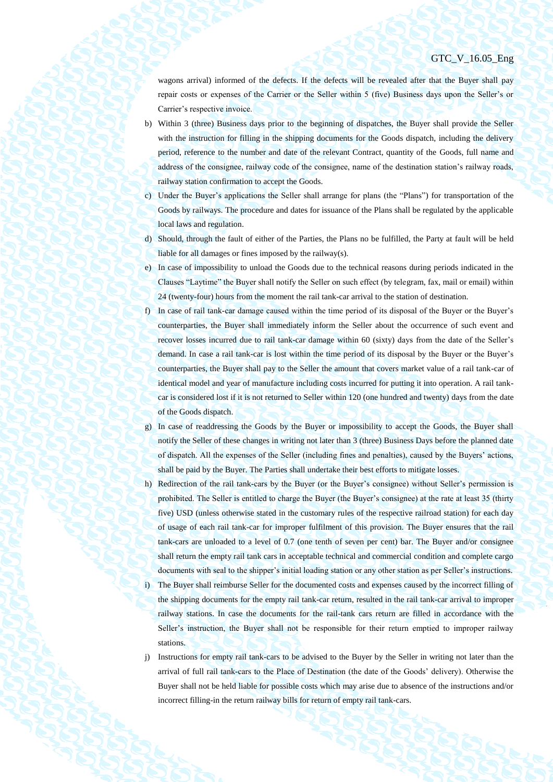wagons arrival) informed of the defects. If the defects will be revealed after that the Buyer shall pay repair costs or expenses of the Carrier or the Seller within 5 (five) Business days upon the Seller's or Carrier's respective invoice.

- b) Within 3 (three) Business days prior to the beginning of dispatches, the Buyer shall provide the Seller with the instruction for filling in the shipping documents for the Goods dispatch, including the delivery period, reference to the number and date of the relevant Contract, quantity of the Goods, full name and address of the consignee, railway code of the consignee, name of the destination station's railway roads, railway station confirmation to accept the Goods.
- c) Under the Buyer's applications the Seller shall arrange for plans (the "Plans") for transportation of the Goods by railways. The procedure and dates for issuance of the Plans shall be regulated by the applicable local laws and regulation.
- d) Should, through the fault of either of the Parties, the Plans no be fulfilled, the Party at fault will be held liable for all damages or fines imposed by the railway(s).
- e) In case of impossibility to unload the Goods due to the technical reasons during periods indicated in the Clauses "Laytime" the Buyer shall notify the Seller on such effect (by telegram, fax, mail or email) within 24 (twenty-four) hours from the moment the rail tank-car arrival to the station of destination.
- f) In case of rail tank-car damage caused within the time period of its disposal of the Buyer or the Buyer's counterparties, the Buyer shall immediately inform the Seller about the occurrence of such event and recover losses incurred due to rail tank-car damage within 60 (sixty) days from the date of the Seller's demand. In case a rail tank-car is lost within the time period of its disposal by the Buyer or the Buyer's counterparties, the Buyer shall pay to the Seller the amount that covers market value of a rail tank-car of identical model and year of manufacture including costs incurred for putting it into operation. A rail tankcar is considered lost if it is not returned to Seller within 120 (one hundred and twenty) days from the date of the Goods dispatch.
- g) In case of readdressing the Goods by the Buyer or impossibility to accept the Goods, the Buyer shall notify the Seller of these changes in writing not later than 3 (three) Business Days before the planned date of dispatch. All the expenses of the Seller (including fines and penalties), caused by the Buyers' actions, shall be paid by the Buyer. The Parties shall undertake their best efforts to mitigate losses.
- h) Redirection of the rail tank-cars by the Buyer (or the Buyer's consignee) without Seller's permission is prohibited. The Seller is entitled to charge the Buyer (the Buyer's consignee) at the rate at least 35 (thirty five) USD (unless otherwise stated in the customary rules of the respective railroad station) for each day of usage of each rail tank-car for improper fulfilment of this provision. The Buyer ensures that the rail tank-cars are unloaded to a level of 0.7 (one tenth of seven per cent) bar. The Buyer and/or consignee shall return the empty rail tank cars in acceptable technical and commercial condition and complete cargo documents with seal to the shipper's initial loading station or any other station as per Seller's instructions. i) The Buyer shall reimburse Seller for the documented costs and expenses caused by the incorrect filling of the shipping documents for the empty rail tank-car return, resulted in the rail tank-car arrival to improper railway stations. In case the documents for the rail-tank cars return are filled in accordance with the Seller's instruction, the Buyer shall not be responsible for their return emptied to improper railway stations.
- j) Instructions for empty rail tank-cars to be advised to the Buyer by the Seller in writing not later than the arrival of full rail tank-cars to the Place of Destination (the date of the Goods' delivery). Otherwise the Buyer shall not be held liable for possible costs which may arise due to absence of the instructions and/or incorrect filling-in the return railway bills for return of empty rail tank-cars.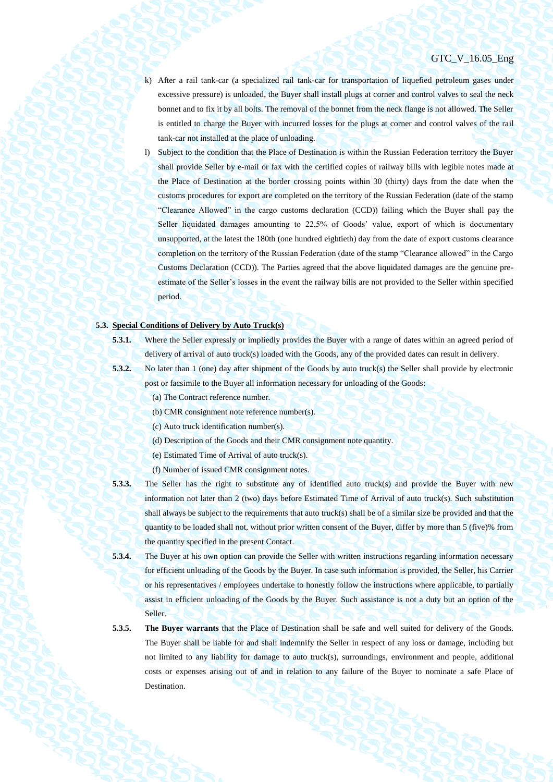- k) After a rail tank-car (a specialized rail tank-car for transportation of liquefied petroleum gases under excessive pressure) is unloaded, the Buyer shall install plugs at corner and control valves to seal the neck bonnet and to fix it by all bolts. The removal of the bonnet from the neck flange is not allowed. The Seller is entitled to charge the Buyer with incurred losses for the plugs at corner and control valves of the rail tank-car not installed at the place of unloading.
- l) Subject to the condition that the Place of Destination is within the Russian Federation territory the Buyer shall provide Seller by e-mail or fax with the certified copies of railway bills with legible notes made at the Place of Destination at the border crossing points within 30 (thirty) days from the date when the customs procedures for export are completed on the territory of the Russian Federation (date of the stamp "Clearance Allowed" in the cargo customs declaration (CCD)) failing which the Buyer shall pay the Seller liquidated damages amounting to 22,5% of Goods' value, export of which is documentary unsupported, at the latest the 180th (one hundred eightieth) day from the date of export customs clearance completion on the territory of the Russian Federation (date of the stamp "Clearance allowed" in the Cargo Customs Declaration (CCD)). The Parties agreed that the above liquidated damages are the genuine preestimate of the Seller's losses in the event the railway bills are not provided to the Seller within specified period.

## **5.3. Special Conditions of Delivery by Auto Truck(s)**

- 
- **5.3.1.** Where the Seller expressly or impliedly provides the Buyer with a range of dates within an agreed period of delivery of arrival of auto truck(s) loaded with the Goods, any of the provided dates can result in delivery.
- 
- **5.3.2.** No later than 1 (one) day after shipment of the Goods by auto truck(s) the Seller shall provide by electronic post or facsimile to the Buyer all information necessary for unloading of the Goods:
	- (a) The Contract reference number.
	- (b) CMR consignment note reference number(s).
	- (c) Auto truck identification number(s).
	- (d) Description of the Goods and their CMR consignment note quantity.
	- (e) Estimated Time of Arrival of auto truck(s).
	- (f) Number of issued CMR consignment notes.
- **5.3.3.** The Seller has the right to substitute any of identified auto truck(s) and provide the Buyer with new information not later than 2 (two) days before Estimated Time of Arrival of auto truck(s). Such substitution shall always be subject to the requirements that auto truck(s) shall be of a similar size be provided and that the quantity to be loaded shall not, without prior written consent of the Buyer, differ by more than 5 (five)% from the quantity specified in the present Contact.
- **5.3.4.** The Buyer at his own option can provide the Seller with written instructions regarding information necessary for efficient unloading of the Goods by the Buyer. In case such information is provided, the Seller, his Carrier or his representatives / employees undertake to honestly follow the instructions where applicable, to partially assist in efficient unloading of the Goods by the Buyer. Such assistance is not a duty but an option of the Seller.
- **5.3.5. The Buyer warrants** that the Place of Destination shall be safe and well suited for delivery of the Goods. The Buyer shall be liable for and shall indemnify the Seller in respect of any loss or damage, including but not limited to any liability for damage to auto truck(s), surroundings, environment and people, additional costs or expenses arising out of and in relation to any failure of the Buyer to nominate a safe Place of Destination.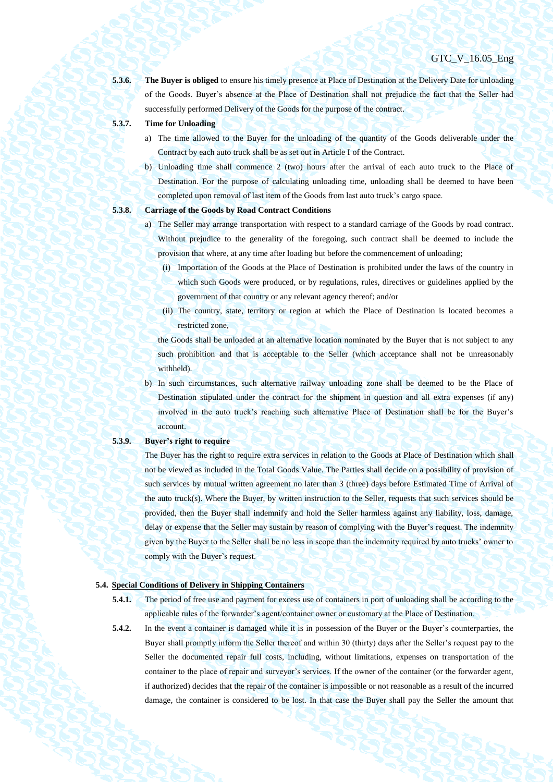**5.3.6. The Buyer is obliged** to ensure his timely presence at Place of Destination at the Delivery Date for unloading of the Goods. Buyer's absence at the Place of Destination shall not prejudice the fact that the Seller had successfully performed Delivery of the Goods for the purpose of the contract.

- 
- **5.3.7. Time for Unloading**
	- a) The time allowed to the Buyer for the unloading of the quantity of the Goods deliverable under the Contract by each auto truck shall be as set out in Article I of the Contract.
	- b) Unloading time shall commence 2 (two) hours after the arrival of each auto truck to the Place of Destination. For the purpose of calculating unloading time, unloading shall be deemed to have been completed upon removal of last item of the Goods from last auto truck's cargo space.

- **5.3.8. Carriage of the Goods by Road Contract Conditions**
	- a) The Seller may arrange transportation with respect to a standard carriage of the Goods by road contract. Without prejudice to the generality of the foregoing, such contract shall be deemed to include the provision that where, at any time after loading but before the commencement of unloading;
		- (i) Importation of the Goods at the Place of Destination is prohibited under the laws of the country in which such Goods were produced, or by regulations, rules, directives or guidelines applied by the government of that country or any relevant agency thereof; and/or
		- (ii) The country, state, territory or region at which the Place of Destination is located becomes a restricted zone,

the Goods shall be unloaded at an alternative location nominated by the Buyer that is not subject to any such prohibition and that is acceptable to the Seller (which acceptance shall not be unreasonably withheld).

b) In such circumstances, such alternative railway unloading zone shall be deemed to be the Place of Destination stipulated under the contract for the shipment in question and all extra expenses (if any) involved in the auto truck's reaching such alternative Place of Destination shall be for the Buyer's account.

#### **5.3.9. Buyer's right to require**

The Buyer has the right to require extra services in relation to the Goods at Place of Destination which shall not be viewed as included in the Total Goods Value. The Parties shall decide on a possibility of provision of such services by mutual written agreement no later than 3 (three) days before Estimated Time of Arrival of the auto truck(s). Where the Buyer, by written instruction to the Seller, requests that such services should be provided, then the Buyer shall indemnify and hold the Seller harmless against any liability, loss, damage, delay or expense that the Seller may sustain by reason of complying with the Buyer's request. The indemnity given by the Buyer to the Seller shall be no less in scope than the indemnity required by auto trucks' owner to comply with the Buyer's request.

### <span id="page-28-0"></span>**5.4. Special Conditions of Delivery in Shipping Containers**

- **5.4.1.** The period of free use and payment for excess use of containers in port of unloading shall be according to the applicable rules of the forwarder's agent/container owner or customary at the Place of Destination.
- **5.4.2.** In the event a container is damaged while it is in possession of the Buyer or the Buyer's counterparties, the Buyer shall promptly inform the Seller thereof and within 30 (thirty) days after the Seller's request pay to the Seller the documented repair full costs, including, without limitations, expenses on transportation of the container to the place of repair and surveyor's services. If the owner of the container (or the forwarder agent, if authorized) decides that the repair of the container is impossible or not reasonable as a result of the incurred damage, the container is considered to be lost. In that case the Buyer shall pay the Seller the amount that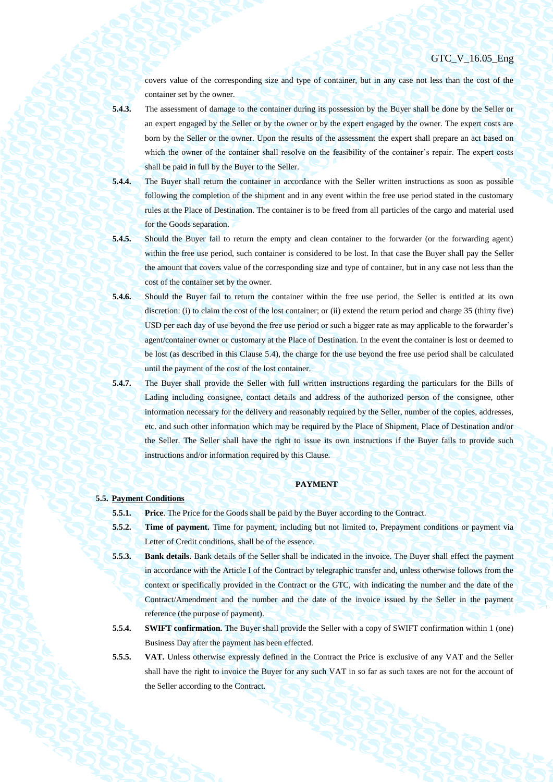covers value of the corresponding size and type of container, but in any case not less than the cost of the container set by the owner.

**5.4.3.** The assessment of damage to the container during its possession by the Buyer shall be done by the Seller or an expert engaged by the Seller or by the owner or by the expert engaged by the owner. The expert costs are born by the Seller or the owner. Upon the results of the assessment the expert shall prepare an act based on which the owner of the container shall resolve on the feasibility of the container's repair. The expert costs shall be paid in full by the Buyer to the Seller.

- **5.4.4.** The Buyer shall return the container in accordance with the Seller written instructions as soon as possible following the completion of the shipment and in any event within the free use period stated in the customary rules at the Place of Destination. The container is to be freed from all particles of the cargo and material used for the Goods separation.
- 

**5.4.5.** Should the Buyer fail to return the empty and clean container to the forwarder (or the forwarding agent) within the free use period, such container is considered to be lost. In that case the Buyer shall pay the Seller the amount that covers value of the corresponding size and type of container, but in any case not less than the cost of the container set by the owner.

- **5.4.6.** Should the Buyer fail to return the container within the free use period, the Seller is entitled at its own discretion: (i) to claim the cost of the lost container; or (ii) extend the return period and charge 35 (thirty five) USD per each day of use beyond the free use period or such a bigger rate as may applicable to the forwarder's agent/container owner or customary at the Place of Destination. In the event the container is lost or deemed to be lost (as described in this Clause [5.4\)](#page-28-0), the charge for the use beyond the free use period shall be calculated until the payment of the cost of the lost container.
- **5.4.7.** The Buyer shall provide the Seller with full written instructions regarding the particulars for the Bills of Lading including consignee, contact details and address of the authorized person of the consignee, other information necessary for the delivery and reasonably required by the Seller, number of the copies, addresses, etc. and such other information which may be required by the Place of Shipment, Place of Destination and/or the Seller. The Seller shall have the right to issue its own instructions if the Buyer fails to provide such instructions and/or information required by this Clause.

#### **PAYMENT**

## **5.5. Payment Conditions**

**5.5.1. Price**. The Price for the Goods shall be paid by the Buyer according to the Contract.

- **5.5.2. Time of payment.** Time for payment, including but not limited to, Prepayment conditions or payment via Letter of Credit conditions, shall be of the essence.
- **5.5.3. Bank details.** Bank details of the Seller shall be indicated in the invoice. The Buyer shall effect the payment in accordance with the Article I of the Contract by telegraphic transfer and, unless otherwise follows from the context or specifically provided in the Contract or the GTC, with indicating the number and the date of the Contract/Amendment and the number and the date of the invoice issued by the Seller in the payment reference (the purpose of payment).
- **5.5.4. SWIFT confirmation.** The Buyer shall provide the Seller with a copy of SWIFT confirmation within 1 (one) Business Day after the payment has been effected.
- **5.5.5. VAT.** Unless otherwise expressly defined in the Contract the Price is exclusive of any VAT and the Seller shall have the right to invoice the Buyer for any such VAT in so far as such taxes are not for the account of the Seller according to the Contract.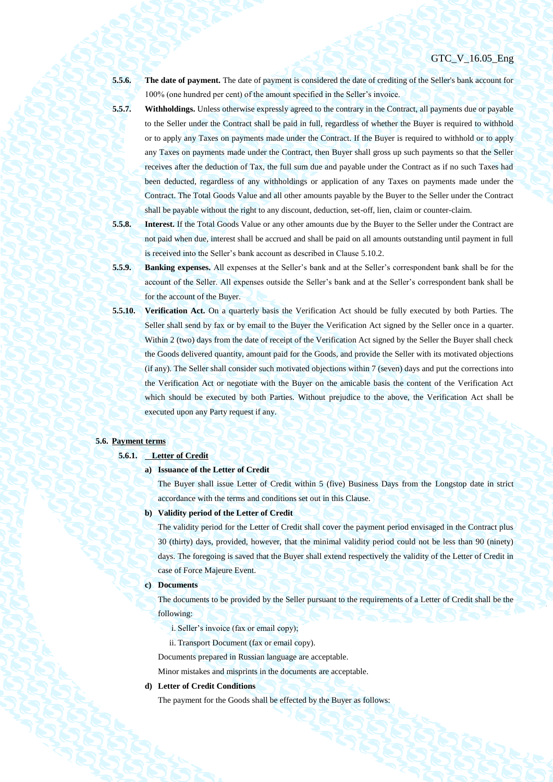**5.5.6. The date of payment.** The date of payment is considered the date of crediting of the Seller's bank account for 100% (one hundred per cent) of the amount specified in the Seller's invoice.

**5.5.7. Withholdings.** Unless otherwise expressly agreed to the contrary in the Contract, all payments due or payable to the Seller under the Contract shall be paid in full, regardless of whether the Buyer is required to withhold or to apply any Taxes on payments made under the Contract. If the Buyer is required to withhold or to apply any Taxes on payments made under the Contract, then Buyer shall gross up such payments so that the Seller receives after the deduction of Tax, the full sum due and payable under the Contract as if no such Taxes had been deducted, regardless of any withholdings or application of any Taxes on payments made under the Contract. The Total Goods Value and all other amounts payable by the Buyer to the Seller under the Contract shall be payable without the right to any discount, deduction, set-off, lien, claim or counter-claim.

**5.5.8. Interest.** If the Total Goods Value or any other amounts due by the Buyer to the Seller under the Contract are not paid when due, interest shall be accrued and shall be paid on all amounts outstanding until payment in full is received into the Seller's bank account as described in Clause 5.10.2.

- **5.5.9. Banking expenses.** All expenses at the Seller's bank and at the Seller's correspondent bank shall be for the account of the Seller. All expenses outside the Seller's bank and at the Seller's correspondent bank shall be for the account of the Buyer.
- <span id="page-30-0"></span>**5.5.10. Verification Act.** On a quarterly basis the Verification Act should be fully executed by both Parties. The Seller shall send by fax or by email to the Buyer the Verification Act signed by the Seller once in a quarter. Within 2 (two) days from the date of receipt of the Verification Act signed by the Seller the Buyer shall check the Goods delivered quantity, amount paid for the Goods, and provide the Seller with its motivated objections (if any). The Seller shall consider such motivated objections within 7 (seven) days and put the corrections into the Verification Act or negotiate with the Buyer on the amicable basis the content of the Verification Act which should be executed by both Parties. Without prejudice to the above, the Verification Act shall be executed upon any Party request if any.

## <span id="page-30-1"></span>**5.6. Payment terms**

#### **5.6.1. Letter of Credit**

## **a) Issuance of the Letter of Credit**

The Buyer shall issue Letter of Credit within 5 (five) Business Days from the Longstop date in strict accordance with the terms and conditions set out in this Clause.

#### **b) Validity period of the Letter of Credit**

The validity period for the Letter of Credit shall cover the payment period envisaged in the Contract plus 30 (thirty) days, provided, however, that the minimal validity period could not be less than 90 (ninety) days. The foregoing is saved that the Buyer shall extend respectively the validity of the Letter of Credit in case of Force Majeure Event.

#### **c) Documents**

The documents to be provided by the Seller pursuant to the requirements of a Letter of Credit shall be the following:

- i. Seller's invoice (fax or email copy);
- ii. Transport Document (fax or email copy).

Documents prepared in Russian language are acceptable.

Minor mistakes and misprints in the documents are acceptable.

## **d) Letter of Credit Conditions**

The payment for the Goods shall be effected by the Buyer as follows: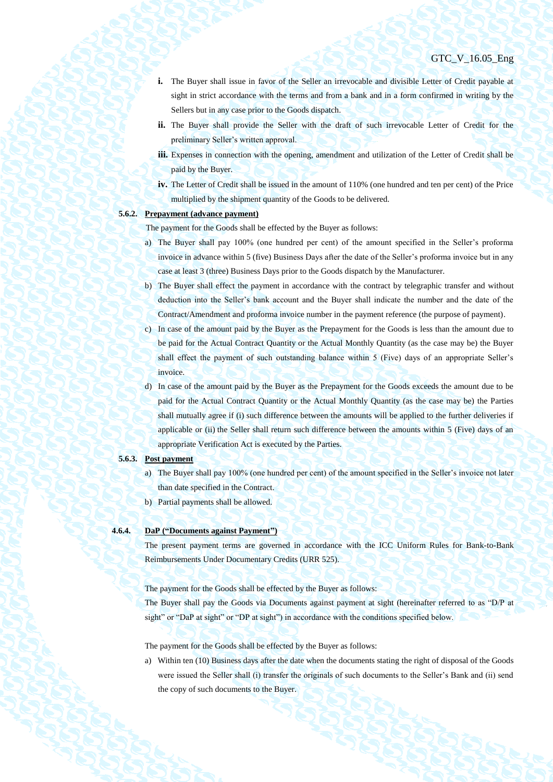- **i.** The Buyer shall issue in favor of the Seller an irrevocable and divisible Letter of Credit payable at sight in strict accordance with the terms and from a bank and in a form confirmed in writing by the Sellers but in any case prior to the Goods dispatch.
- **ii.** The Buyer shall provide the Seller with the draft of such irrevocable Letter of Credit for the preliminary Seller's written approval.
- **iii.** Expenses in connection with the opening, amendment and utilization of the Letter of Credit shall be paid by the Buyer.
- **iv.** The Letter of Credit shall be issued in the amount of 110% (one hundred and ten per cent) of the Price multiplied by the shipment quantity of the Goods to be delivered.

# <span id="page-31-0"></span>**5.6.2. Prepayment (advance payment)**

The payment for the Goods shall be effected by the Buyer as follows:

- a) The Buyer shall pay 100% (one hundred per cent) of the amount specified in the Seller's proforma invoice in advance within 5 (five) Business Days after the date of the Seller's proforma invoice but in any case at least 3 (three) Business Days prior to the Goods dispatch by the Manufacturer.
- b) The Buyer shall effect the payment in accordance with the contract by telegraphic transfer and without deduction into the Seller's bank account and the Buyer shall indicate the number and the date of the Contract/Amendment and proforma invoice number in the payment reference (the purpose of payment).
- c) In case of the amount paid by the Buyer as the Prepayment for the Goods is less than the amount due to be paid for the Actual Contract Quantity or the Actual Monthly Quantity (as the case may be) the Buyer shall effect the payment of such outstanding balance within 5 (Five) days of an appropriate Seller's invoice.
- d) In case of the amount paid by the Buyer as the Prepayment for the Goods exceeds the amount due to be paid for the Actual Contract Quantity or the Actual Monthly Quantity (as the case may be) the Parties shall mutually agree if (i) such difference between the amounts will be applied to the further deliveries if applicable or (ii) the Seller shall return such difference between the amounts within 5 (Five) days of an appropriate Verification Act is executed by the Parties.

#### **5.6.3. Post payment**

- a) The Buyer shall pay 100% (one hundred per cent) of the amount specified in the Seller's invoice not later than date specified in the Contract.
- b) Partial payments shall be allowed.

## **4.6.4. DaP ("Documents against Payment")**

The present payment terms are governed in accordance with the ICC Uniform Rules for Bank-to-Bank Reimbursements Under Documentary Credits (URR 525).

The payment for the Goods shall be effected by the Buyer as follows:

The Buyer shall pay the Goods via Documents against payment at sight (hereinafter referred to as "D/P at sight" or "DaP at sight" or "DP at sight") in accordance with the conditions specified below.

The payment for the Goods shall be effected by the Buyer as follows:

a) Within ten (10) Business days after the date when the documents stating the right of disposal of the Goods were issued the Seller shall (i) transfer the originals of such documents to the Seller's Bank and (ii) send the copy of such documents to the Buyer.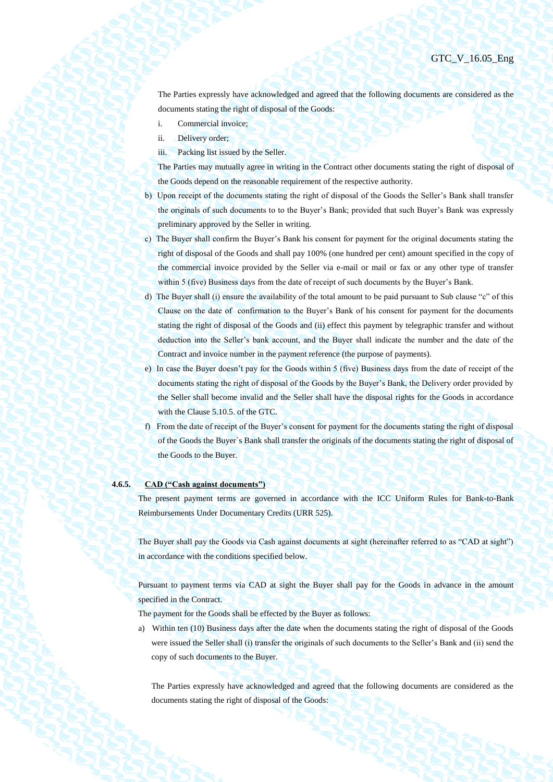The Parties expressly have acknowledged and agreed that the following documents are considered as the documents stating the right of disposal of the Goods:

- i. Commercial invoice;
- ii. Delivery order;
- iii. Packing list issued by the Seller.

The Parties may mutually agree in writing in the Contract other documents stating the right of disposal of the Goods depend on the reasonable requirement of the respective authority.

- b) Upon receipt of the documents stating the right of disposal of the Goods the Seller's Bank shall transfer the originals of such documents to to the Buyer's Bank; provided that such Buyer's Bank was expressly preliminary approved by the Seller in writing.
- c) The Buyer shall confirm the Buyer's Bank his consent for payment for the original documents stating the right of disposal of the Goods and shall pay 100% (one hundred per cent) amount specified in the copy of the commercial invoice provided by the Seller via e-mail or mail or fax or any other type of transfer within 5 (five) Business days from the date of receipt of such documents by the Buyer's Bank.
- d) The Buyer shall (i) ensure the availability of the total amount to be paid pursuant to Sub clause "c" of this Clause on the date of confirmation to the Buyer's Bank of his consent for payment for the documents stating the right of disposal of the Goods and (ii) effect this payment by telegraphic transfer and without deduction into the Seller's bank account, and the Buyer shall indicate the number and the date of the Contract and invoice number in the payment reference (the purpose of payments).
- e) In case the Buyer doesn't pay for the Goods within 5 (five) Business days from the date of receipt of the documents stating the right of disposal of the Goods by the Buyer's Bank, the Delivery order provided by the Seller shall become invalid and the Seller shall have the disposal rights for the Goods in accordance with the Clause 5.10.5. of the GTC.
- f) From the date of receipt of the Buyer's consent for payment for the documents stating the right of disposal of the Goods the Buyer`s Bank shall transfer the originals of the documents stating the right of disposal of the Goods to the Buyer.

## **4.6.5. CAD ("Cash against documents")**

The present payment terms are governed in accordance with the ICC Uniform Rules for Bank-to-Bank Reimbursements Under Documentary Credits (URR 525).

The Buyer shall pay the Goods via Cash against documents at sight (hereinafter referred to as "CAD at sight") in accordance with the conditions specified below.

Pursuant to payment terms via CAD at sight the Buyer shall pay for the Goods in advance in the amount specified in the Contract.

The payment for the Goods shall be effected by the Buyer as follows:

a) Within ten (10) Business days after the date when the documents stating the right of disposal of the Goods were issued the Seller shall (i) transfer the originals of such documents to the Seller's Bank and (ii) send the copy of such documents to the Buyer.

The Parties expressly have acknowledged and agreed that the following documents are considered as the documents stating the right of disposal of the Goods: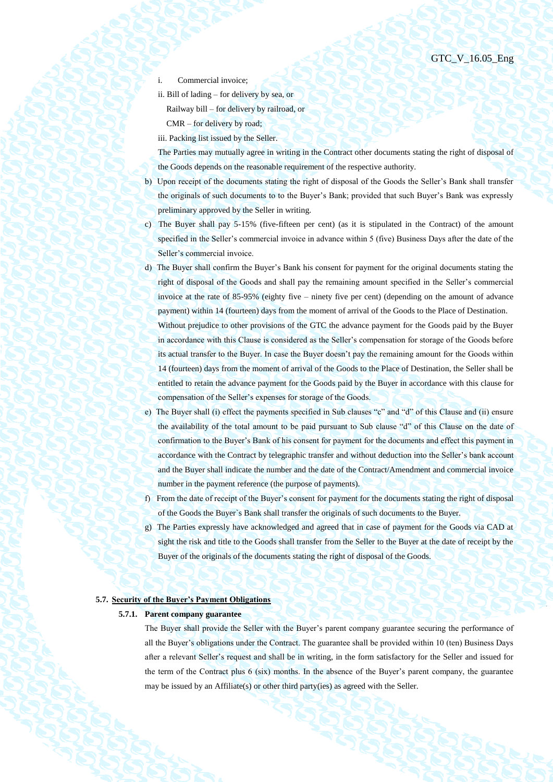- Commercial invoice:
- ii. Bill of lading for delivery by sea, or Railway bill – for delivery by railroad, or CMR – for delivery by road;
- iii. Packing list issued by the Seller.

The Parties may mutually agree in writing in the Contract other documents stating the right of disposal of the Goods depends on the reasonable requirement of the respective authority.

- b) Upon receipt of the documents stating the right of disposal of the Goods the Seller's Bank shall transfer the originals of such documents to to the Buyer's Bank; provided that such Buyer's Bank was expressly preliminary approved by the Seller in writing.
- c) The Buyer shall pay 5-15% (five-fifteen per cent) (as it is stipulated in the Contract) of the amount specified in the Seller's commercial invoice in advance within 5 (five) Business Days after the date of the Seller's commercial invoice.
- d) The Buyer shall confirm the Buyer's Bank his consent for payment for the original documents stating the right of disposal of the Goods and shall pay the remaining amount specified in the Seller's commercial invoice at the rate of 85-95% (eighty five – ninety five per cent) (depending on the amount of advance payment) within 14 (fourteen) days from the moment of arrival of the Goods to the Place of Destination. Without prejudice to other provisions of the GTC the advance payment for the Goods paid by the Buyer in accordance with this Clause is considered as the Seller's compensation for storage of the Goods before its actual transfer to the Buyer. In case the Buyer doesn't pay the remaining amount for the Goods within 14 (fourteen) days from the moment of arrival of the Goods to the Place of Destination, the Seller shall be entitled to retain the advance payment for the Goods paid by the Buyer in accordance with this clause for compensation of the Seller's expenses for storage of the Goods.
- e) The Buyer shall (i) effect the payments specified in Sub clauses "c" and "d" of this Clause and (ii) ensure the availability of the total amount to be paid pursuant to Sub clause "d" of this Clause on the date of confirmation to the Buyer's Bank of his consent for payment for the documents and effect this payment in accordance with the Contract by telegraphic transfer and without deduction into the Seller's bank account and the Buyer shall indicate the number and the date of the Contract/Amendment and commercial invoice number in the payment reference (the purpose of payments).
- f) From the date of receipt of the Buyer's consent for payment for the documents stating the right of disposal of the Goods the Buyer`s Bank shall transfer the originals of such documents to the Buyer.
- g) The Parties expressly have acknowledged and agreed that in case of payment for the Goods via CAD at sight the risk and title to the Goods shall transfer from the Seller to the Buyer at the date of receipt by the Buyer of the originals of the documents stating the right of disposal of the Goods.

## **5.7. Security of the Buyer's Payment Obligations**

## **5.7.1. Parent company guarantee**

The Buyer shall provide the Seller with the Buyer's parent company guarantee securing the performance of all the Buyer's obligations under the Contract. The guarantee shall be provided within 10 (ten) Business Days after a relevant Seller's request and shall be in writing, in the form satisfactory for the Seller and issued for the term of the Contract plus 6 (six) months. In the absence of the Buyer's parent company, the guarantee may be issued by an Affiliate(s) or other third party(ies) as agreed with the Seller.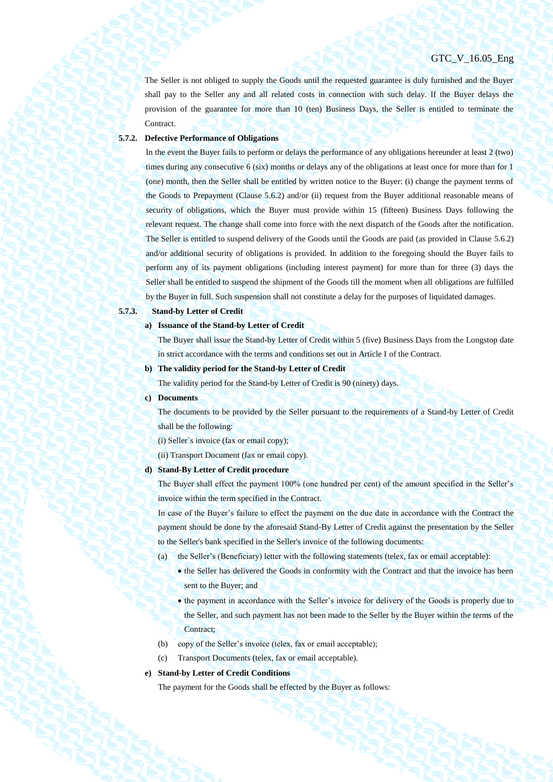The Seller is not obliged to supply the Goods until the requested guarantee is duly furnished and the Buyer shall pay to the Seller any and all related costs in connection with such delay. If the Buyer delays the provision of the guarantee for more than 10 (ten) Business Days, the Seller is entitled to terminate the Contract.

## **5.7.2. Defective Performance of Obligations**

In the event the Buyer fails to perform or delays the performance of any obligations hereunder at least 2 (two) times during any consecutive 6 (six) months or delays any of the obligations at least once for more than for 1 (one) month, then the Seller shall be entitled by written notice to the Buyer: (i) change the payment terms of the Goods to Prepayment (Clause [5.6.2\)](#page-31-0) and/or (ii) request from the Buyer additional reasonable means of security of obligations, which the Buyer must provide within 15 (fifteen) Business Days following the relevant request. The change shall come into force with the next dispatch of the Goods after the notification. The Seller is entitled to suspend delivery of the Goods until the Goods are paid (as provided in Clause [5.6.2\)](#page-31-0) and/or additional security of obligations is provided. In addition to the foregoing should the Buyer fails to perform any of its payment obligations (including interest payment) for more than for three (3) days the Seller shall be entitled to suspend the shipment of the Goods till the moment when all obligations are fulfilled by the Buyer in full. Such suspension shall not constitute a delay for the purposes of liquidated damages.

**5.7.3. Stand-by Letter of Credit**

#### **a) Issuance of the Stand-by Letter of Credit**

The Buyer shall issue the Stand-by Letter of Credit within 5 (five) Business Days from the Longstop date in strict accordance with the terms and conditions set out in Article I of the Contract.

#### **b) The validity period for the Stand-by Letter of Credit**

The validity period for the Stand-by Letter of Credit is 90 (ninety) days.

#### **c) Documents**

The documents to be provided by the Seller pursuant to the requirements of a Stand-by Letter of Credit shall be the following:

(i) Seller`s invoice (fax or email copy);

(ii) Transport Document (fax or email copy).

#### **d) Stand-By Letter of Credit procedure**

The Buyer shall effect the payment 100% (one hundred per cent) of the amount specified in the Seller's invoice within the term specified in the Contract.

In case of the Buyer's failure to effect the payment on the due date in accordance with the Contract the payment should be done by the aforesaid Stand-By Letter of Credit against the presentation by the Seller to the Seller's bank specified in the Seller's invoice of the following documents:

- (a) the Seller's (Beneficiary) letter with the following statements (telex, fax or email acceptable):
	- the Seller has delivered the Goods in conformity with the Contract and that the invoice has been sent to the Buyer; and
	- the payment in accordance with the Seller's invoice for delivery of the Goods is properly due to the Seller, and such payment has not been made to the Seller by the Buyer within the terms of the Contract;
- (b) copy of the Seller's invoice (telex, fax or email acceptable);
- (c) Transport Documents (telex, fax or email acceptable).

#### **e) Stand-by Letter of Credit Conditions**

The payment for the Goods shall be effected by the Buyer as follows: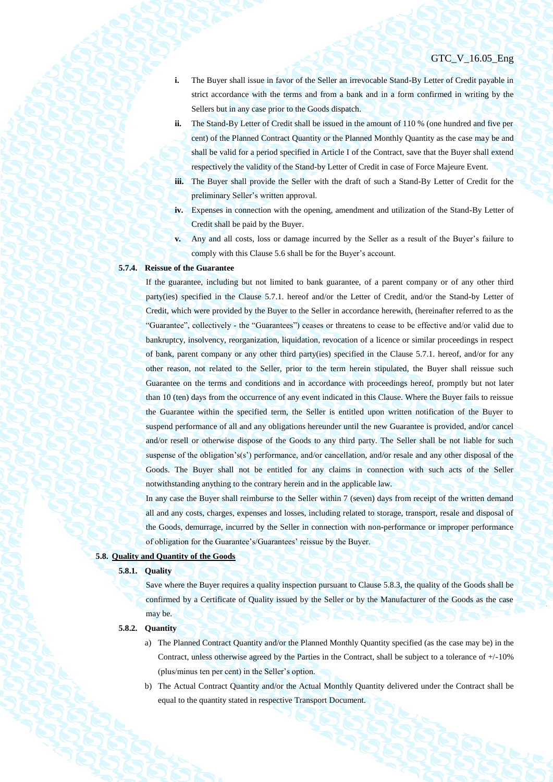- **i.** The Buyer shall issue in favor of the Seller an irrevocable Stand-By Letter of Credit payable in strict accordance with the terms and from a bank and in a form confirmed in writing by the Sellers but in any case prior to the Goods dispatch.
- **ii.** The Stand-By Letter of Credit shall be issued in the amount of 110 % (one hundred and five per cent) of the Planned Contract Quantity or the Planned Monthly Quantity as the case may be and shall be valid for a period specified in Article I of the Contract, save that the Buyer shall extend respectively the validity of the Stand-by Letter of Credit in case of Force Majeure Event.
- **iii.** The Buyer shall provide the Seller with the draft of such a Stand-By Letter of Credit for the preliminary Seller's written approval.
- **iv.** Expenses in connection with the opening, amendment and utilization of the Stand-By Letter of Credit shall be paid by the Buyer.
- **v.** Any and all costs, loss or damage incurred by the Seller as a result of the Buyer's failure to comply with this Claus[e 5.6](#page-30-1) shall be for the Buyer's account.

## **5.7.4. Reissue of the Guarantee**

If the guarantee, including but not limited to bank guarantee, of a parent company or of any other third party(ies) specified in the Clause 5.7.1. hereof and/or the Letter of Credit, and/or the Stand-by Letter of Credit, which were provided by the Buyer to the Seller in accordance herewith, (hereinafter referred to as the "Guarantee", collectively - the "Guarantees") ceases or threatens to cease to be effective and/or valid due to bankruptcy, insolvency, reorganization, liquidation, revocation of a licence or similar proceedings in respect of bank, parent company or any other third party(ies) specified in the Clause 5.7.1. hereof, and/or for any other reason, not related to the Seller, prior to the term herein stipulated, the Buyer shall reissue such Guarantee on the terms and conditions and in accordance with proceedings hereof, promptly but not later than 10 (ten) days from the occurrence of any event indicated in this Clause. Where the Buyer fails to reissue the Guarantee within the specified term, the Seller is entitled upon written notification of the Buyer to suspend performance of all and any obligations hereunder until the new Guarantee is provided, and/or cancel and/or resell or otherwise dispose of the Goods to any third party. The Seller shall be not liable for such suspense of the obligation's(s') performance, and/or cancellation, and/or resale and any other disposal of the Goods. The Buyer shall not be entitled for any claims in connection with such acts of the Seller notwithstanding anything to the contrary herein and in the applicable law.

In any case the Buyer shall reimburse to the Seller within 7 (seven) days from receipt of the written demand all and any costs, charges, expenses and losses, including related to storage, transport, resale and disposal of the Goods, demurrage, incurred by the Seller in connection with non-performance or improper performance of obligation for the Guarantee's/Guarantees' reissue by the Buyer.

#### **5.8. Quality and Quantity of the Goods**

#### **5.8.1. Quality**

Save where the Buyer requires a quality inspection pursuant to Clause [5.8.3,](#page-36-0) the quality of the Goods shall be confirmed by a Certificate of Quality issued by the Seller or by the Manufacturer of the Goods as the case may be.

## **5.8.2. Quantity**

- a) The Planned Contract Quantity and/or the Planned Monthly Quantity specified (as the case may be) in the Contract, unless otherwise agreed by the Parties in the Contract, shall be subject to a tolerance of +/-10% (plus/minus ten per cent) in the Seller's option.
- b) The Actual Contract Quantity and/or the Actual Monthly Quantity delivered under the Contract shall be equal to the quantity stated in respective Transport Document.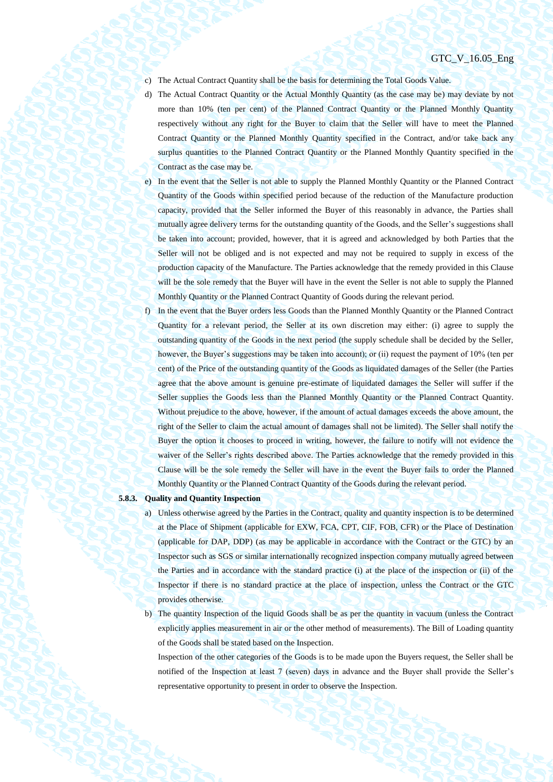- c) The Actual Contract Quantity shall be the basis for determining the Total Goods Value.
- d) The Actual Contract Quantity or the Actual Monthly Quantity (as the case may be) may deviate by not more than 10% (ten per cent) of the Planned Contract Quantity or the Planned Monthly Quantity respectively without any right for the Buyer to claim that the Seller will have to meet the Planned Contract Quantity or the Planned Monthly Quantity specified in the Contract, and/or take back any surplus quantities to the Planned Contract Quantity or the Planned Monthly Quantity specified in the Contract as the case may be.
- e) In the event that the Seller is not able to supply the Planned Monthly Quantity or the Planned Contract Quantity of the Goods within specified period because of the reduction of the Manufacture production capacity, provided that the Seller informed the Buyer of this reasonably in advance, the Parties shall mutually agree delivery terms for the outstanding quantity of the Goods, and the Seller's suggestions shall be taken into account; provided, however, that it is agreed and acknowledged by both Parties that the Seller will not be obliged and is not expected and may not be required to supply in excess of the production capacity of the Manufacture. The Parties acknowledge that the remedy provided in this Clause will be the sole remedy that the Buyer will have in the event the Seller is not able to supply the Planned Monthly Quantity or the Planned Contract Quantity of Goods during the relevant period.
- f) In the event that the Buyer orders less Goods than the Planned Monthly Quantity or the Planned Contract Quantity for a relevant period, the Seller at its own discretion may either: (i) agree to supply the outstanding quantity of the Goods in the next period (the supply schedule shall be decided by the Seller, however, the Buyer's suggestions may be taken into account); or (ii) request the payment of 10% (ten per cent) of the Price of the outstanding quantity of the Goods as liquidated damages of the Seller (the Parties agree that the above amount is genuine pre-estimate of liquidated damages the Seller will suffer if the Seller supplies the Goods less than the Planned Monthly Quantity or the Planned Contract Quantity. Without prejudice to the above, however, if the amount of actual damages exceeds the above amount, the right of the Seller to claim the actual amount of damages shall not be limited). The Seller shall notify the Buyer the option it chooses to proceed in writing, however, the failure to notify will not evidence the waiver of the Seller's rights described above. The Parties acknowledge that the remedy provided in this Clause will be the sole remedy the Seller will have in the event the Buyer fails to order the Planned Monthly Quantity or the Planned Contract Quantity of the Goods during the relevant period.

## <span id="page-36-1"></span><span id="page-36-0"></span>**5.8.3. Quality and Quantity Inspection**

- a) Unless otherwise agreed by the Parties in the Contract, quality and quantity inspection is to be determined at the Place of Shipment (applicable for EXW, FCA, CPT, CIF, FOB, CFR) or the Place of Destination (applicable for DAP, DDP) (as may be applicable in accordance with the Contract or the GTC) by an Inspector such as SGS or similar internationally recognized inspection company mutually agreed between the Parties and in accordance with the standard practice (i) at the place of the inspection or (ii) of the Inspector if there is no standard practice at the place of inspection, unless the Contract or the GTC provides otherwise.
- <span id="page-36-2"></span>b) The quantity Inspection of the liquid Goods shall be as per the quantity in vacuum (unless the Contract explicitly applies measurement in air or the other method of measurements). The Bill of Loading quantity of the Goods shall be stated based on the Inspection.

Inspection of the other categories of the Goods is to be made upon the Buyers request, the Seller shall be notified of the Inspection at least 7 (seven) days in advance and the Buyer shall provide the Seller's representative opportunity to present in order to observe the Inspection.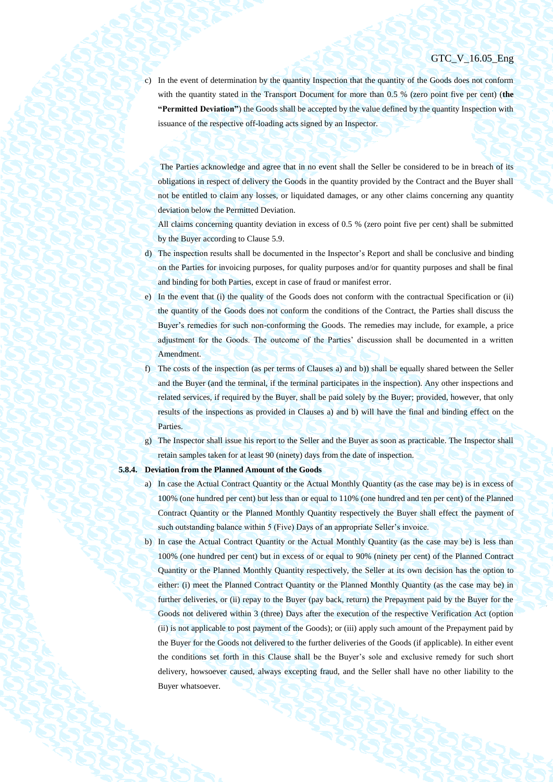c) In the event of determination by the quantity Inspection that the quantity of the Goods does not conform with the quantity stated in the Transport Document for more than 0.5 % (zero point five per cent) (**the "Permitted Deviation"**) the Goods shall be accepted by the value defined by the quantity Inspection with issuance of the respective off-loading acts signed by an Inspector.

The Parties acknowledge and agree that in no event shall the Seller be considered to be in breach of its obligations in respect of delivery the Goods in the quantity provided by the Contract and the Buyer shall not be entitled to claim any losses, or liquidated damages, or any other claims concerning any quantity deviation below the Permitted Deviation.

All claims concerning quantity deviation in excess of 0.5 % (zero point five per cent) shall be submitted by the Buyer according to Clause 5.9.

- d) The inspection results shall be documented in the Inspector's Report and shall be conclusive and binding on the Parties for invoicing purposes, for quality purposes and/or for quantity purposes and shall be final and binding for both Parties, except in case of fraud or manifest error.
- e) In the event that (i) the quality of the Goods does not conform with the contractual Specification or (ii) the quantity of the Goods does not conform the conditions of the Contract, the Parties shall discuss the Buyer's remedies for such non-conforming the Goods. The remedies may include, for example, a price adjustment for the Goods. The outcome of the Parties' discussion shall be documented in a written Amendment.
- f) The costs of the inspection (as per terms of Clauses [a\)](#page-36-1) an[d b\)\)](#page-36-2) shall be equally shared between the Seller and the Buyer (and the terminal, if the terminal participates in the inspection). Any other inspections and related services, if required by the Buyer, shall be paid solely by the Buyer; provided, however, that only results of the inspections as provided in Clauses [a\)](#page-36-1) and [b\)](#page-36-2) will have the final and binding effect on the Parties.
- g) The Inspector shall issue his report to the Seller and the Buyer as soon as practicable. The Inspector shall retain samples taken for at least 90 (ninety) days from the date of inspection.

#### <span id="page-37-0"></span>**5.8.4. Deviation from the Planned Amount of the Goods**

- a) In case the Actual Contract Quantity or the Actual Monthly Quantity (as the case may be) is in excess of 100% (one hundred per cent) but less than or equal to 110% (one hundred and ten per cent) of the Planned Contract Quantity or the Planned Monthly Quantity respectively the Buyer shall effect the payment of such outstanding balance within 5 (Five) Days of an appropriate Seller's invoice.
- b) In case the Actual Contract Quantity or the Actual Monthly Quantity (as the case may be) is less than 100% (one hundred per cent) but in excess of or equal to 90% (ninety per cent) of the Planned Contract Quantity or the Planned Monthly Quantity respectively, the Seller at its own decision has the option to either: (i) meet the Planned Contract Quantity or the Planned Monthly Quantity (as the case may be) in further deliveries, or (ii) repay to the Buyer (pay back, return) the Prepayment paid by the Buyer for the Goods not delivered within 3 (three) Days after the execution of the respective Verification Act (option (ii) is not applicable to post payment of the Goods); or (iii) apply such amount of the Prepayment paid by the Buyer for the Goods not delivered to the further deliveries of the Goods (if applicable). In either event the conditions set forth in this Clause shall be the Buyer's sole and exclusive remedy for such short delivery, howsoever caused, always excepting fraud, and the Seller shall have no other liability to the Buyer whatsoever.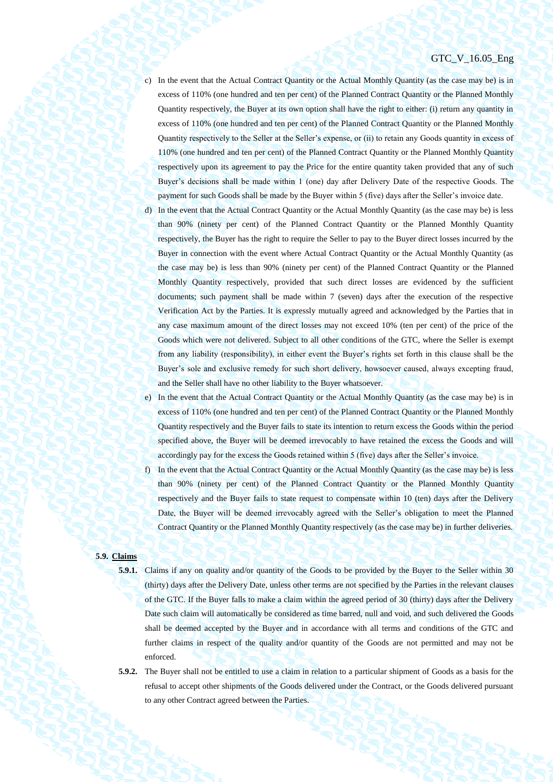- c) In the event that the Actual Contract Quantity or the Actual Monthly Quantity (as the case may be) is in excess of 110% (one hundred and ten per cent) of the Planned Contract Quantity or the Planned Monthly Quantity respectively, the Buyer at its own option shall have the right to either: (i) return any quantity in excess of 110% (one hundred and ten per cent) of the Planned Contract Quantity or the Planned Monthly Quantity respectively to the Seller at the Seller's expense, or (ii) to retain any Goods quantity in excess of 110% (one hundred and ten per cent) of the Planned Contract Quantity or the Planned Monthly Quantity respectively upon its agreement to pay the Price for the entire quantity taken provided that any of such Buyer's decisions shall be made within 1 (one) day after Delivery Date of the respective Goods. The payment for such Goods shall be made by the Buyer within 5 (five) days after the Seller's invoice date.
- d) In the event that the Actual Contract Quantity or the Actual Monthly Quantity (as the case may be) is less than 90% (ninety per cent) of the Planned Contract Quantity or the Planned Monthly Quantity respectively, the Buyer has the right to require the Seller to pay to the Buyer direct losses incurred by the Buyer in connection with the event where Actual Contract Quantity or the Actual Monthly Quantity (as the case may be) is less than 90% (ninety per cent) of the Planned Contract Quantity or the Planned Monthly Quantity respectively, provided that such direct losses are evidenced by the sufficient documents; such payment shall be made within 7 (seven) days after the execution of the respective Verification Act by the Parties. It is expressly mutually agreed and acknowledged by the Parties that in any case maximum amount of the direct losses may not exceed 10% (ten per cent) of the price of the Goods which were not delivered. Subject to all other conditions of the GTC, where the Seller is exempt from any liability (responsibility), in either event the Buyer's rights set forth in this clause shall be the Buyer's sole and exclusive remedy for such short delivery, howsoever caused, always excepting fraud, and the Seller shall have no other liability to the Buyer whatsoever.
- e) In the event that the Actual Contract Quantity or the Actual Monthly Quantity (as the case may be) is in excess of 110% (one hundred and ten per cent) of the Planned Contract Quantity or the Planned Monthly Quantity respectively and the Buyer fails to state its intention to return excess the Goods within the period specified above, the Buyer will be deemed irrevocably to have retained the excess the Goods and will accordingly pay for the excess the Goods retained within 5 (five) days after the Seller's invoice.
- f) In the event that the Actual Contract Quantity or the Actual Monthly Quantity (as the case may be) is less than 90% (ninety per cent) of the Planned Contract Quantity or the Planned Monthly Quantity respectively and the Buyer fails to state request to compensate within 10 (ten) days after the Delivery Date, the Buyer will be deemed irrevocably agreed with the Seller's obligation to meet the Planned Contract Quantity or the Planned Monthly Quantity respectively (as the case may be) in further deliveries.

# **5.9. Claims**

- <span id="page-38-0"></span>**5.9.1.** Claims if any on quality and/or quantity of the Goods to be provided by the Buyer to the Seller within 30 (thirty) days after the Delivery Date, unless other terms are not specified by the Parties in the relevant clauses of the GTC. If the Buyer falls to make a claim within the agreed period of 30 (thirty) days after the Delivery Date such claim will automatically be considered as time barred, null and void, and such delivered the Goods shall be deemed accepted by the Buyer and in accordance with all terms and conditions of the GTC and further claims in respect of the quality and/or quantity of the Goods are not permitted and may not be enforced.
- **5.9.2.** The Buyer shall not be entitled to use a claim in relation to a particular shipment of Goods as a basis for the refusal to accept other shipments of the Goods delivered under the Contract, or the Goods delivered pursuant to any other Contract agreed between the Parties.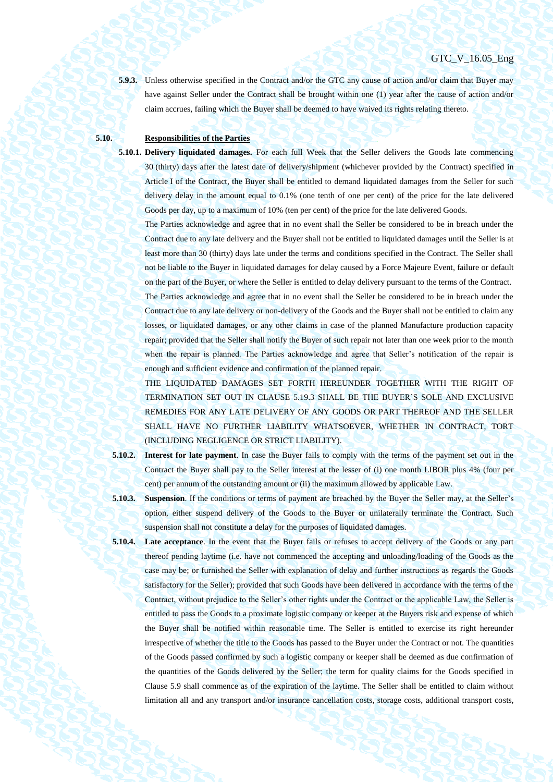**5.9.3.** Unless otherwise specified in the Contract and/or the GTC any cause of action and/or claim that Buyer may have against Seller under the Contract shall be brought within one (1) year after the cause of action and/or claim accrues, failing which the Buyer shall be deemed to have waived its rights relating thereto.

# **5.10. Responsibilities of the Parties**

**5.10.1. Delivery liquidated damages.** For each full Week that the Seller delivers the Goods late commencing 30 (thirty) days after the latest date of delivery/shipment (whichever provided by the Contract) specified in Article I of the Contract, the Buyer shall be entitled to demand liquidated damages from the Seller for such delivery delay in the amount equal to 0.1% (one tenth of one per cent) of the price for the late delivered Goods per day, up to a maximum of 10% (ten per cent) of the price for the late delivered Goods.

The Parties acknowledge and agree that in no event shall the Seller be considered to be in breach under the Contract due to any late delivery and the Buyer shall not be entitled to liquidated damages until the Seller is at least more than 30 (thirty) days late under the terms and conditions specified in the Contract. The Seller shall not be liable to the Buyer in liquidated damages for delay caused by a Force Majeure Event, failure or default on the part of the Buyer, or where the Seller is entitled to delay delivery pursuant to the terms of the Contract.

The Parties acknowledge and agree that in no event shall the Seller be considered to be in breach under the Contract due to any late delivery or non-delivery of the Goods and the Buyer shall not be entitled to claim any losses, or liquidated damages, or any other claims in case of the planned Manufacture production capacity repair; provided that the Seller shall notify the Buyer of such repair not later than one week prior to the month when the repair is planned. The Parties acknowledge and agree that Seller's notification of the repair is enough and sufficient evidence and confirmation of the planned repair.

THE LIQUIDATED DAMAGES SET FORTH HEREUNDER TOGETHER WITH THE RIGHT OF TERMINATION SET OUT IN CLAUSE [5.19.3](#page-45-0) SHALL BE THE BUYER'S SOLE AND EXCLUSIVE REMEDIES FOR ANY LATE DELIVERY OF ANY GOODS OR PART THEREOF AND THE SELLER SHALL HAVE NO FURTHER LIABILITY WHATSOEVER, WHETHER IN CONTRACT, TORT (INCLUDING NEGLIGENCE OR STRICT LIABILITY).

**5.10.2. Interest for late payment**. In case the Buyer fails to comply with the terms of the payment set out in the Contract the Buyer shall pay to the Seller interest at the lesser of (i) one month LIBOR plus 4% (four per cent) per annum of the outstanding amount or (ii) the maximum allowed by applicable Law.

- **5.10.3. Suspension**. If the conditions or terms of payment are breached by the Buyer the Seller may, at the Seller's option, either suspend delivery of the Goods to the Buyer or unilaterally terminate the Contract. Such suspension shall not constitute a delay for the purposes of liquidated damages.
- **5.10.4. Late acceptance**. In the event that the Buyer fails or refuses to accept delivery of the Goods or any part thereof pending laytime (i.e. have not commenced the accepting and unloading/loading of the Goods as the case may be; or furnished the Seller with explanation of delay and further instructions as regards the Goods satisfactory for the Seller); provided that such Goods have been delivered in accordance with the terms of the Contract, without prejudice to the Seller's other rights under the Contract or the applicable Law, the Seller is entitled to pass the Goods to a proximate logistic company or keeper at the Buyers risk and expense of which the Buyer shall be notified within reasonable time. The Seller is entitled to exercise its right hereunder irrespective of whether the title to the Goods has passed to the Buyer under the Contract or not. The quantities of the Goods passed confirmed by such a logistic company or keeper shall be deemed as due confirmation of the quantities of the Goods delivered by the Seller; the term for quality claims for the Goods specified in Clause [5.9](#page-38-0) shall commence as of the expiration of the laytime. The Seller shall be entitled to claim without limitation all and any transport and/or insurance cancellation costs, storage costs, additional transport costs,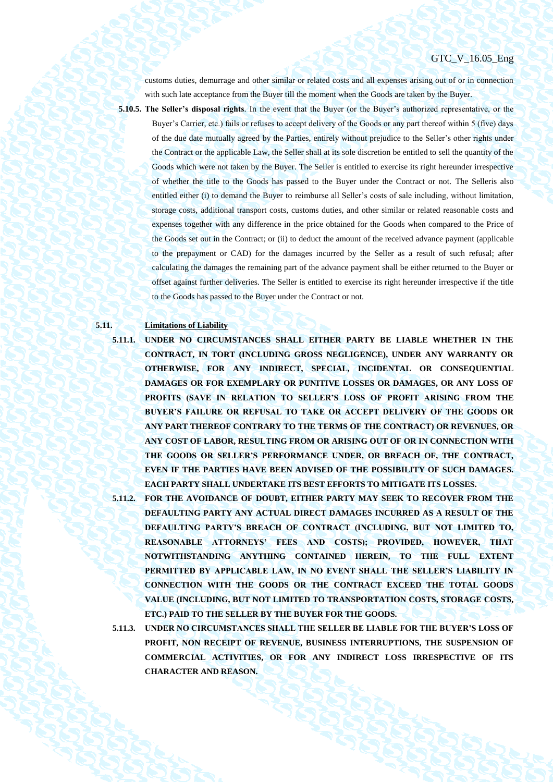customs duties, demurrage and other similar or related costs and all expenses arising out of or in connection with such late acceptance from the Buyer till the moment when the Goods are taken by the Buyer.

**5.10.5. The Seller's disposal rights**. In the event that the Buyer (or the Buyer's authorized representative, or the

Buyer's Carrier, etc.) fails or refuses to accept delivery of the Goods or any part thereof within 5 (five) days of the due date mutually agreed by the Parties, entirely without prejudice to the Seller's other rights under the Contract or the applicable Law, the Seller shall at its sole discretion be entitled to sell the quantity of the Goods which were not taken by the Buyer. The Seller is entitled to exercise its right hereunder irrespective of whether the title to the Goods has passed to the Buyer under the Contract or not. The Selleris also entitled either (i) to demand the Buyer to reimburse all Seller's costs of sale including, without limitation, storage costs, additional transport costs, customs duties, and other similar or related reasonable costs and expenses together with any difference in the price obtained for the Goods when compared to the Price of the Goods set out in the Contract; or (ii) to deduct the amount of the received advance payment (applicable to the prepayment or CAD) for the damages incurred by the Seller as a result of such refusal; after calculating the damages the remaining part of the advance payment shall be either returned to the Buyer or offset against further deliveries. The Seller is entitled to exercise its right hereunder irrespective if the title to the Goods has passed to the Buyer under the Contract or not.

## **5.11. Limitations of Liability**

**5.11.1. UNDER NO CIRCUMSTANCES SHALL EITHER PARTY BE LIABLE WHETHER IN THE CONTRACT, IN TORT (INCLUDING GROSS NEGLIGENCE), UNDER ANY WARRANTY OR OTHERWISE, FOR ANY INDIRECT, SPECIAL, INCIDENTAL OR CONSEQUENTIAL DAMAGES OR FOR EXEMPLARY OR PUNITIVE LOSSES OR DAMAGES, OR ANY LOSS OF PROFITS (SAVE IN RELATION TO SELLER'S LOSS OF PROFIT ARISING FROM THE BUYER'S FAILURE OR REFUSAL TO TAKE OR ACCEPT DELIVERY OF THE GOODS OR ANY PART THEREOF CONTRARY TO THE TERMS OF THE CONTRACT) OR REVENUES, OR ANY COST OF LABOR, RESULTING FROM OR ARISING OUT OF OR IN CONNECTION WITH THE GOODS OR SELLER'S PERFORMANCE UNDER, OR BREACH OF, THE CONTRACT, EVEN IF THE PARTIES HAVE BEEN ADVISED OF THE POSSIBILITY OF SUCH DAMAGES. EACH PARTY SHALL UNDERTAKE ITS BEST EFFORTS TO MITIGATE ITS LOSSES.**

**5.11.2. FOR THE AVOIDANCE OF DOUBT, EITHER PARTY MAY SEEK TO RECOVER FROM THE DEFAULTING PARTY ANY ACTUAL DIRECT DAMAGES INCURRED AS A RESULT OF THE DEFAULTING PARTY'S BREACH OF CONTRACT (INCLUDING, BUT NOT LIMITED TO, REASONABLE ATTORNEYS' FEES AND COSTS); PROVIDED, HOWEVER, THAT NOTWITHSTANDING ANYTHING CONTAINED HEREIN, TO THE FULL EXTENT**  PERMITTED BY APPLICABLE LAW, IN NO EVENT SHALL THE SELLER'S LIABILITY IN **CONNECTION WITH THE GOODS OR THE CONTRACT EXCEED THE TOTAL GOODS VALUE (INCLUDING, BUT NOT LIMITED TO TRANSPORTATION COSTS, STORAGE COSTS, ETC.) PAID TO THE SELLER BY THE BUYER FOR THE GOODS.**

**5.11.3. UNDER NO CIRCUMSTANCES SHALL THE SELLER BE LIABLE FOR THE BUYER'S LOSS OF PROFIT, NON RECEIPT OF REVENUE, BUSINESS INTERRUPTIONS, THE SUSPENSION OF COMMERCIAL ACTIVITIES, OR FOR ANY INDIRECT LOSS IRRESPECTIVE OF ITS CHARACTER AND REASON.**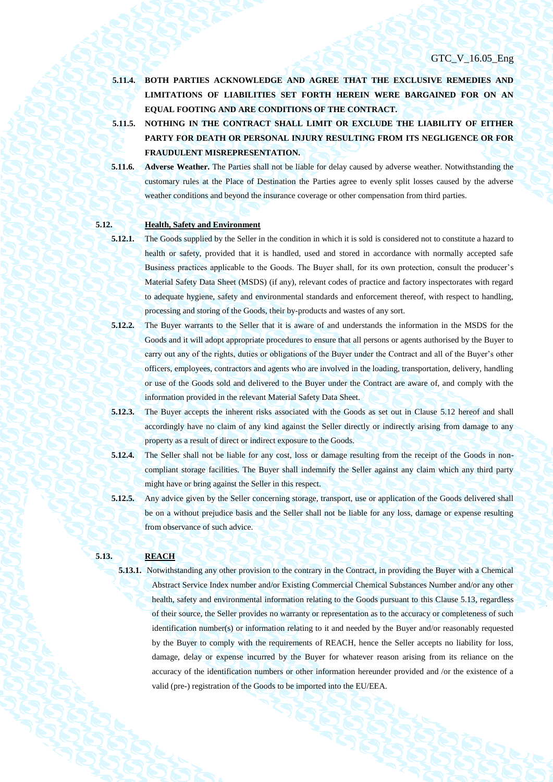- **5.11.4. BOTH PARTIES ACKNOWLEDGE AND AGREE THAT THE EXCLUSIVE REMEDIES AND LIMITATIONS OF LIABILITIES SET FORTH HEREIN WERE BARGAINED FOR ON AN EQUAL FOOTING AND ARE CONDITIONS OF THE CONTRACT.**
- **5.11.5. NOTHING IN THE CONTRACT SHALL LIMIT OR EXCLUDE THE LIABILITY OF EITHER PARTY FOR DEATH OR PERSONAL INJURY RESULTING FROM ITS NEGLIGENCE OR FOR FRAUDULENT MISREPRESENTATION.**
- **5.11.6. Adverse Weather.** The Parties shall not be liable for delay caused by adverse weather. Notwithstanding the customary rules at the Place of Destination the Parties agree to evenly split losses caused by the adverse weather conditions and beyond the insurance coverage or other compensation from third parties.

## **5.12. Health, Safety and Environment**

- <span id="page-41-0"></span>
	- **5.12.1.** The Goods supplied by the Seller in the condition in which it is sold is considered not to constitute a hazard to health or safety, provided that it is handled, used and stored in accordance with normally accepted safe Business practices applicable to the Goods. The Buyer shall, for its own protection, consult the producer's Material Safety Data Sheet (MSDS) (if any), relevant codes of practice and factory inspectorates with regard to adequate hygiene, safety and environmental standards and enforcement thereof, with respect to handling, processing and storing of the Goods, their by-products and wastes of any sort.
	- **5.12.2.** The Buyer warrants to the Seller that it is aware of and understands the information in the MSDS for the Goods and it will adopt appropriate procedures to ensure that all persons or agents authorised by the Buyer to carry out any of the rights, duties or obligations of the Buyer under the Contract and all of the Buyer's other officers, employees, contractors and agents who are involved in the loading, transportation, delivery, handling or use of the Goods sold and delivered to the Buyer under the Contract are aware of, and comply with the information provided in the relevant Material Safety Data Sheet.
- **5.12.3.** The Buyer accepts the inherent risks associated with the Goods as set out in Clause [5.12](#page-41-0) hereof and shall accordingly have no claim of any kind against the Seller directly or indirectly arising from damage to any property as a result of direct or indirect exposure to the Goods.
- **5.12.4.** The Seller shall not be liable for any cost, loss or damage resulting from the receipt of the Goods in noncompliant storage facilities. The Buyer shall indemnify the Seller against any claim which any third party might have or bring against the Seller in this respect.
- **5.12.5.** Any advice given by the Seller concerning storage, transport, use or application of the Goods delivered shall be on a without prejudice basis and the Seller shall not be liable for any loss, damage or expense resulting from observance of such advice.

## <span id="page-41-1"></span>**5.13. REACH**

**5.13.1.** Notwithstanding any other provision to the contrary in the Contract, in providing the Buyer with a Chemical Abstract Service Index number and/or Existing Commercial Chemical Substances Number and/or any other health, safety and environmental information relating to the Goods pursuant to this Clause [5.13,](#page-41-1) regardless of their source, the Seller provides no warranty or representation as to the accuracy or completeness of such identification number(s) or information relating to it and needed by the Buyer and/or reasonably requested by the Buyer to comply with the requirements of REACH, hence the Seller accepts no liability for loss, damage, delay or expense incurred by the Buyer for whatever reason arising from its reliance on the accuracy of the identification numbers or other information hereunder provided and /or the existence of a valid (pre-) registration of the Goods to be imported into the EU/EEA.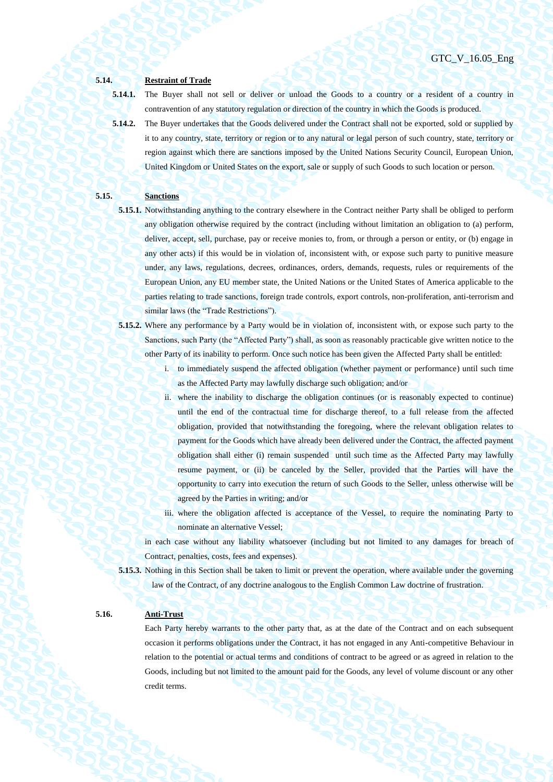**5.14. Restraint of Trade**

**5.14.1.** The Buyer shall not sell or deliver or unload the Goods to a country or a resident of a country in contravention of any statutory regulation or direction of the country in which the Goods is produced.

**5.14.2.** The Buyer undertakes that the Goods delivered under the Contract shall not be exported, sold or supplied by it to any country, state, territory or region or to any natural or legal person of such country, state, territory or region against which there are sanctions imposed by the United Nations Security Council, European Union, United Kingdom or United States on the export, sale or supply of such Goods to such location or person.

## **5.15. Sanctions**

- **5.15.1.** Notwithstanding anything to the contrary elsewhere in the Contract neither Party shall be obliged to perform any obligation otherwise required by the contract (including without limitation an obligation to (a) perform, deliver, accept, sell, purchase, pay or receive monies to, from, or through a person or entity, or (b) engage in any other acts) if this would be in violation of, inconsistent with, or expose such party to punitive measure under, any laws, regulations, decrees, ordinances, orders, demands, requests, rules or requirements of the European Union, any EU member state, the United Nations or the United States of America applicable to the parties relating to trade sanctions, foreign trade controls, export controls, non-proliferation, anti-terrorism and similar laws (the "Trade Restrictions").
- **5.15.2.** Where any performance by a Party would be in violation of, inconsistent with, or expose such party to the Sanctions, such Party (the "Affected Party") shall, as soon as reasonably practicable give written notice to the other Party of its inability to perform. Once such notice has been given the Affected Party shall be entitled:
	- i. to immediately suspend the affected obligation (whether payment or performance) until such time as the Affected Party may lawfully discharge such obligation; and/or
	- ii. where the inability to discharge the obligation continues (or is reasonably expected to continue) until the end of the contractual time for discharge thereof, to a full release from the affected obligation, provided that notwithstanding the foregoing, where the relevant obligation relates to payment for the Goods which have already been delivered under the Contract, the affected payment obligation shall either (i) remain suspended until such time as the Affected Party may lawfully resume payment, or (ii) be canceled by the Seller, provided that the Parties will have the opportunity to carry into execution the return of such Goods to the Seller, unless otherwise will be agreed by the Parties in writing; and/or
	- iii. where the obligation affected is acceptance of the Vessel, to require the nominating Party to nominate an alternative Vessel;
	- in each case without any liability whatsoever (including but not limited to any damages for breach of Contract, penalties, costs, fees and expenses).
- **5.15.3.** Nothing in this Section shall be taken to limit or prevent the operation, where available under the governing law of the Contract, of any doctrine analogous to the English Common Law doctrine of frustration.

## **5.16. Anti-Trust**

Each Party hereby warrants to the other party that, as at the date of the Contract and on each subsequent occasion it performs obligations under the Contract, it has not engaged in any Anti-competitive Behaviour in relation to the potential or actual terms and conditions of contract to be agreed or as agreed in relation to the Goods, including but not limited to the amount paid for the Goods, any level of volume discount or any other credit terms.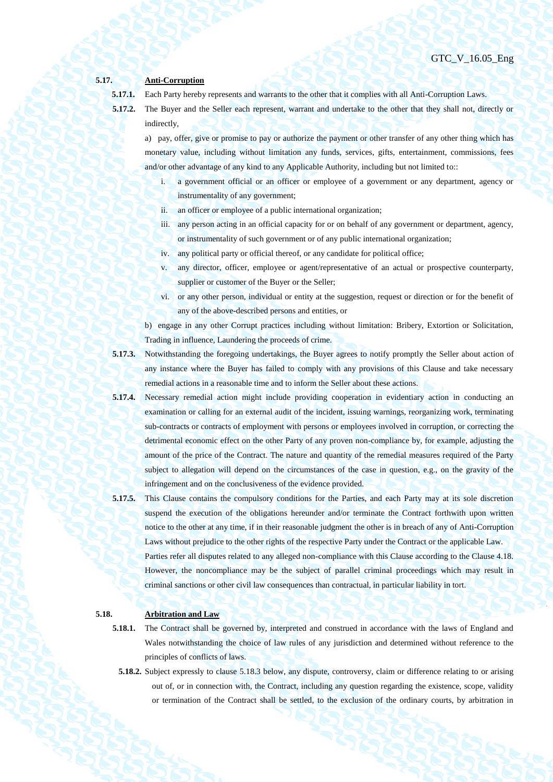## **5.17. Anti-Corruption**

**5.17.1.** Each Party hereby represents and warrants to the other that it complies with all Anti-Corruption Laws.

**5.17.2.** The Buyer and the Seller each represent, warrant and undertake to the other that they shall not, directly or indirectly,

a) pay, offer, give or promise to pay or authorize the payment or other transfer of any other thing which has monetary value, including without limitation any funds, services, gifts, entertainment, commissions, fees and/or other advantage of any kind to any Applicable Authority, including but not limited to::

- i. a government official or an officer or employee of a government or any department, agency or instrumentality of any government;
- ii. an officer or employee of a public international organization;
- iii. any person acting in an official capacity for or on behalf of any government or department, agency, or instrumentality of such government or of any public international organization;
- iv. any political party or official thereof, or any candidate for political office;
- v. any director, officer, employee or agent/representative of an actual or prospective counterparty, supplier or customer of the Buyer or the Seller;
- vi. or any other person, individual or entity at the suggestion, request or direction or for the benefit of any of the above-described persons and entities, or

b) engage in any other Corrupt practices including without limitation: Bribery, Extortion or Solicitation, Trading in influence, Laundering the proceeds of crime.

- **5.17.3.** Notwithstanding the foregoing undertakings, the Buyer agrees to notify promptly the Seller about action of any instance where the Buyer has failed to comply with any provisions of this Clause and take necessary remedial actions in a reasonable time and to inform the Seller about these actions.
- **5.17.4.** Necessary remedial action might include providing cooperation in evidentiary action in conducting an examination or calling for an external audit of the incident, issuing warnings, reorganizing work, terminating sub-contracts or contracts of employment with persons or employees involved in corruption, or correcting the detrimental economic effect on the other Party of any proven non-compliance by, for example, adjusting the amount of the price of the Contract. The nature and quantity of the remedial measures required of the Party subject to allegation will depend on the circumstances of the case in question, e.g., on the gravity of the infringement and on the conclusiveness of the evidence provided.
- **5.17.5.** This Clause contains the compulsory conditions for the Parties, and each Party may at its sole discretion suspend the execution of the obligations hereunder and/or terminate the Contract forthwith upon written notice to the other at any time, if in their reasonable judgment the other is in breach of any of Anti-Corruption Laws without prejudice to the other rights of the respective Party under the Contract or the applicable Law. Parties refer all disputes related to any alleged non-compliance with this Clause according to the Clause 4.18. However, the noncompliance may be the subject of parallel criminal proceedings which may result in criminal sanctions or other civil law consequences than contractual, in particular liability in tort.

## **5.18. Arbitration and Law**

- **5.18.1.** The Contract shall be governed by, interpreted and construed in accordance with the laws of England and Wales notwithstanding the choice of law rules of any jurisdiction and determined without reference to the principles of conflicts of laws.
	- **5.18.2.** Subject expressly to clause 5.18.3 below, any dispute, controversy, claim or difference relating to or arising out of, or in connection with, the Contract, including any question regarding the existence, scope, validity or termination of the Contract shall be settled, to the exclusion of the ordinary courts, by arbitration in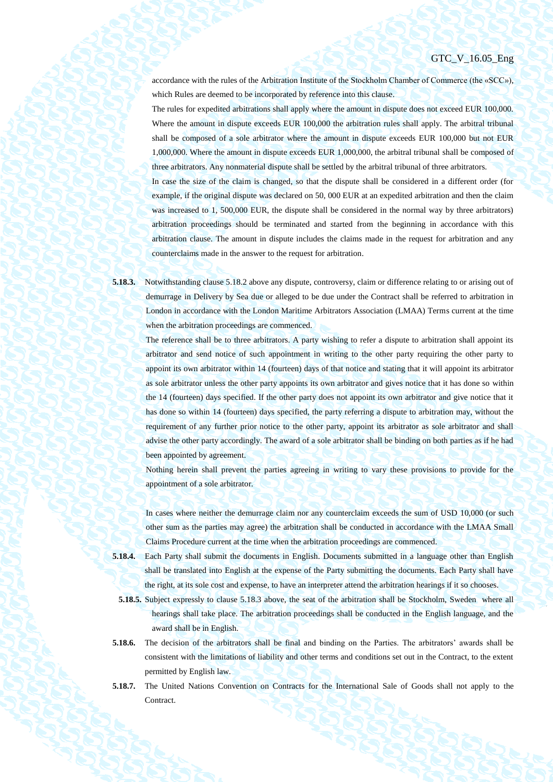accordance with the rules of the Arbitration Institute of the Stockholm Chamber of Commerce (the «SCC»), which Rules are deemed to be incorporated by reference into this clause.

The rules for expedited arbitrations shall apply where the amount in dispute does not exceed EUR 100,000. Where the amount in dispute exceeds EUR 100,000 the arbitration rules shall apply. The arbitral tribunal shall be composed of a sole arbitrator where the amount in dispute exceeds EUR 100,000 but not EUR 1,000,000. Where the amount in dispute exceeds EUR 1,000,000, the arbitral tribunal shall be composed of three arbitrators. Any nonmaterial dispute shall be settled by the arbitral tribunal of three arbitrators.

In case the size of the claim is changed, so that the dispute shall be considered in a different order (for example, if the original dispute was declared on 50, 000 EUR at an expedited arbitration and then the claim was increased to 1, 500,000 EUR, the dispute shall be considered in the normal way by three arbitrators) arbitration proceedings should be terminated and started from the beginning in accordance with this arbitration clause. The amount in dispute includes the claims made in the request for arbitration and any counterclaims made in the answer to the request for arbitration.

**5.18.3.** Notwithstanding clause 5.18.2 above any dispute, controversy, claim or difference relating to or arising out of demurrage in Delivery by Sea due or alleged to be due under the Contract shall be referred to arbitration in London in accordance with the London Maritime Arbitrators Association (LMAA) Terms current at the time when the arbitration proceedings are commenced.

> The reference shall be to three arbitrators. A party wishing to refer a dispute to arbitration shall appoint its arbitrator and send notice of such appointment in writing to the other party requiring the other party to appoint its own arbitrator within 14 (fourteen) days of that notice and stating that it will appoint its arbitrator as sole arbitrator unless the other party appoints its own arbitrator and gives notice that it has done so within the 14 (fourteen) days specified. If the other party does not appoint its own arbitrator and give notice that it has done so within 14 (fourteen) days specified, the party referring a dispute to arbitration may, without the requirement of any further prior notice to the other party, appoint its arbitrator as sole arbitrator and shall advise the other party accordingly. The award of a sole arbitrator shall be binding on both parties as if he had been appointed by agreement.

> Nothing herein shall prevent the parties agreeing in writing to vary these provisions to provide for the appointment of a sole arbitrator.

> In cases where neither the demurrage claim nor any counterclaim exceeds the sum of USD 10,000 (or such other sum as the parties may agree) the arbitration shall be conducted in accordance with the LMAA Small Claims Procedure current at the time when the arbitration proceedings are commenced.

- **5.18.4.** Each Party shall submit the documents in English. Documents submitted in a language other than English shall be translated into English at the expense of the Party submitting the documents. Each Party shall have the right, at its sole cost and expense, to have an interpreter attend the arbitration hearings if it so chooses.
	- **5.18.5.** Subject expressly to clause 5.18.3 above, the seat of the arbitration shall be Stockholm, Sweden where all hearings shall take place. The arbitration proceedings shall be conducted in the English language, and the award shall be in English.
- **5.18.6.** The decision of the arbitrators shall be final and binding on the Parties. The arbitrators' awards shall be consistent with the limitations of liability and other terms and conditions set out in the Contract, to the extent permitted by English law.
- **5.18.7.** The United Nations Convention on Contracts for the International Sale of Goods shall not apply to the **Contract.**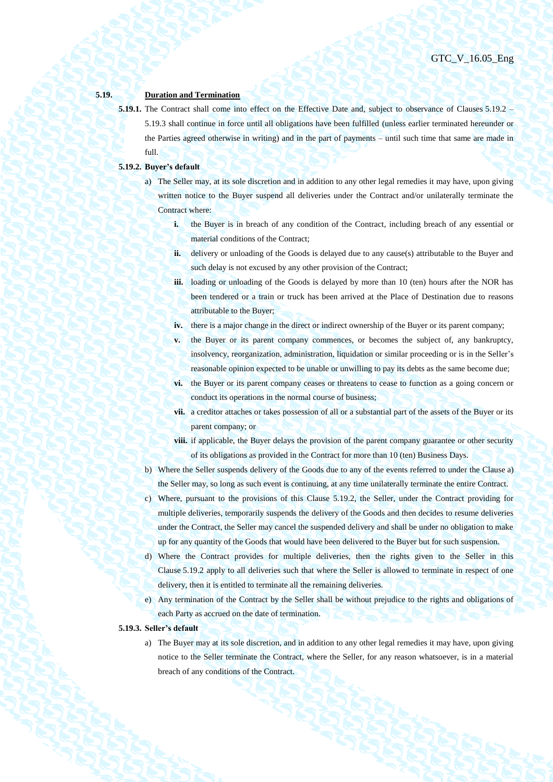#### **5.19. Duration and Termination**

**5.19.1.** The Contract shall come into effect on the Effective Date and, subject to observance of Clauses [5.19.2](#page-45-1) – [5.19.3](#page-45-0) shall continue in force until all obligations have been fulfilled (unless earlier terminated hereunder or the Parties agreed otherwise in writing) and in the part of payments – until such time that same are made in full.

## <span id="page-45-2"></span><span id="page-45-1"></span>**5.19.2. Buyer's default**

- a) The Seller may, at its sole discretion and in addition to any other legal remedies it may have, upon giving written notice to the Buyer suspend all deliveries under the Contract and/or unilaterally terminate the Contract where:
	- **i.** the Buyer is in breach of any condition of the Contract, including breach of any essential or material conditions of the Contract;
	- **ii.** delivery or unloading of the Goods is delayed due to any cause(s) attributable to the Buyer and such delay is not excused by any other provision of the Contract;
	- **iii.** loading or unloading of the Goods is delayed by more than 10 (ten) hours after the NOR has been tendered or a train or truck has been arrived at the Place of Destination due to reasons attributable to the Buyer;
	- **iv.** there is a major change in the direct or indirect ownership of the Buyer or its parent company;
	- **v.** the Buyer or its parent company commences, or becomes the subject of, any bankruptcy, insolvency, reorganization, administration, liquidation or similar proceeding or is in the Seller's reasonable opinion expected to be unable or unwilling to pay its debts as the same become due;
	- **vi.** the Buyer or its parent company ceases or threatens to cease to function as a going concern or conduct its operations in the normal course of business;
	- **vii.** a creditor attaches or takes possession of all or a substantial part of the assets of the Buyer or its parent company; or
	- **viii.** if applicable, the Buyer delays the provision of the parent company guarantee or other security of its obligations as provided in the Contract for more than 10 (ten) Business Days.
- b) Where the Seller suspends delivery of the Goods due to any of the events referred to under the Clause [a\)](#page-45-2) the Seller may, so long as such event is continuing, at any time unilaterally terminate the entire Contract.
- c) Where, pursuant to the provisions of this Clause [5.19.2,](#page-45-1) the Seller, under the Contract providing for multiple deliveries, temporarily suspends the delivery of the Goods and then decides to resume deliveries under the Contract, the Seller may cancel the suspended delivery and shall be under no obligation to make up for any quantity of the Goods that would have been delivered to the Buyer but for such suspension.
- d) Where the Contract provides for multiple deliveries, then the rights given to the Seller in this Clause [5.19.2](#page-45-1) apply to all deliveries such that where the Seller is allowed to terminate in respect of one delivery, then it is entitled to terminate all the remaining deliveries.
- e) Any termination of the Contract by the Seller shall be without prejudice to the rights and obligations of each Party as accrued on the date of termination.

## <span id="page-45-0"></span>**5.19.3. Seller's default**

a) The Buyer may at its sole discretion, and in addition to any other legal remedies it may have, upon giving notice to the Seller terminate the Contract, where the Seller, for any reason whatsoever, is in a material breach of any conditions of the Contract.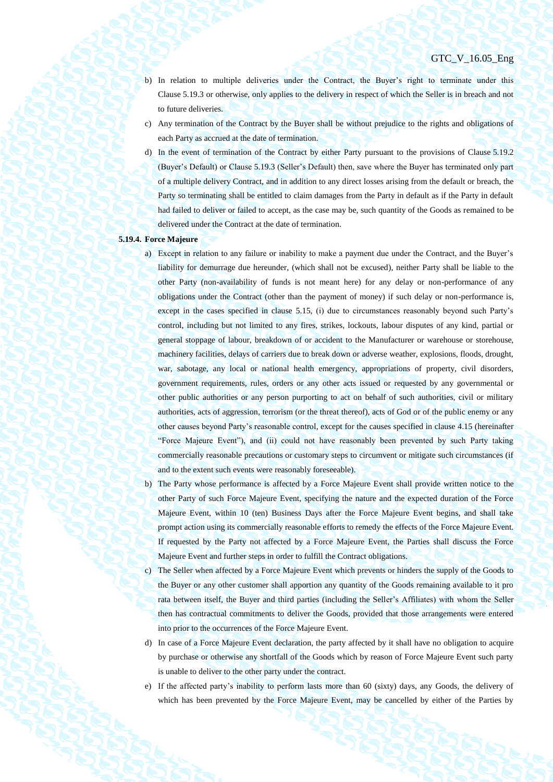- b) In relation to multiple deliveries under the Contract, the Buyer's right to terminate under this Clause [5.19.3](#page-45-0) or otherwise, only applies to the delivery in respect of which the Seller is in breach and not to future deliveries.
- c) Any termination of the Contract by the Buyer shall be without prejudice to the rights and obligations of each Party as accrued at the date of termination.
- d) In the event of termination of the Contract by either Party pursuant to the provisions of Clause [5.19.2](#page-45-1) (Buyer's Default) or Claus[e 5.19.3](#page-45-0) (Seller's Default) then, save where the Buyer has terminated only part of a multiple delivery Contract, and in addition to any direct losses arising from the default or breach, the Party so terminating shall be entitled to claim damages from the Party in default as if the Party in default had failed to deliver or failed to accept, as the case may be, such quantity of the Goods as remained to be delivered under the Contract at the date of termination.

## <span id="page-46-0"></span>**5.19.4. Force Majeure**

- a) Except in relation to any failure or inability to make a payment due under the Contract, and the Buyer's liability for demurrage due hereunder, (which shall not be excused), neither Party shall be liable to the other Party (non-availability of funds is not meant here) for any delay or non-performance of any obligations under the Contract (other than the payment of money) if such delay or non-performance is, except in the cases specified in clause 5.15, (i) due to circumstances reasonably beyond such Party's control, including but not limited to any fires, strikes, lockouts, labour disputes of any kind, partial or general stoppage of labour, breakdown of or accident to the Manufacturer or warehouse or storehouse, machinery facilities, delays of carriers due to break down or adverse weather, explosions, floods, drought, war, sabotage, any local or national health emergency, appropriations of property, civil disorders, government requirements, rules, orders or any other acts issued or requested by any governmental or other public authorities or any person purporting to act on behalf of such authorities, civil or military authorities, acts of aggression, terrorism (or the threat thereof), acts of God or of the public enemy or any other causes beyond Party's reasonable control, except for the causes specified in clause 4.15 (hereinafter "Force Majeure Event"), and (ii) could not have reasonably been prevented by such Party taking commercially reasonable precautions or customary steps to circumvent or mitigate such circumstances (if and to the extent such events were reasonably foreseeable).
- b) The Party whose performance is affected by a Force Majeure Event shall provide written notice to the other Party of such Force Majeure Event, specifying the nature and the expected duration of the Force Majeure Event, within 10 (ten) Business Days after the Force Majeure Event begins, and shall take prompt action using its commercially reasonable efforts to remedy the effects of the Force Majeure Event. If requested by the Party not affected by a Force Majeure Event, the Parties shall discuss the Force Majeure Event and further steps in order to fulfill the Contract obligations.
- c) The Seller when affected by a Force Majeure Event which prevents or hinders the supply of the Goods to the Buyer or any other customer shall apportion any quantity of the Goods remaining available to it pro rata between itself, the Buyer and third parties (including the Seller's Affiliates) with whom the Seller then has contractual commitments to deliver the Goods, provided that those arrangements were entered into prior to the occurrences of the Force Majeure Event.
- d) In case of a Force Majeure Event declaration, the party affected by it shall have no obligation to acquire by purchase or otherwise any shortfall of the Goods which by reason of Force Majeure Event such party is unable to deliver to the other party under the contract.
- e) If the affected party's inability to perform lasts more than 60 (sixty) days, any Goods, the delivery of which has been prevented by the Force Majeure Event, may be cancelled by either of the Parties by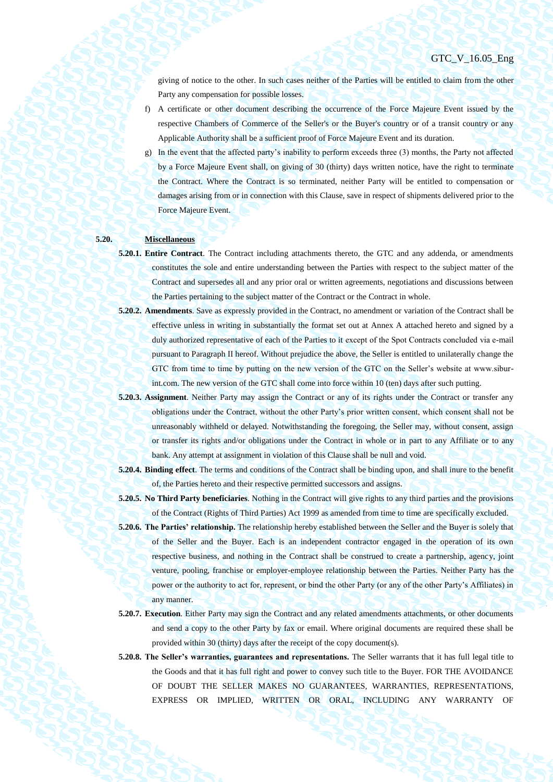giving of notice to the other. In such cases neither of the Parties will be entitled to claim from the other Party any compensation for possible losses.

- f) A certificate or other document describing the occurrence of the Force Majeure Event issued by the respective Chambers of Commerce of the Seller's or the Buyer's country or of a transit country or any Applicable Authority shall be a sufficient proof of Force Majeure Event and its duration.
- g) In the event that the affected party's inability to perform exceeds three (3) months, the Party not affected by a Force Majeure Event shall, on giving of 30 (thirty) days written notice, have the right to terminate the Contract. Where the Contract is so terminated, neither Party will be entitled to compensation or damages arising from or in connection with this Clause, save in respect of shipments delivered prior to the Force Majeure Event.

## **5.20. Miscellaneous**

- **5.20.1. Entire Contract**. The Contract including attachments thereto, the GTC and any addenda, or amendments constitutes the sole and entire understanding between the Parties with respect to the subject matter of the Contract and supersedes all and any prior oral or written agreements, negotiations and discussions between the Parties pertaining to the subject matter of the Contract or the Contract in whole.
- **5.20.2. Amendments**. Save as expressly provided in the Contract, no amendment or variation of the Contract shall be effective unless in writing in substantially the format set out at Annex A attached hereto and signed by a duly authorized representative of each of the Parties to it except of the Spot Сontracts concluded via e-mail pursuant to Paragraph II hereof. Without prejudice the above, the Seller is entitled to unilaterally change the GTC from time to time by putting on the new version of the GTC on the Seller's website at www.siburint.com. The new version of the GTC shall come into force within 10 (ten) days after such putting.
- **5.20.3. Assignment**. Neither Party may assign the Contract or any of its rights under the Contract or transfer any obligations under the Contract, without the other Party's prior written consent, which consent shall not be unreasonably withheld or delayed. Notwithstanding the foregoing, the Seller may, without consent, assign or transfer its rights and/or obligations under the Contract in whole or in part to any Affiliate or to any bank. Any attempt at assignment in violation of this Clause shall be null and void.
- **5.20.4. Binding effect**. The terms and conditions of the Contract shall be binding upon, and shall inure to the benefit of, the Parties hereto and their respective permitted successors and assigns.
- **5.20.5. No Third Party beneficiaries**. Nothing in the Contract will give rights to any third parties and the provisions of the Contract (Rights of Third Parties) Act 1999 as amended from time to time are specifically excluded.
- **5.20.6. The Parties' relationship.** The relationship hereby established between the Seller and the Buyer is solely that of the Seller and the Buyer. Each is an independent contractor engaged in the operation of its own respective business, and nothing in the Contract shall be construed to create a partnership, agency, joint venture, pooling, franchise or employer-employee relationship between the Parties. Neither Party has the power or the authority to act for, represent, or bind the other Party (or any of the other Party's Affiliates) in any manner.
- **5.20.7. Execution**. Either Party may sign the Contract and any related amendments attachments, or other documents and send a copy to the other Party by fax or email. Where original documents are required these shall be provided within 30 (thirty) days after the receipt of the copy document(s).
- **5.20.8. The Seller's warranties, guarantees and representations.** The Seller warrants that it has full legal title to the Goods and that it has full right and power to convey such title to the Buyer. FOR THE AVOIDANCE OF DOUBT THE SELLER MAKES NO GUARANTEES, WARRANTIES, REPRESENTATIONS, EXPRESS OR IMPLIED, WRITTEN OR ORAL, INCLUDING ANY WARRANTY OF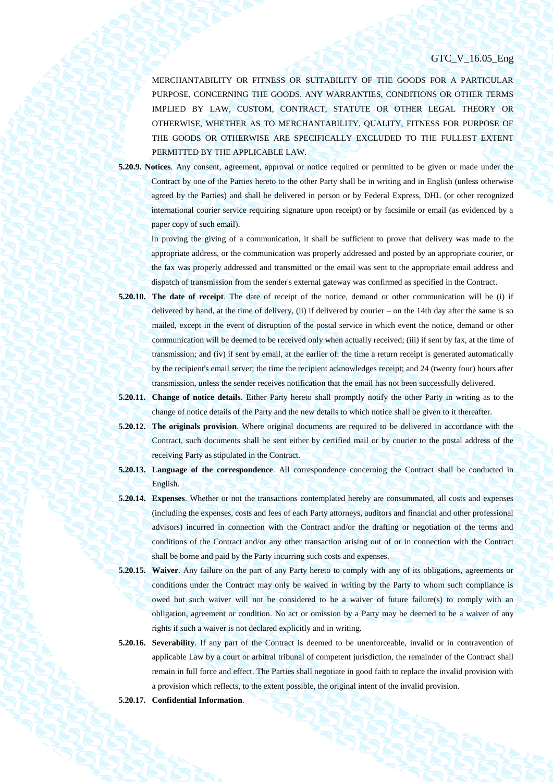MERCHANTABILITY OR FITNESS OR SUITABILITY OF THE GOODS FOR A PARTICULAR PURPOSE, CONCERNING THE GOODS. ANY WARRANTIES, CONDITIONS OR OTHER TERMS IMPLIED BY LAW, CUSTOM, CONTRACT, STATUTE OR OTHER LEGAL THEORY OR OTHERWISE, WHETHER AS TO MERCHANTABILITY, QUALITY, FITNESS FOR PURPOSE OF THE GOODS OR OTHERWISE ARE SPECIFICALLY EXCLUDED TO THE FULLEST EXTENT PERMITTED BY THE APPLICABLE LAW.

**5.20.9. Notices**. Any consent, agreement, approval or notice required or permitted to be given or made under the Contract by one of the Parties hereto to the other Party shall be in writing and in English (unless otherwise agreed by the Parties) and shall be delivered in person or by Federal Express, DHL (or other recognized international courier service requiring signature upon receipt) or by facsimile or email (as evidenced by a paper copy of such email).

In proving the giving of a communication, it shall be sufficient to prove that delivery was made to the appropriate address, or the communication was properly addressed and posted by an appropriate courier, or the fax was properly addressed and transmitted or the email was sent to the appropriate email address and dispatch of transmission from the sender's external gateway was confirmed as specified in the Contract.

- **5.20.10. The date of receipt**. The date of receipt of the notice, demand or other communication will be (i) if delivered by hand, at the time of delivery, (ii) if delivered by courier – on the 14th day after the same is so mailed, except in the event of disruption of the postal service in which event the notice, demand or other communication will be deemed to be received only when actually received; (iii) if sent by fax, at the time of transmission; and (iv) if sent by email, at the earlier of: the time a return receipt is generated automatically by the recipient's email server; the time the recipient acknowledges receipt; and 24 (twenty four) hours after transmission, unless the sender receives notification that the email has not been successfully delivered.
- **5.20.11. Change of notice details**. Either Party hereto shall promptly notify the other Party in writing as to the change of notice details of the Party and the new details to which notice shall be given to it thereafter.
- **5.20.12. The originals provision**. Where original documents are required to be delivered in accordance with the Contract, such documents shall be sent either by certified mail or by courier to the postal address of the receiving Party as stipulated in the Contract.
- **5.20.13. Language of the correspondence**. All correspondence concerning the Contract shall be conducted in English.
- **5.20.14. Expenses**. Whether or not the transactions contemplated hereby are consummated, all costs and expenses (including the expenses, costs and fees of each Party attorneys, auditors and financial and other professional advisors) incurred in connection with the Contract and/or the drafting or negotiation of the terms and conditions of the Contract and/or any other transaction arising out of or in connection with the Contract shall be borne and paid by the Party incurring such costs and expenses.
- **5.20.15. Waiver**. Any failure on the part of any Party hereto to comply with any of its obligations, agreements or conditions under the Contract may only be waived in writing by the Party to whom such compliance is owed but such waiver will not be considered to be a waiver of future failure(s) to comply with an obligation, agreement or condition. No act or omission by a Party may be deemed to be a waiver of any rights if such a waiver is not declared explicitly and in writing.
- **5.20.16. Severability**. If any part of the Contract is deemed to be unenforceable, invalid or in contravention of applicable Law by a court or arbitral tribunal of competent jurisdiction, the remainder of the Contract shall remain in full force and effect. The Parties shall negotiate in good faith to replace the invalid provision with a provision which reflects, to the extent possible, the original intent of the invalid provision.
- **5.20.17. Confidential Information**.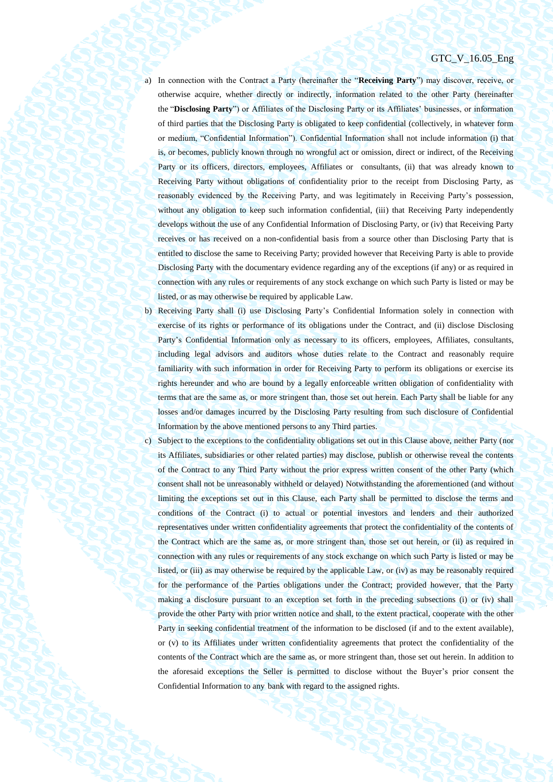- a) In connection with the Contract a Party (hereinafter the "**Receiving Party**") may discover, receive, or otherwise acquire, whether directly or indirectly, information related to the other Party (hereinafter the "**Disclosing Party**") or Affiliates of the Disclosing Party or its Affiliates' businesses, or information of third parties that the Disclosing Party is obligated to keep confidential (collectively, in whatever form or medium, "Confidential Information"). Confidential Information shall not include information (i) that is, or becomes, publicly known through no wrongful act or omission, direct or indirect, of the Receiving Party or its officers, directors, employees, Affiliates or consultants, (ii) that was already known to Receiving Party without obligations of confidentiality prior to the receipt from Disclosing Party, as reasonably evidenced by the Receiving Party, and was legitimately in Receiving Party's possession, without any obligation to keep such information confidential, (iii) that Receiving Party independently develops without the use of any Confidential Information of Disclosing Party, or (iv) that Receiving Party receives or has received on a non-confidential basis from a source other than Disclosing Party that is entitled to disclose the same to Receiving Party; provided however that Receiving Party is able to provide Disclosing Party with the documentary evidence regarding any of the exceptions (if any) or as required in connection with any rules or requirements of any stock exchange on which such Party is listed or may be listed, or as may otherwise be required by applicable Law.
- b) Receiving Party shall (i) use Disclosing Party's Confidential Information solely in connection with exercise of its rights or performance of its obligations under the Contract, and (ii) disclose Disclosing Party's Confidential Information only as necessary to its officers, employees, Affiliates, consultants, including legal advisors and auditors whose duties relate to the Contract and reasonably require familiarity with such information in order for Receiving Party to perform its obligations or exercise its rights hereunder and who are bound by a legally enforceable written obligation of confidentiality with terms that are the same as, or more stringent than, those set out herein. Each Party shall be liable for any losses and/or damages incurred by the Disclosing Party resulting from such disclosure of Confidential Information by the above mentioned persons to any Third parties.
- c) Subject to the exceptions to the confidentiality obligations set out in this Clause above, neither Party (nor its Affiliates, subsidiaries or other related parties) may disclose, publish or otherwise reveal the contents of the Contract to any Third Party without the prior express written consent of the other Party (which consent shall not be unreasonably withheld or delayed) Notwithstanding the aforementioned (and without limiting the exceptions set out in this Clause, each Party shall be permitted to disclose the terms and conditions of the Contract (i) to actual or potential investors and lenders and their authorized representatives under written confidentiality agreements that protect the confidentiality of the contents of the Contract which are the same as, or more stringent than, those set out herein, or (ii) as required in connection with any rules or requirements of any stock exchange on which such Party is listed or may be listed, or (iii) as may otherwise be required by the applicable Law, or (iv) as may be reasonably required for the performance of the Parties obligations under the Contract; provided however, that the Party making a disclosure pursuant to an exception set forth in the preceding subsections (i) or (iv) shall provide the other Party with prior written notice and shall, to the extent practical, cooperate with the other Party in seeking confidential treatment of the information to be disclosed (if and to the extent available), or (v) to its Affiliates under written confidentiality agreements that protect the confidentiality of the contents of the Contract which are the same as, or more stringent than, those set out herein. In addition to the aforesaid exceptions the Seller is permitted to disclose without the Buyer's prior consent the Confidential Information to any bank with regard to the assigned rights.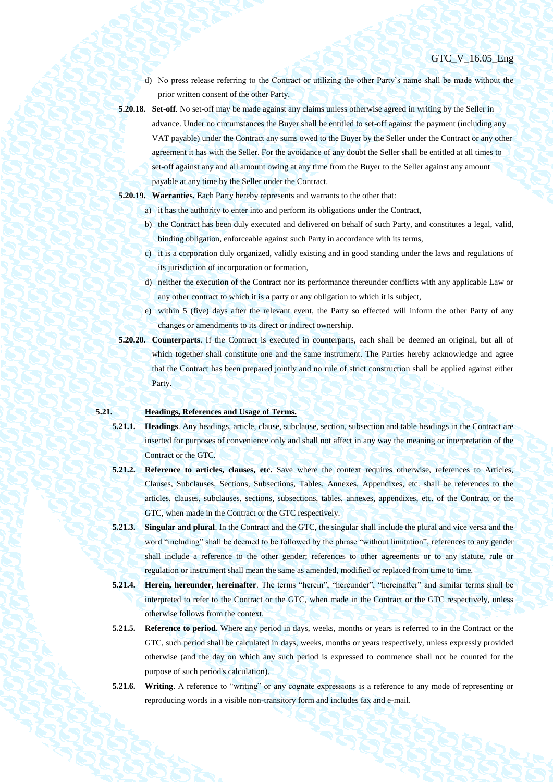d) No press release referring to the Contract or utilizing the other Party's name shall be made without the prior written consent of the other Party.

- **5.20.18. Set-off**. No set-off may be made against any claims unless otherwise agreed in writing by the Seller in advance. Under no circumstances the Buyer shall be entitled to set-off against the payment (including any VAT payable) under the Contract any sums owed to the Buyer by the Seller under the Contract or any other agreement it has with the Seller. For the avoidance of any doubt the Seller shall be entitled at all times to set-off against any and all amount owing at any time from the Buyer to the Seller against any amount payable at any time by the Seller under the Contract.
- **5.20.19. Warranties.** Each Party hereby represents and warrants to the other that:
	- a) it has the authority to enter into and perform its obligations under the Contract,
	- b) the Contract has been duly executed and delivered on behalf of such Party, and constitutes a legal, valid, binding obligation, enforceable against such Party in accordance with its terms,
	- c) it is a corporation duly organized, validly existing and in good standing under the laws and regulations of its jurisdiction of incorporation or formation,
	- d) neither the execution of the Contract nor its performance thereunder conflicts with any applicable Law or any other contract to which it is a party or any obligation to which it is subject,
	- e) within 5 (five) days after the relevant event, the Party so effected will inform the other Party of any changes or amendments to its direct or indirect ownership.
- **5.20.20. Counterparts**. If the Contract is executed in counterparts, each shall be deemed an original, but all of which together shall constitute one and the same instrument. The Parties hereby acknowledge and agree that the Contract has been prepared jointly and no rule of strict construction shall be applied against either Party.

## **5.21. Headings, References and Usage of Terms.**

- **5.21.1. Headings**. Any headings, article, clause, subclause, section, subsection and table headings in the Contract are inserted for purposes of convenience only and shall not affect in any way the meaning or interpretation of the Contract or the GTC.
- **5.21.2. Reference to articles, clauses, etc.** Save where the context requires otherwise, references to Articles, Clauses, Subclauses, Sections, Subsections, Tables, Annexes, Appendixes, etc. shall be references to the articles, clauses, subclauses, sections, subsections, tables, annexes, appendixes, etc. of the Contract or the GTC, when made in the Contract or the GTC respectively.
- **5.21.3. Singular and plural**. In the Contract and the GTC, the singular shall include the plural and vice versa and the word "including" shall be deemed to be followed by the phrase "without limitation", references to any gender shall include a reference to the other gender; references to other agreements or to any statute, rule or regulation or instrument shall mean the same as amended, modified or replaced from time to time.
- **5.21.4. Herein, hereunder, hereinafter**. The terms "herein", "hereunder", "hereinafter" and similar terms shall be interpreted to refer to the Contract or the GTC, when made in the Contract or the GTC respectively, unless otherwise follows from the context.
- **5.21.5. Reference to period**. Where any period in days, weeks, months or years is referred to in the Contract or the GTC, such period shall be calculated in days, weeks, months or years respectively, unless expressly provided otherwise (and the day on which any such period is expressed to commence shall not be counted for the purpose of such period's calculation).
- **5.21.6. Writing**. A reference to "writing" or any cognate expressions is a reference to any mode of representing or reproducing words in a visible non-transitory form and includes fax and e-mail.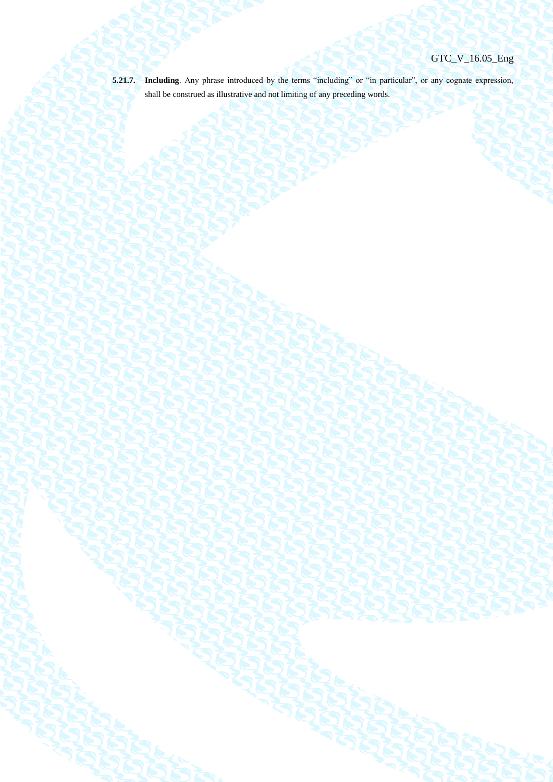**5.21.7. Including**. Any phrase introduced by the terms "including" or "in particular", or any cognate expression,

shall be construed as illustrative and not limiting of any preceding words.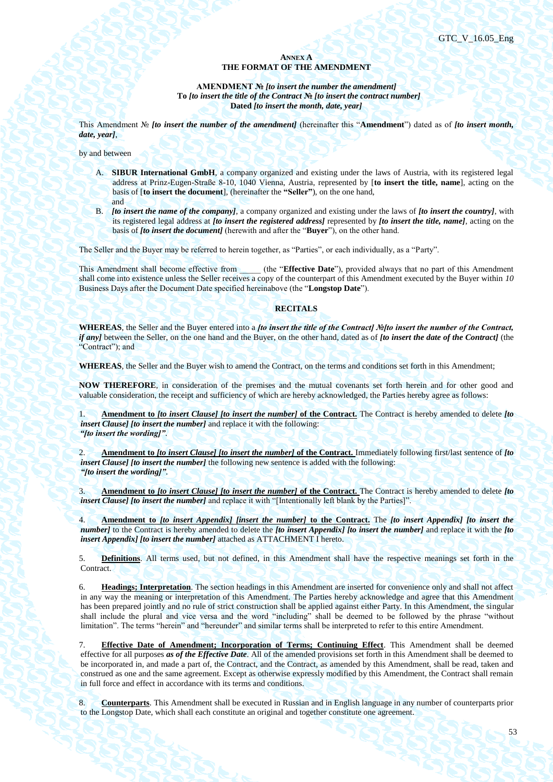## **ANNEX A THE FORMAT OF THE AMENDMENT**

**AMENDMENT №** *[to insert the number the amendment]* **To** *[to insert the title of the Contract* **№** *[to insert the contract number]* **Dated** *[to insert the month, date, year]*

This Amendment № *[to insert the number of the amendment]* (hereinafter this "**Amendment**") dated as of *[to insert month, date, year]*,

by and between

- A. **SIBUR International GmbH**, a company organized and existing under the laws of Austria, with its registered legal address at Prinz-Eugen-Straße 8-10, 1040 Vienna, Austria, represented by [**to insert the title, name**], acting on the basis of [**to insert the document**], (hereinafter the **"Seller"**), on the one hand, and
- B. *[to insert the name of the company]*, a company organized and existing under the laws of *[to insert the country]*, with its registered legal address at *[to insert the registered address]* represented by *[to insert the title, name]*, acting on the basis of *[to insert the document]* (herewith and after the "**Buyer**"), on the other hand.

The Seller and the Buyer may be referred to herein together, as "Parties", or each individually, as a "Party".

This Amendment shall become effective from (the "**Effective Date**"), provided always that no part of this Amendment shall come into existence unless the Seller receives a copy of the counterpart of this Amendment executed by the Buyer within *10* Business Days after the Document Date specified hereinabove (the "**Longstop Date**").

### **RECITALS**

**WHEREAS**, the Seller and the Buyer entered into a *[to insert the title of the Contract] №[to insert the number of the Contract, if any]* between the Seller, on the one hand and the Buyer, on the other hand, dated as of *[to insert the date of the Contract]* (the "Contract"); and

**WHEREAS**, the Seller and the Buyer wish to amend the Contract, on the terms and conditions set forth in this Amendment;

**NOW THEREFORE**, in consideration of the premises and the mutual covenants set forth herein and for other good and valuable consideration, the receipt and sufficiency of which are hereby acknowledged, the Parties hereby agree as follows:

1. **Amendment to** *[to insert Clause] [to insert the number]* **of the Contract.** The Contract is hereby amended to delete *[to insert Clause] [to insert the number]* and replace it with the following: *"[to insert the wording]"*.

2. **Amendment to** *[to insert Clause] [to insert the number]* **of the Contract.** Immediately following first/last sentence of *[to insert Clause] [to insert the number]* the following new sentence is added with the following: *"[to insert the wording]"*.

3. **Amendment to** *[to insert Clause] [to insert the number]* **of the Contract.** The Contract is hereby amended to delete *[to insert Clause] [to insert the number]* and replace it with "[Intentionally left blank by the Parties]".

4. **Amendment to** *[to insert Appendix] [insert the number]* **to the Contract.** The *[to insert Appendix] [to insert the number]* to the Contract is hereby amended to delete the *[to insert Appendix] [to insert the number]* and replace it with the *[to insert Appendix] [to insert the number]* attached as ATTACHMENT I hereto.

5. **Definitions**. All terms used, but not defined, in this Amendment shall have the respective meanings set forth in the Contract.

6. **Headings; Interpretation**. The section headings in this Amendment are inserted for convenience only and shall not affect in any way the meaning or interpretation of this Amendment. The Parties hereby acknowledge and agree that this Amendment has been prepared jointly and no rule of strict construction shall be applied against either Party. In this Amendment, the singular shall include the plural and vice versa and the word "including" shall be deemed to be followed by the phrase "without limitation". The terms "herein" and "hereunder" and similar terms shall be interpreted to refer to this entire Amendment.

7. **Effective Date of Amendment; Incorporation of Terms; Continuing Effect**. This Amendment shall be deemed effective for all purposes *as of the Effective Date*. All of the amended provisions set forth in this Amendment shall be deemed to be incorporated in, and made a part of, the Contract, and the Contract, as amended by this Amendment, shall be read, taken and construed as one and the same agreement. Except as otherwise expressly modified by this Amendment, the Contract shall remain in full force and effect in accordance with its terms and conditions.

8. **Counterparts**. This Amendment shall be executed in Russian and in English language in any number of counterparts prior to the Longstop Date, which shall each constitute an original and together constitute one agreement.